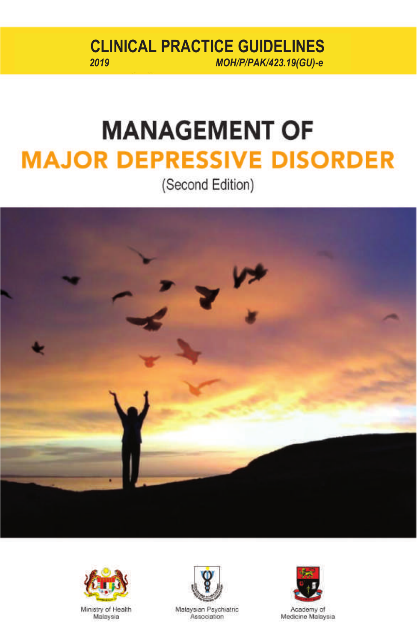*2019 MOH/P/PAK/423.19(GU)-e 2019 MOH/P/PAK/423.19(GU)-e* **CLINICAL PRACTICE GUIDELINES**<br>
MOH/P/PAK/423.19/GU)-e

# **MANAGEMENT OF MAJOR DEPRESSIVE DISORDER**

(Second Edition)







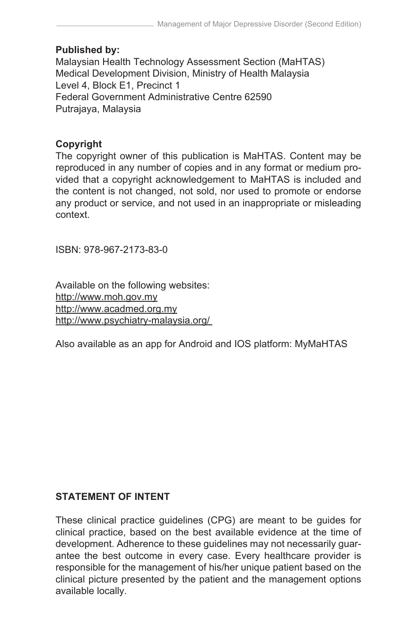# **Published by:**

Malaysian Health Technology Assessment Section (MaHTAS) Medical Development Division, Ministry of Health Malaysia Level 4, Block E1, Precinct 1 Federal Government Administrative Centre 62590 Putrajaya, Malaysia

## **Copyright**

The copyright owner of this publication is MaHTAS. Content may be reproduced in any number of copies and in any format or medium provided that a copyright acknowledgement to MaHTAS is included and the content is not changed, not sold, nor used to promote or endorse any product or service, and not used in an inappropriate or misleading context.

ISBN: 978-967-2173-83-0

Available on the following websites: http://www.moh.gov.my http://www.acadmed.org.my http://www.psychiatry-malaysia.org/

Also available as an app for Android and IOS platform: MyMaHTAS

# **STATEMENT OF INTENT**

These clinical practice guidelines (CPG) are meant to be guides for clinical practice, based on the best available evidence at the time of development. Adherence to these guidelines may not necessarily guarantee the best outcome in every case. Every healthcare provider is responsible for the management of his/her unique patient based on the clinical picture presented by the patient and the management options available locally.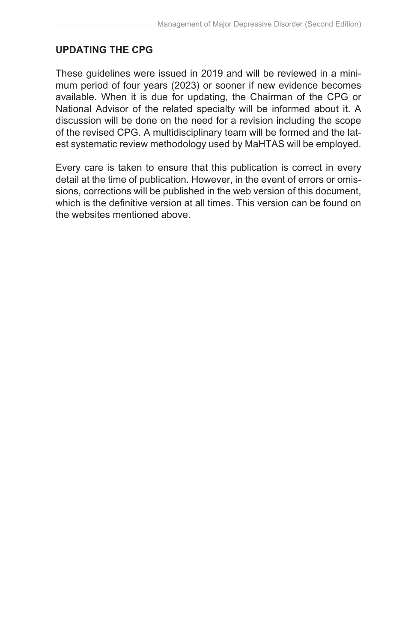#### **UPDATING THE CPG**

These guidelines were issued in 2019 and will be reviewed in a minimum period of four years (2023) or sooner if new evidence becomes available. When it is due for updating, the Chairman of the CPG or National Advisor of the related specialty will be informed about it. A discussion will be done on the need for a revision including the scope of the revised CPG. A multidisciplinary team will be formed and the latest systematic review methodology used by MaHTAS will be employed.

Every care is taken to ensure that this publication is correct in every detail at the time of publication. However, in the event of errors or omissions, corrections will be published in the web version of this document, which is the definitive version at all times. This version can be found on the websites mentioned above.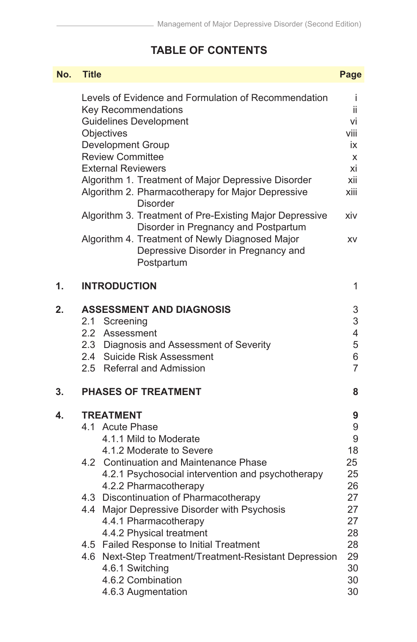# **TABLE OF CONTENTS**

 $\mathcal{L}^{\text{max}}_{\text{max}}$  , where  $\mathcal{L}^{\text{max}}_{\text{max}}$ 

| No. | <b>Title</b>                                                                                                                                                                                                                                                                                                                                                                                                                                                                                                                                | Page                                                               |  |
|-----|---------------------------------------------------------------------------------------------------------------------------------------------------------------------------------------------------------------------------------------------------------------------------------------------------------------------------------------------------------------------------------------------------------------------------------------------------------------------------------------------------------------------------------------------|--------------------------------------------------------------------|--|
|     | Levels of Evidence and Formulation of Recommendation<br>Key Recommendations<br><b>Guidelines Development</b><br>Objectives<br>Development Group<br><b>Review Committee</b><br><b>External Reviewers</b><br>Algorithm 1. Treatment of Major Depressive Disorder<br>Algorithm 2. Pharmacotherapy for Major Depressive<br>Disorder<br>Algorithm 3. Treatment of Pre-Existing Major Depressive<br>Disorder in Pregnancy and Postpartum<br>Algorithm 4. Treatment of Newly Diagnosed Major<br>Depressive Disorder in Pregnancy and<br>Postpartum | Ť<br>ii<br>vi<br>viii<br>iх<br>X<br>xi<br>xii<br>xiii<br>xiv<br>XV |  |
| 1.  | <b>INTRODUCTION</b>                                                                                                                                                                                                                                                                                                                                                                                                                                                                                                                         | 1                                                                  |  |
| 2.  | <b>ASSESSMENT AND DIAGNOSIS</b><br>2.1<br>Screening<br>2.2 Assessment<br>2.3 Diagnosis and Assessment of Severity<br>2.4 Suicide Risk Assessment<br>2.5 Referral and Admission                                                                                                                                                                                                                                                                                                                                                              | 3<br>3<br>4<br>5<br>6<br>$\overline{7}$<br>8                       |  |
| 3.  | <b>PHASES OF TREATMENT</b>                                                                                                                                                                                                                                                                                                                                                                                                                                                                                                                  |                                                                    |  |
| 4.  | <b>TREATMENT</b><br>4.1 Acute Phase<br>4.1.1 Mild to Moderate<br>4.1.2 Moderate to Severe<br><b>Continuation and Maintenance Phase</b><br>4.2<br>4.2.1 Psychosocial intervention and psychotherapy<br>4.2.2 Pharmacotherapy<br>4.3 Discontinuation of Pharmacotherapy<br>4.4 Major Depressive Disorder with Psychosis                                                                                                                                                                                                                       | 9<br>9<br>9<br>18<br>25<br>25<br>26<br>27<br>27                    |  |
|     | 4.4.1 Pharmacotherapy<br>4.4.2 Physical treatment<br>4.5 Failed Response to Initial Treatment<br>Next-Step Treatment/Treatment-Resistant Depression<br>4.6<br>4.6.1 Switching<br>4.6.2 Combination<br>4.6.3 Augmentation                                                                                                                                                                                                                                                                                                                    | 27<br>28<br>28<br>29<br>30<br>30<br>30                             |  |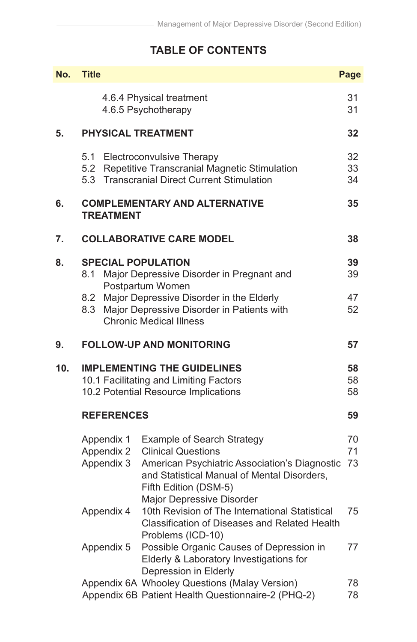# **TABLE OF CONTENTS**

| No. | <b>Title</b><br>Page                                           |                                                                                                                                                                                                               |                |  |
|-----|----------------------------------------------------------------|---------------------------------------------------------------------------------------------------------------------------------------------------------------------------------------------------------------|----------------|--|
|     |                                                                | 4.6.4 Physical treatment<br>4.6.5 Psychotherapy                                                                                                                                                               | 31<br>31       |  |
| 5.  | <b>PHYSICAL TREATMENT</b>                                      |                                                                                                                                                                                                               | 32             |  |
|     | 5.1<br>5.2<br>5.3                                              | Electroconvulsive Therapy<br>Repetitive Transcranial Magnetic Stimulation<br><b>Transcranial Direct Current Stimulation</b>                                                                                   | 32<br>33<br>34 |  |
| 6.  | <b>COMPLEMENTARY AND ALTERNATIVE</b><br>35<br><b>TREATMENT</b> |                                                                                                                                                                                                               |                |  |
| 7.  | <b>COLLABORATIVE CARE MODEL</b>                                |                                                                                                                                                                                                               |                |  |
| 8.  | <b>SPECIAL POPULATION</b><br>8.1                               | Major Depressive Disorder in Pregnant and<br>Postpartum Women                                                                                                                                                 | 39<br>39       |  |
|     | 8.2<br>8.3                                                     | Major Depressive Disorder in the Elderly<br>Major Depressive Disorder in Patients with<br><b>Chronic Medical Illness</b>                                                                                      | 47<br>52       |  |
| 9.  |                                                                | <b>FOLLOW-UP AND MONITORING</b>                                                                                                                                                                               | 57             |  |
| 10. |                                                                | <b>IMPLEMENTING THE GUIDELINES</b><br>10.1 Facilitating and Limiting Factors<br>10.2 Potential Resource Implications                                                                                          | 58<br>58<br>58 |  |
|     | <b>REFERENCES</b>                                              |                                                                                                                                                                                                               | 59             |  |
|     | Appendix 1<br>Appendix 2<br>Appendix 3                         | Example of Search Strategy<br><b>Clinical Questions</b><br>American Psychiatric Association's Diagnostic<br>and Statistical Manual of Mental Disorders,<br>Fifth Edition (DSM-5)<br>Major Depressive Disorder | 70<br>71<br>73 |  |
|     | Appendix 4                                                     | 10th Revision of The International Statistical<br>Classification of Diseases and Related Health<br>Problems (ICD-10)                                                                                          | 75             |  |
|     | Appendix 5                                                     | Possible Organic Causes of Depression in<br>Elderly & Laboratory Investigations for<br>Depression in Elderly                                                                                                  | 77             |  |
|     |                                                                | Appendix 6A Whooley Questions (Malay Version)<br>Appendix 6B Patient Health Questionnaire-2 (PHQ-2)                                                                                                           | 78<br>78       |  |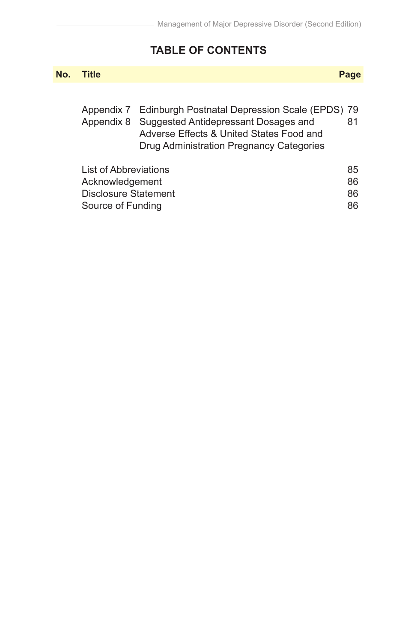# **TABLE OF CONTENTS**

| No. | <b>Title</b>                                                                          |                                                                                                                                                                                | Page                 |
|-----|---------------------------------------------------------------------------------------|--------------------------------------------------------------------------------------------------------------------------------------------------------------------------------|----------------------|
|     | Appendix 7<br>Appendix 8                                                              | Edinburgh Postnatal Depression Scale (EPDS) 79<br>Suggested Antidepressant Dosages and<br>Adverse Effects & United States Food and<br>Drug Administration Pregnancy Categories | 81                   |
|     | List of Abbreviations<br>Acknowledgement<br>Disclosure Statement<br>Source of Funding |                                                                                                                                                                                | 85<br>86<br>86<br>86 |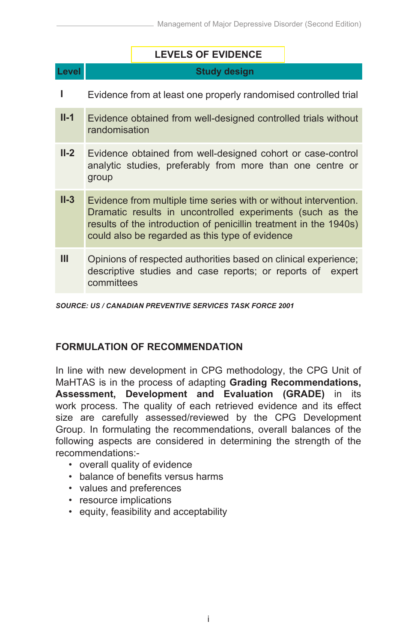|        |                                                                                                                                                                                                                                                       | <b>LEVELS OF EVIDENCE</b>                                                                                                     |  |  |
|--------|-------------------------------------------------------------------------------------------------------------------------------------------------------------------------------------------------------------------------------------------------------|-------------------------------------------------------------------------------------------------------------------------------|--|--|
| Level  |                                                                                                                                                                                                                                                       | <b>Study design</b>                                                                                                           |  |  |
| ı      |                                                                                                                                                                                                                                                       | Evidence from at least one properly randomised controlled trial                                                               |  |  |
| $II-1$ | randomisation                                                                                                                                                                                                                                         | Evidence obtained from well-designed controlled trials without                                                                |  |  |
| $II-2$ | Evidence obtained from well-designed cohort or case-control<br>analytic studies, preferably from more than one centre or<br>group                                                                                                                     |                                                                                                                               |  |  |
| $II-3$ | Evidence from multiple time series with or without intervention.<br>Dramatic results in uncontrolled experiments (such as the<br>results of the introduction of penicillin treatment in the 1940s)<br>could also be regarded as this type of evidence |                                                                                                                               |  |  |
| Ш      | committees                                                                                                                                                                                                                                            | Opinions of respected authorities based on clinical experience;<br>descriptive studies and case reports; or reports of expert |  |  |

*SOURCE: US / CANADIAN PREVENTIVE SERVICES TASK FORCE 2001*

#### **FORMULATION OF RECOMMENDATION**

In line with new development in CPG methodology, the CPG Unit of MaHTAS is in the process of adapting **Grading Recommendations, Assessment, Development and Evaluation (GRADE)** in its work process. The quality of each retrieved evidence and its effect size are carefully assessed/reviewed by the CPG Development Group. In formulating the recommendations, overall balances of the following aspects are considered in determining the strength of the recommendations:-

- overall quality of evidence
- balance of benefits versus harms
- values and preferences
- resource implications
- equity, feasibility and acceptability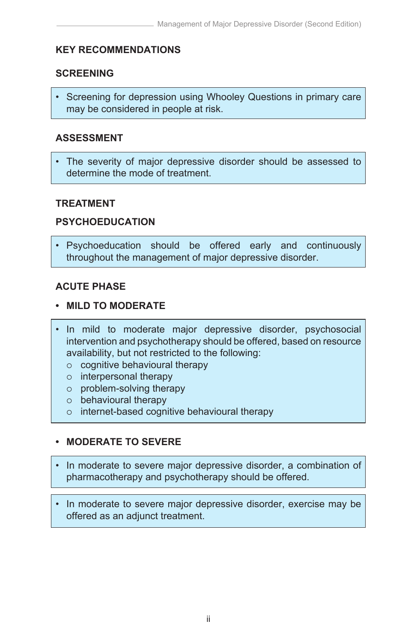# **KEY RECOMMENDATIONS**

# **SCREENING**

• Screening for depression using Whooley Questions in primary care may be considered in people at risk.

## **ASSESSMENT**

The severity of major depressive disorder should be assessed to determine the mode of treatment.

# **TREATMENT**

# **PSYCHOEDUCATION**

• Psychoeducation should be offered early and continuously throughout the management of major depressive disorder.

# **ACUTE PHASE**

#### **• MILD TO MODERATE**

- In mild to moderate major depressive disorder, psychosocial intervention and psychotherapy should be offered, based on resource availability, but not restricted to the following:
	- $\circ$  cognitive behavioural therapy
	- $\circ$  interpersonal therapy
	- $\circ$  problem-solving therapy
	- $\circ$  behavioural therapy
	- $\circ$  internet-based cognitive behavioural therapy

# **• MODERATE TO SEVERE**

- In moderate to severe major depressive disorder, a combination of pharmacotherapy and psychotherapy should be offered.
- In moderate to severe major depressive disorder, exercise may be offered as an adjunct treatment.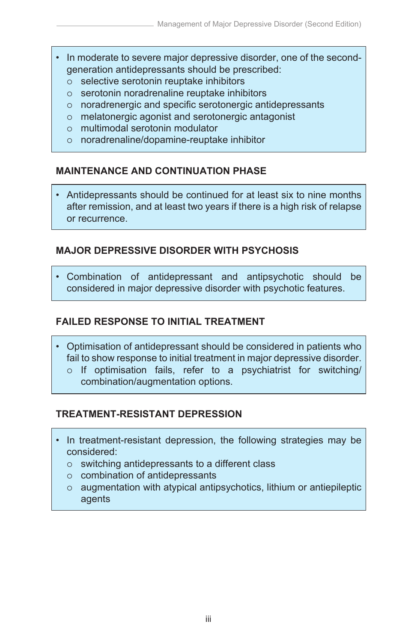- In moderate to severe major depressive disorder, one of the secondgeneration antidepressants should be prescribed:
	- selective serotonin reuptake inhibitors
	- serotonin noradrenaline reuptake inhibitors
	- noradrenergic and specific serotonergic antidepressants
	- melatonergic agonist and serotonergic antagonist
	- multimodal serotonin modulator
	- noradrenaline/dopamine-reuptake inhibitor

# **MAINTENANCE AND CONTINUATION PHASE**

• Antidepressants should be continued for at least six to nine months after remission, and at least two years if there is a high risk of relapse or recurrence.

# **MAJOR DEPRESSIVE DISORDER WITH PSYCHOSIS**

• Combination of antidepressant and antipsychotic should be considered in major depressive disorder with psychotic features.

# **FAILED RESPONSE TO INITIAL TREATMENT**

- Optimisation of antidepressant should be considered in patients who fail to show response to initial treatment in major depressive disorder.
	- $\circ$  If optimisation fails, refer to a psychiatrist for switching/ combination/augmentation options.

# **TREATMENT-RESISTANT DEPRESSION**

- In treatment-resistant depression, the following strategies may be considered:
	- $\circ$  switching antidepressants to a different class
	- $\circ$  combination of antidepressants
	- $\circ$  augmentation with atypical antipsychotics, lithium or antiepileptic agents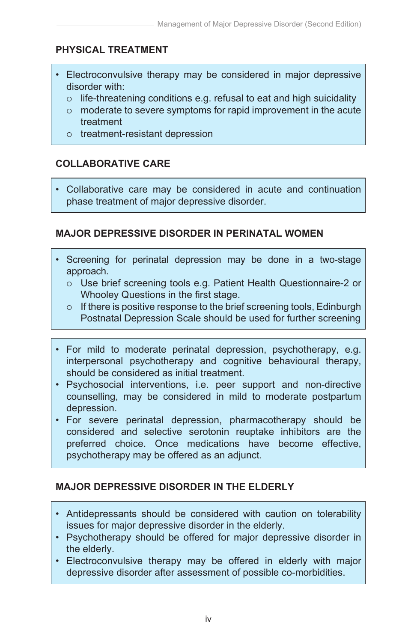# **PHYSICAL TREATMENT**

- Electroconvulsive therapy may be considered in major depressive disorder with:
	- $\circ$  life-threatening conditions e.g. refusal to eat and high suicidality
	- moderate to severe symptoms for rapid improvement in the acute treatment
	- $\circ$  treatment-resistant depression

# **COLLABORATIVE CARE**

• Collaborative care may be considered in acute and continuation phase treatment of major depressive disorder.

# **MAJOR DEPRESSIVE DISORDER IN PERINATAL WOMEN**

- Screening for perinatal depression may be done in a two-stage approach.
	- Use brief screening tools e.g. Patient Health Questionnaire-2 or Whooley Questions in the first stage.
	- $\circ$  If there is positive response to the brief screening tools, Edinburgh Postnatal Depression Scale should be used for further screening
- For mild to moderate perinatal depression, psychotherapy, e.g. interpersonal psychotherapy and cognitive behavioural therapy, should be considered as initial treatment.
- Psychosocial interventions, i.e. peer support and non-directive counselling, may be considered in mild to moderate postpartum depression.
- For severe perinatal depression, pharmacotherapy should be considered and selective serotonin reuptake inhibitors are the preferred choice. Once medications have become effective, psychotherapy may be offered as an adjunct.

# **MAJOR DEPRESSIVE DISORDER IN THE ELDERLY**

- Antidepressants should be considered with caution on tolerability issues for major depressive disorder in the elderly.
- Psychotherapy should be offered for major depressive disorder in the elderly.
- Electroconvulsive therapy may be offered in elderly with major depressive disorder after assessment of possible co-morbidities.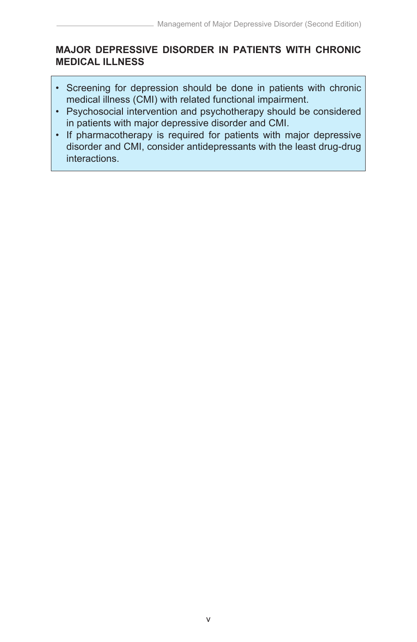# **MAJOR DEPRESSIVE DISORDER IN PATIENTS WITH CHRONIC MEDICAL ILLNESS**

- Screening for depression should be done in patients with chronic medical illness (CMI) with related functional impairment.
- Psychosocial intervention and psychotherapy should be considered in patients with major depressive disorder and CMI.
- If pharmacotherapy is required for patients with major depressive disorder and CMI, consider antidepressants with the least drug-drug interactions.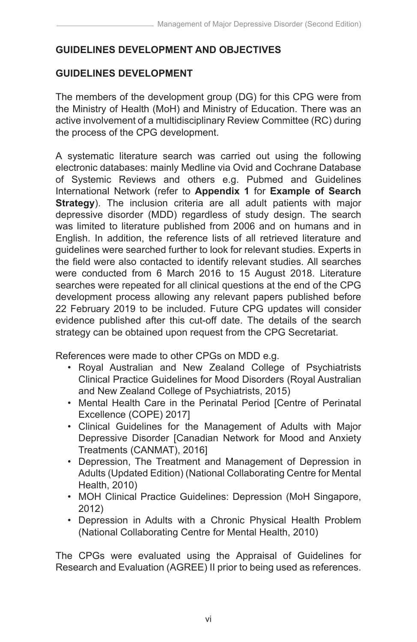# **GUIDELINES DEVELOPMENT AND OBJECTIVES**

# **GUIDELINES DEVELOPMENT**

The members of the development group (DG) for this CPG were from the Ministry of Health (MoH) and Ministry of Education. There was an active involvement of a multidisciplinary Review Committee (RC) during the process of the CPG development.

A systematic literature search was carried out using the following electronic databases: mainly Medline via Ovid and Cochrane Database of Systemic Reviews and others e.g. Pubmed and Guidelines International Network (refer to **Appendix 1** for **Example of Search Strategy**). The inclusion criteria are all adult patients with major depressive disorder (MDD) regardless of study design. The search was limited to literature published from 2006 and on humans and in English. In addition, the reference lists of all retrieved literature and guidelines were searched further to look for relevant studies. Experts in the field were also contacted to identify relevant studies. All searches were conducted from 6 March 2016 to 15 August 2018. Literature searches were repeated for all clinical questions at the end of the CPG development process allowing any relevant papers published before 22 February 2019 to be included. Future CPG updates will consider evidence published after this cut-off date. The details of the search strategy can be obtained upon request from the CPG Secretariat.

References were made to other CPGs on MDD e.g.

- Royal Australian and New Zealand College of Psychiatrists Clinical Practice Guidelines for Mood Disorders (Royal Australian and New Zealand College of Psychiatrists, 2015)
- Mental Health Care in the Perinatal Period [Centre of Perinatal Excellence (COPE) 2017]
- Clinical Guidelines for the Management of Adults with Major Depressive Disorder [Canadian Network for Mood and Anxiety Treatments (CANMAT), 2016]
- Depression, The Treatment and Management of Depression in Adults (Updated Edition) (National Collaborating Centre for Mental Health, 2010)
- MOH Clinical Practice Guidelines: Depression (MoH Singapore, 2012)
- Depression in Adults with a Chronic Physical Health Problem (National Collaborating Centre for Mental Health, 2010)

The CPGs were evaluated using the Appraisal of Guidelines for Research and Evaluation (AGREE) II prior to being used as references.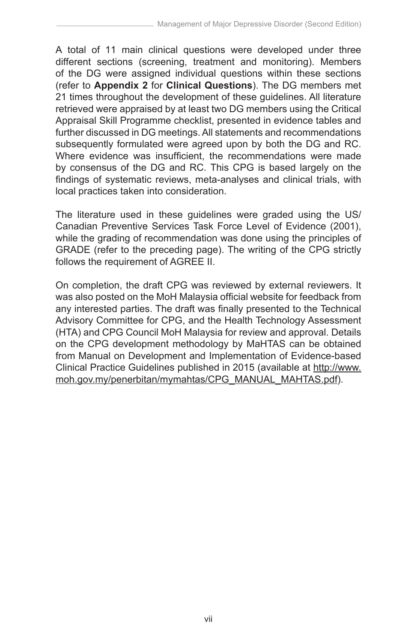A total of 11 main clinical questions were developed under three different sections (screening, treatment and monitoring). Members of the DG were assigned individual questions within these sections (refer to **Appendix 2** for **Clinical Questions**). The DG members met 21 times throughout the development of these guidelines. All literature retrieved were appraised by at least two DG members using the Critical Appraisal Skill Programme checklist, presented in evidence tables and further discussed in DG meetings. All statements and recommendations subsequently formulated were agreed upon by both the DG and RC. Where evidence was insufficient, the recommendations were made by consensus of the DG and RC. This CPG is based largely on the findings of systematic reviews, meta-analyses and clinical trials, with local practices taken into consideration.

The literature used in these guidelines were graded using the US/ Canadian Preventive Services Task Force Level of Evidence (2001), while the grading of recommendation was done using the principles of GRADE (refer to the preceding page). The writing of the CPG strictly follows the requirement of AGREE II.

On completion, the draft CPG was reviewed by external reviewers. It was also posted on the MoH Malaysia official website for feedback from any interested parties. The draft was finally presented to the Technical Advisory Committee for CPG, and the Health Technology Assessment (HTA) and CPG Council MoH Malaysia for review and approval. Details on the CPG development methodology by MaHTAS can be obtained from Manual on Development and Implementation of Evidence-based Clinical Practice Guidelines published in 2015 (available at http://www. moh.gov.my/penerbitan/mymahtas/CPG\_MANUAL\_MAHTAS.pdf).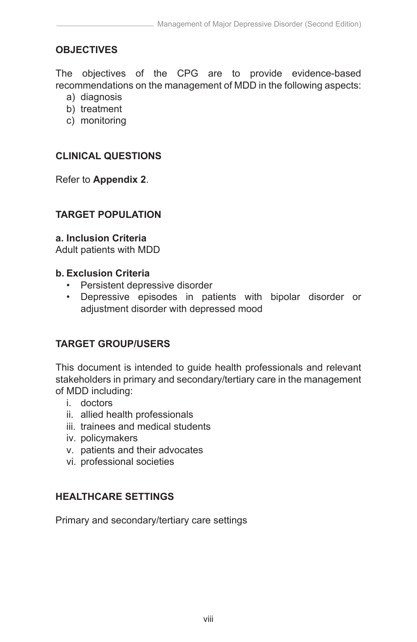# **OBJECTIVES**

The objectives of the CPG are to provide evidence-based recommendations on the management of MDD in the following aspects:

- a) diagnosis
- b) treatment
- c) monitoring

## **CLINICAL QUESTIONS**

Refer to **Appendix 2**.

## **TARGET POPULATION**

#### **a. Inclusion Criteria**

Adult patients with MDD

#### **b. Exclusion Criteria**

- Persistent depressive disorder
- Depressive episodes in patients with bipolar disorder or adjustment disorder with depressed mood

# **TARGET GROUP/USERS**

This document is intended to guide health professionals and relevant stakeholders in primary and secondary/tertiary care in the management of MDD including:

- i. doctors
- ii. allied health professionals
- iii. trainees and medical students
- iv. policymakers
- v. patients and their advocates
- vi. professional societies

# **HEALTHCARE SETTINGS**

Primary and secondary/tertiary care settings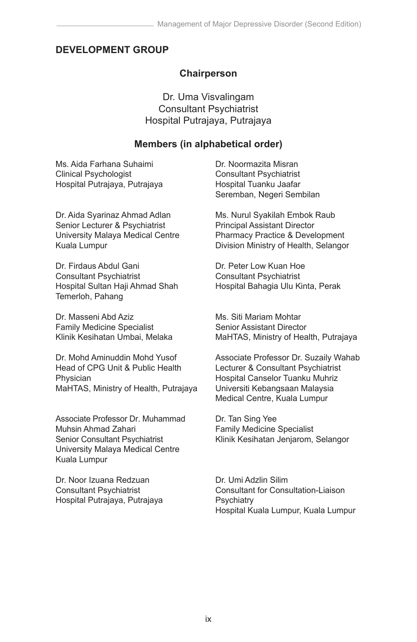## **DEVELOPMENT GROUP**

#### **Chairperson**

Dr. Uma Visvalingam Consultant Psychiatrist Hospital Putrajaya, Putrajaya

#### **Members (in alphabetical order)**

Ms. Aida Farhana Suhaimi Clinical Psychologist Hospital Putrajaya, Putrajaya

Dr. Aida Syarinaz Ahmad Adlan Senior Lecturer & Psychiatrist University Malaya Medical Centre Kuala Lumpur

Dr. Firdaus Abdul Gani Consultant Psychiatrist Hospital Sultan Haji Ahmad Shah Temerloh, Pahang

Dr. Masseni Abd Aziz Family Medicine Specialist Klinik Kesihatan Umbai, Melaka

Dr. Mohd Aminuddin Mohd Yusof Head of CPG Unit & Public Health Physician MaHTAS, Ministry of Health, Putrajaya

Associate Professor Dr. Muhammad Muhsin Ahmad Zahari Senior Consultant Psychiatrist University Malaya Medical Centre Kuala Lumpur

Dr. Noor Izuana Redzuan Consultant Psychiatrist Hospital Putrajaya, Putrajaya Dr. Noormazita Misran Consultant Psychiatrist Hospital Tuanku Jaafar Seremban, Negeri Sembilan

Ms. Nurul Syakilah Embok Raub Principal Assistant Director Pharmacy Practice & Development Division Ministry of Health, Selangor

Dr. Peter Low Kuan Hoe Consultant Psychiatrist Hospital Bahagia Ulu Kinta, Perak

Ms. Siti Mariam Mohtar Senior Assistant Director MaHTAS, Ministry of Health, Putrajaya

Associate Professor Dr. Suzaily Wahab Lecturer & Consultant Psychiatrist Hospital Canselor Tuanku Muhriz Universiti Kebangsaan Malaysia Medical Centre, Kuala Lumpur

Dr. Tan Sing Yee Family Medicine Specialist Klinik Kesihatan Jenjarom, Selangor

Dr. Umi Adzlin Silim Consultant for Consultation-Liaison **Psychiatry** Hospital Kuala Lumpur, Kuala Lumpur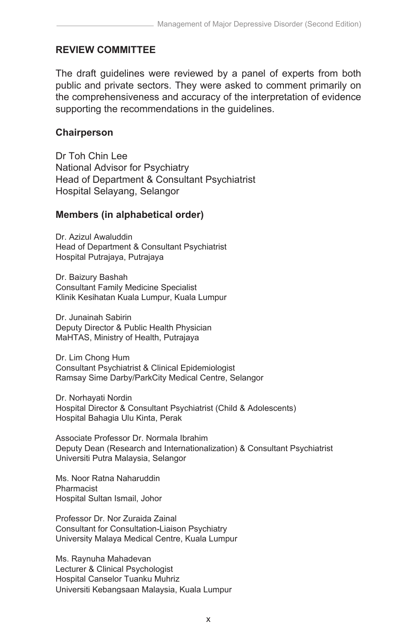# **REVIEW COMMITTEE**

The draft guidelines were reviewed by a panel of experts from both public and private sectors. They were asked to comment primarily on the comprehensiveness and accuracy of the interpretation of evidence supporting the recommendations in the guidelines.

## **Chairperson**

Dr Toh Chin Lee National Advisor for Psychiatry Head of Department & Consultant Psychiatrist Hospital Selayang, Selangor

## **Members (in alphabetical order)**

Dr. Azizul Awaluddin Head of Department & Consultant Psychiatrist Hospital Putrajaya, Putrajaya

Dr. Baizury Bashah Consultant Family Medicine Specialist Klinik Kesihatan Kuala Lumpur, Kuala Lumpur

Dr. Junainah Sabirin Deputy Director & Public Health Physician MaHTAS, Ministry of Health, Putrajaya

Dr. Lim Chong Hum Consultant Psychiatrist & Clinical Epidemiologist Ramsay Sime Darby/ParkCity Medical Centre, Selangor

Dr. Norhayati Nordin Hospital Director & Consultant Psychiatrist (Child & Adolescents) Hospital Bahagia Ulu Kinta, Perak

Associate Professor Dr. Normala Ibrahim Deputy Dean (Research and Internationalization) & Consultant Psychiatrist Universiti Putra Malaysia, Selangor

Ms. Noor Ratna Naharuddin Pharmacist Hospital Sultan Ismail, Johor

Professor Dr. Nor Zuraida Zainal Consultant for Consultation-Liaison Psychiatry University Malaya Medical Centre, Kuala Lumpur

Ms. Raynuha Mahadevan Lecturer & Clinical Psychologist Hospital Canselor Tuanku Muhriz Universiti Kebangsaan Malaysia, Kuala Lumpur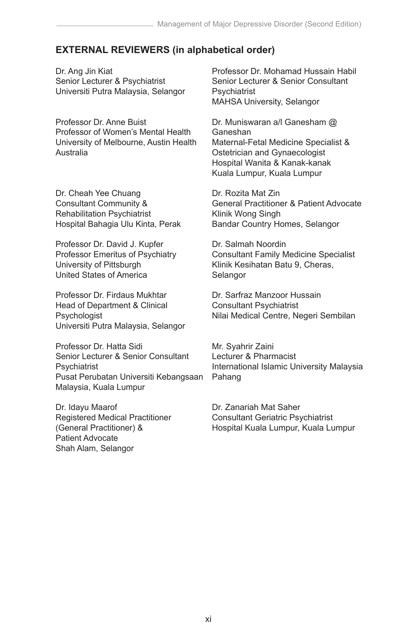#### **EXTERNAL REVIEWERS (in alphabetical order)**

Dr. Ang Jin Kiat Senior Lecturer & Psychiatrist Universiti Putra Malaysia, Selangor

Professor Dr. Anne Buist Professor of Women's Mental Health University of Melbourne, Austin Health Australia

Dr. Cheah Yee Chuang Consultant Community & Rehabilitation Psychiatrist Hospital Bahagia Ulu Kinta, Perak

Professor Dr. David J. Kupfer Professor Emeritus of Psychiatry University of Pittsburgh United States of America

Professor Dr. Firdaus Mukhtar Head of Department & Clinical Psychologist Universiti Putra Malaysia, Selangor

Professor Dr. Hatta Sidi Senior Lecturer & Senior Consultant **Psychiatrist** Pusat Perubatan Universiti Kebangsaan Malaysia, Kuala Lumpur

Dr. Idayu Maarof Registered Medical Practitioner (General Practitioner) & Patient Advocate Shah Alam, Selangor

Professor Dr. Mohamad Hussain Habil Senior Lecturer & Senior Consultant **Psychiatrist** MAHSA University, Selangor

Dr. Muniswaran a/l Ganesham @ Ganeshan Maternal-Fetal Medicine Specialist & Ostetrician and Gynaecologist Hospital Wanita & Kanak-kanak Kuala Lumpur, Kuala Lumpur

Dr. Rozita Mat Zin General Practitioner & Patient Advocate Klinik Wong Singh Bandar Country Homes, Selangor

Dr. Salmah Noordin Consultant Family Medicine Specialist Klinik Kesihatan Batu 9, Cheras, Selangor

Dr. Sarfraz Manzoor Hussain Consultant Psychiatrist Nilai Medical Centre, Negeri Sembilan

Mr. Syahrir Zaini Lecturer & Pharmacist International Islamic University Malaysia Pahang

Dr. Zanariah Mat Saher Consultant Geriatric Psychiatrist Hospital Kuala Lumpur, Kuala Lumpur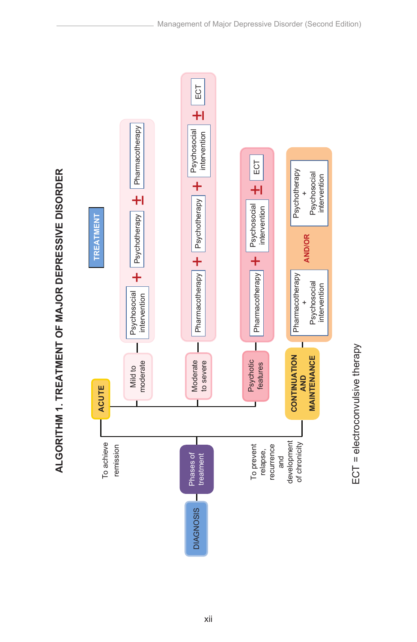

ECT = electroconvulsive therapy

ECT = electroconvulsive therapy

ALGORITHM 1. TREATMENT OF MAJOR DEPRESSIVE DISORDER **ALGORITHM 1. TREATMENT OF MAJOR DEPRESSIVE DISORDER**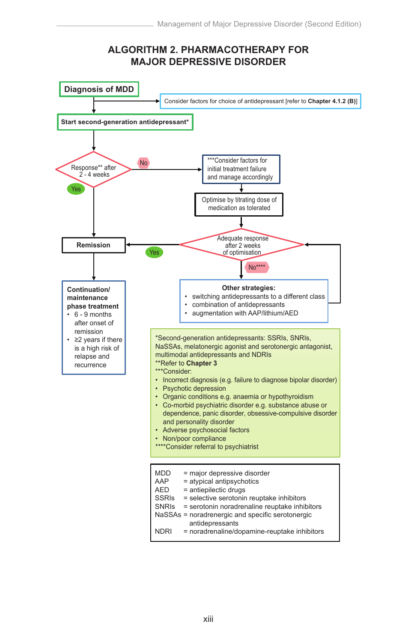#### **ALGORITHM 2. PHARMACOTHERAPY FOR MAJOR DEPRESSIVE DISORDER**

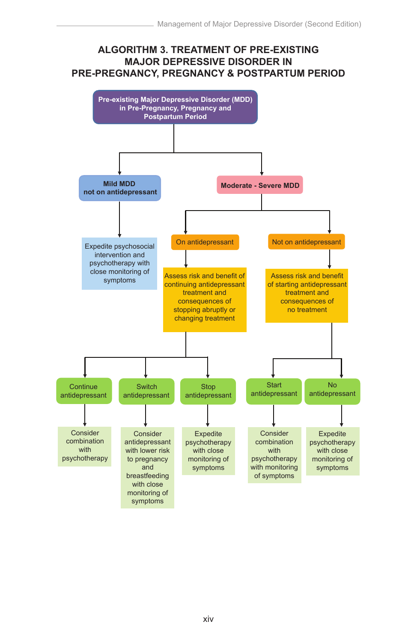#### **ALGORITHM 3. TREATMENT OF PRE-EXISTING MAJOR DEPRESSIVE DISORDER IN PRE-PREGNANCY, PREGNANCY & POSTPARTUM PERIOD**

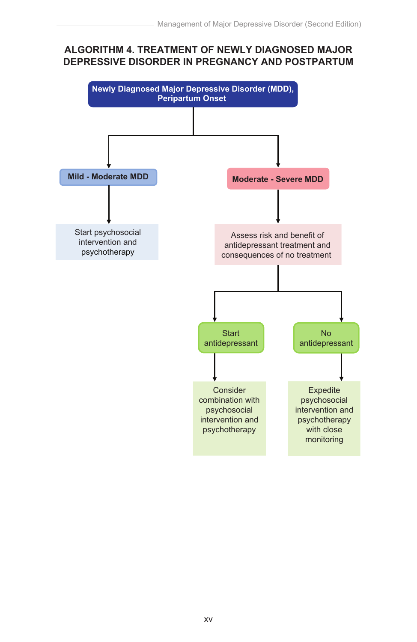#### **ALGORITHM 4. TREATMENT OF NEWLY DIAGNOSED MAJOR DEPRESSIVE DISORDER IN PREGNANCY AND POSTPARTUM**

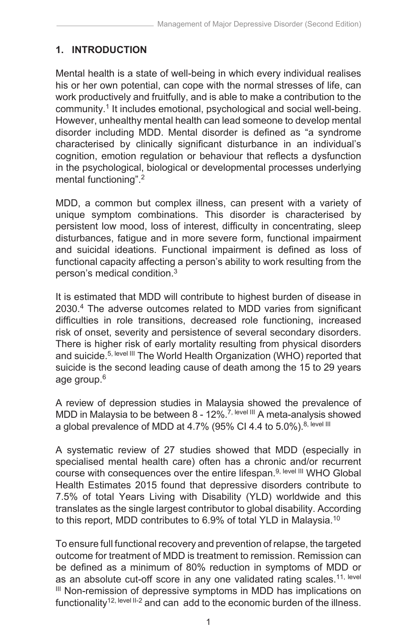# **1. INTRODUCTION**

Mental health is a state of well-being in which every individual realises his or her own potential, can cope with the normal stresses of life, can work productively and fruitfully, and is able to make a contribution to the community.1 It includes emotional, psychological and social well-being. However, unhealthy mental health can lead someone to develop mental disorder including MDD. Mental disorder is defined as "a syndrome characterised by clinically significant disturbance in an individual's cognition, emotion regulation or behaviour that reflects a dysfunction in the psychological, biological or developmental processes underlying mental functioning".2

MDD, a common but complex illness, can present with a variety of unique symptom combinations. This disorder is characterised by persistent low mood, loss of interest, difficulty in concentrating, sleep disturbances, fatigue and in more severe form, functional impairment and suicidal ideations. Functional impairment is defined as loss of functional capacity affecting a person's ability to work resulting from the person's medical condition.<sup>3</sup>

It is estimated that MDD will contribute to highest burden of disease in 2030.<sup>4</sup> The adverse outcomes related to MDD varies from significant difficulties in role transitions, decreased role functioning, increased risk of onset, severity and persistence of several secondary disorders. There is higher risk of early mortality resulting from physical disorders and suicide.<sup>5, level III</sup> The World Health Organization (WHO) reported that suicide is the second leading cause of death among the 15 to 29 years age group.6

A review of depression studies in Malaysia showed the prevalence of MDD in Malaysia to be between 8 - 12%.<sup>7, level III</sup> A meta-analysis showed a global prevalence of MDD at 4.7% (95% CI 4.4 to 5.0%).<sup>8, level III</sup>

A systematic review of 27 studies showed that MDD (especially in specialised mental health care) often has a chronic and/or recurrent course with consequences over the entire lifespan.<sup>9, level III</sup> WHO Global Health Estimates 2015 found that depressive disorders contribute to 7.5% of total Years Living with Disability (YLD) worldwide and this translates as the single largest contributor to global disability. According to this report, MDD contributes to 6.9% of total YLD in Malaysia.10

To ensure full functional recovery and prevention of relapse, the targeted outcome for treatment of MDD is treatment to remission. Remission can be defined as a minimum of 80% reduction in symptoms of MDD or as an absolute cut-off score in any one validated rating scales.<sup>11, level</sup> III Non-remission of depressive symptoms in MDD has implications on functionality<sup>12, level II-2</sup> and can add to the economic burden of the illness.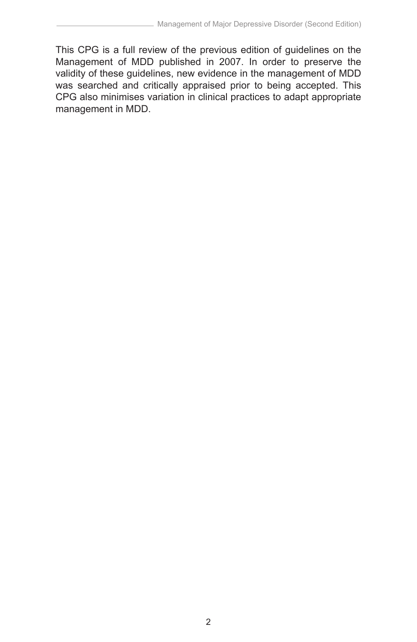This CPG is a full review of the previous edition of guidelines on the Management of MDD published in 2007. In order to preserve the validity of these guidelines, new evidence in the management of MDD was searched and critically appraised prior to being accepted. This CPG also minimises variation in clinical practices to adapt appropriate management in MDD.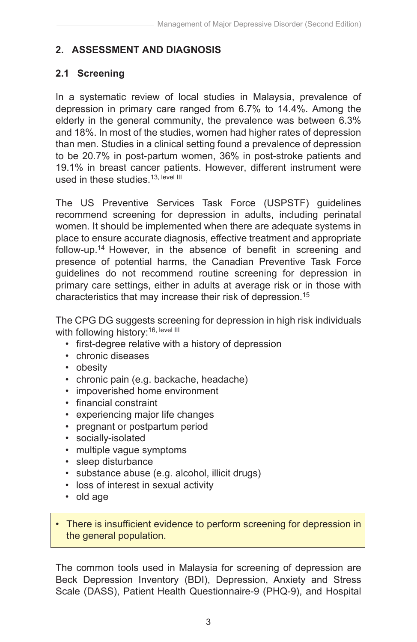# **2. ASSESSMENT AND DIAGNOSIS**

# **2.1 Screening**

In a systematic review of local studies in Malaysia, prevalence of depression in primary care ranged from 6.7% to 14.4%. Among the elderly in the general community, the prevalence was between 6.3% and 18%. In most of the studies, women had higher rates of depression than men. Studies in a clinical setting found a prevalence of depression to be 20.7% in post-partum women, 36% in post-stroke patients and 19.1% in breast cancer patients. However, different instrument were used in these studies.<sup>13, level III</sup>

The US Preventive Services Task Force (USPSTF) guidelines recommend screening for depression in adults, including perinatal women. It should be implemented when there are adequate systems in place to ensure accurate diagnosis, effective treatment and appropriate follow-up.14 However, in the absence of benefit in screening and presence of potential harms, the Canadian Preventive Task Force guidelines do not recommend routine screening for depression in primary care settings, either in adults at average risk or in those with characteristics that may increase their risk of depression.15

The CPG DG suggests screening for depression in high risk individuals with following history:<sup>16, level III</sup>

- first-degree relative with a history of depression
- chronic diseases
- obesity
- chronic pain (e.g. backache, headache)
- impoverished home environment
- financial constraint
- experiencing major life changes
- pregnant or postpartum period
- socially-isolated
- multiple vague symptoms
- sleep disturbance
- substance abuse (e.g. alcohol, illicit drugs)
- loss of interest in sexual activity
- old age
- There is insufficient evidence to perform screening for depression in the general population.

The common tools used in Malaysia for screening of depression are Beck Depression Inventory (BDI), Depression, Anxiety and Stress Scale (DASS), Patient Health Questionnaire-9 (PHQ-9), and Hospital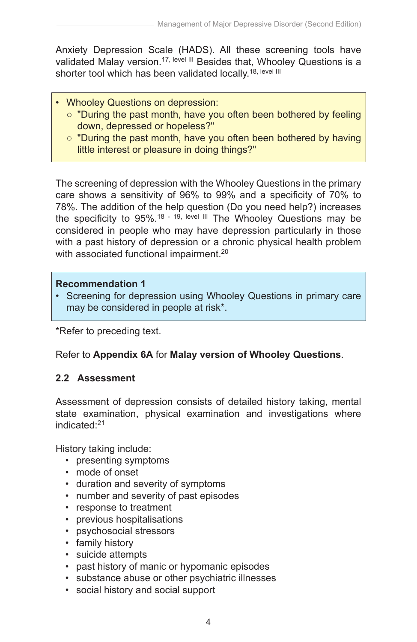Anxiety Depression Scale (HADS). All these screening tools have validated Malay version.<sup>17, level III</sup> Besides that, Whooley Questions is a shorter tool which has been validated locally.<sup>18, level III</sup>

- Whooley Questions on depression:
	- "During the past month, have you often been bothered by feeling down, depressed or hopeless?"
	- "During the past month, have you often been bothered by having little interest or pleasure in doing things?"

The screening of depression with the Whooley Questions in the primary care shows a sensitivity of 96% to 99% and a specificity of 70% to 78%. The addition of the help question (Do you need help?) increases the specificity to 95%.<sup>18 - 19, level III</sup> The Whooley Questions may be considered in people who may have depression particularly in those with a past history of depression or a chronic physical health problem with associated functional impairment.<sup>20</sup>

#### **Recommendation 1**

• Screening for depression using Whooley Questions in primary care may be considered in people at risk\*.

\*Refer to preceding text.

# Refer to **Appendix 6A** for **Malay version of Whooley Questions**.

# **2.2 Assessment**

Assessment of depression consists of detailed history taking, mental state examination, physical examination and investigations where indicated:21

History taking include:

- presenting symptoms
- mode of onset
- duration and severity of symptoms
- number and severity of past episodes
- response to treatment
- previous hospitalisations
- psychosocial stressors
- family history
- suicide attempts
- past history of manic or hypomanic episodes
- substance abuse or other psychiatric illnesses
- social history and social support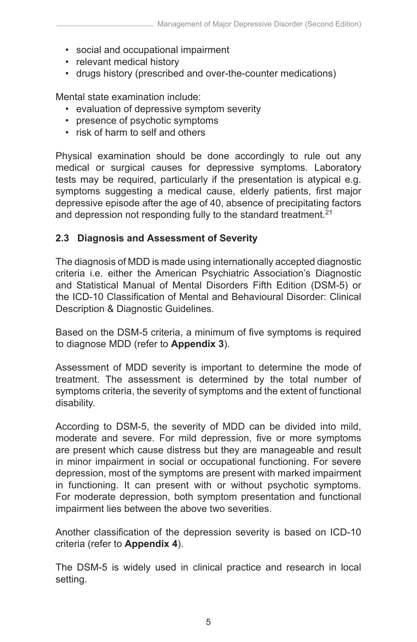- social and occupational impairment
- relevant medical history
- drugs history (prescribed and over-the-counter medications)

Mental state examination include:

- evaluation of depressive symptom severity
- presence of psychotic symptoms
- risk of harm to self and others

Physical examination should be done accordingly to rule out any medical or surgical causes for depressive symptoms. Laboratory tests may be required, particularly if the presentation is atypical e.g. symptoms suggesting a medical cause, elderly patients, first major depressive episode after the age of 40, absence of precipitating factors and depression not responding fully to the standard treatment.<sup>21</sup>

#### **2.3 Diagnosis and Assessment of Severity**

The diagnosis of MDD is made using internationally accepted diagnostic criteria i.e. either the American Psychiatric Association's Diagnostic and Statistical Manual of Mental Disorders Fifth Edition (DSM-5) or the ICD-10 Classification of Mental and Behavioural Disorder: Clinical Description & Diagnostic Guidelines.

Based on the DSM-5 criteria, a minimum of five symptoms is required to diagnose MDD (refer to **Appendix 3**).

Assessment of MDD severity is important to determine the mode of treatment. The assessment is determined by the total number of symptoms criteria, the severity of symptoms and the extent of functional disability.

According to DSM-5, the severity of MDD can be divided into mild, moderate and severe. For mild depression, five or more symptoms are present which cause distress but they are manageable and result in minor impairment in social or occupational functioning. For severe depression, most of the symptoms are present with marked impairment in functioning. It can present with or without psychotic symptoms. For moderate depression, both symptom presentation and functional impairment lies between the above two severities.

Another classification of the depression severity is based on ICD-10 criteria (refer to **Appendix 4**).

The DSM-5 is widely used in clinical practice and research in local setting.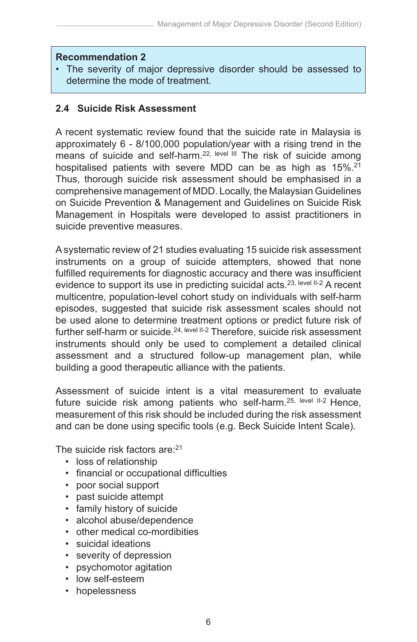#### **Recommendation 2**

• The severity of major depressive disorder should be assessed to determine the mode of treatment.

### **2.4 Suicide Risk Assessment**

A recent systematic review found that the suicide rate in Malaysia is approximately 6 - 8/100,000 population/year with a rising trend in the means of suicide and self-harm.<sup>22, level III</sup> The risk of suicide among hospitalised patients with severe MDD can be as high as 15%.<sup>21</sup> Thus, thorough suicide risk assessment should be emphasised in a comprehensive management of MDD. Locally, the Malaysian Guidelines on Suicide Prevention & Management and Guidelines on Suicide Risk Management in Hospitals were developed to assist practitioners in suicide preventive measures.

A systematic review of 21 studies evaluating 15 suicide risk assessment instruments on a group of suicide attempters, showed that none fulfilled requirements for diagnostic accuracy and there was insufficient evidence to support its use in predicting suicidal acts.<sup>23, level II-2</sup> A recent multicentre, population-level cohort study on individuals with self-harm episodes, suggested that suicide risk assessment scales should not be used alone to determine treatment options or predict future risk of further self-harm or suicide.<sup>24, level II-2</sup> Therefore, suicide risk assessment instruments should only be used to complement a detailed clinical assessment and a structured follow-up management plan, while building a good therapeutic alliance with the patients.

Assessment of suicide intent is a vital measurement to evaluate future suicide risk among patients who self-harm.<sup>25, level II-2</sup> Hence, measurement of this risk should be included during the risk assessment and can be done using specific tools (e.g. Beck Suicide Intent Scale).

The suicide risk factors are: 21

- loss of relationship
- financial or occupational difficulties
- poor social support
- past suicide attempt
- family history of suicide
- alcohol abuse/dependence
- other medical co-mordibities
- suicidal ideations
- severity of depression
- psychomotor agitation
- low self-esteem
- hopelessness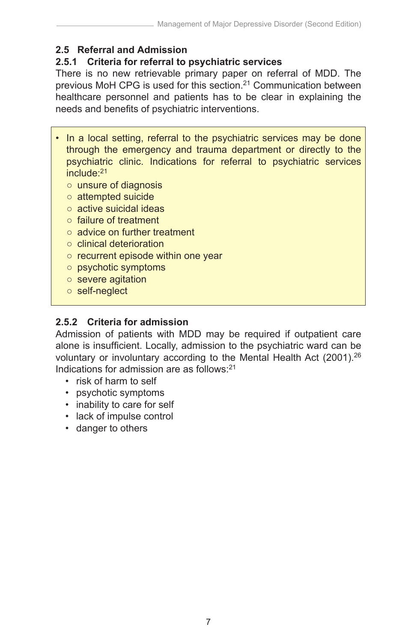# **2.5 Referral and Admission**

# **2.5.1 Criteria for referral to psychiatric services**

There is no new retrievable primary paper on referral of MDD. The previous MoH CPG is used for this section.<sup>21</sup> Communication between healthcare personnel and patients has to be clear in explaining the needs and benefits of psychiatric interventions.

- In a local setting, referral to the psychiatric services may be done through the emergency and trauma department or directly to the psychiatric clinic. Indications for referral to psychiatric services include:21
	- unsure of diagnosis
	- attempted suicide
	- active suicidal ideas
	- failure of treatment
	- advice on further treatment
	- clinical deterioration
	- recurrent episode within one year
	- psychotic symptoms
	- severe agitation
	- self-neglect

# **2.5.2 Criteria for admission**

Admission of patients with MDD may be required if outpatient care alone is insufficient. Locally, admission to the psychiatric ward can be voluntary or involuntary according to the Mental Health Act (2001).26 Indications for admission are as follows: $21$ 

- risk of harm to self
- psychotic symptoms
- inability to care for self
- lack of impulse control
- danger to others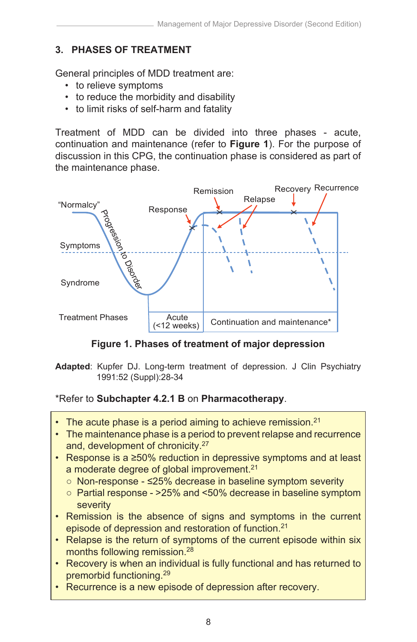# **3. PHASES OF TREATMENT**

General principles of MDD treatment are:

- to relieve symptoms
- to reduce the morbidity and disability
- to limit risks of self-harm and fatality

Treatment of MDD can be divided into three phases - acute, continuation and maintenance (refer to **Figure 1**). For the purpose of discussion in this CPG, the continuation phase is considered as part of the maintenance phase.



**Figure 1. Phases of treatment of major depression**

**Adapted**: Kupfer DJ. Long-term treatment of depression. J Clin Psychiatry 1991:52 (Suppl):28-34

# \*Refer to **Subchapter 4.2.1 B** on **Pharmacotherapy**.

- The acute phase is a period aiming to achieve remission. $21$
- The maintenance phase is a period to prevent relapse and recurrence and, development of chronicity.27
- Response is a ≥50% reduction in depressive symptoms and at least a moderate degree of global improvement.<sup>21</sup>
	- Non-response ≤25% decrease in baseline symptom severity
	- Partial response >25% and <50% decrease in baseline symptom severity
- Remission is the absence of signs and symptoms in the current episode of depression and restoration of function.21
- Relapse is the return of symptoms of the current episode within six months following remission.28
- Recovery is when an individual is fully functional and has returned to premorbid functioning.29
- Recurrence is a new episode of depression after recovery.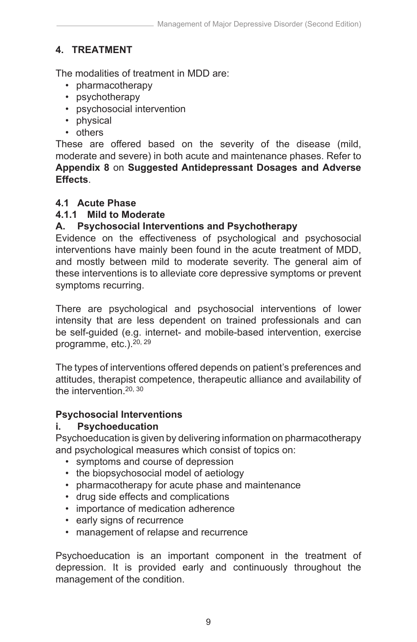# **4. TREATMENT**

The modalities of treatment in MDD are:

- pharmacotherapy
- psychotherapy
- psychosocial intervention
- physical
- others

These are offered based on the severity of the disease (mild, moderate and severe) in both acute and maintenance phases. Refer to **Appendix 8** on **Suggested Antidepressant Dosages and Adverse Effects**.

# **4.1 Acute Phase**

# **4.1.1 Mild to Moderate**

# **A. Psychosocial Interventions and Psychotherapy**

Evidence on the effectiveness of psychological and psychosocial interventions have mainly been found in the acute treatment of MDD, and mostly between mild to moderate severity. The general aim of these interventions is to alleviate core depressive symptoms or prevent symptoms recurring.

There are psychological and psychosocial interventions of lower intensity that are less dependent on trained professionals and can be self-guided (e.g. internet- and mobile-based intervention, exercise programme, etc.).20, 29

The types of interventions offered depends on patient's preferences and attitudes, therapist competence, therapeutic alliance and availability of the intervention.<sup>20, 30</sup>

# **Psychosocial Interventions**

# **i. Psychoeducation**

Psychoeducation is given by delivering information on pharmacotherapy and psychological measures which consist of topics on:

- symptoms and course of depression
- the biopsychosocial model of aetiology
- pharmacotherapy for acute phase and maintenance
- drug side effects and complications
- importance of medication adherence
- early signs of recurrence
- management of relapse and recurrence

Psychoeducation is an important component in the treatment of depression. It is provided early and continuously throughout the management of the condition.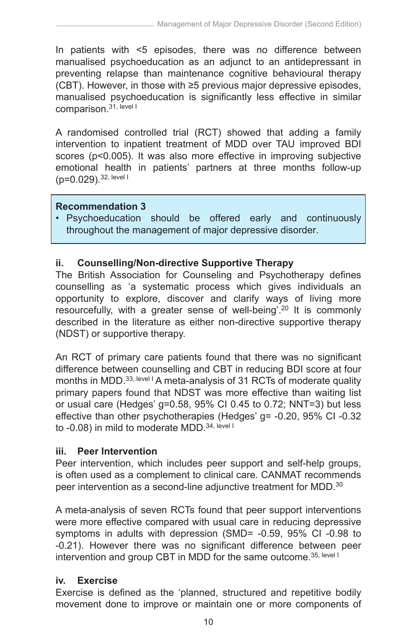In patients with <5 episodes, there was no difference between manualised psychoeducation as an adjunct to an antidepressant in preventing relapse than maintenance cognitive behavioural therapy (CBT). However, in those with ≥5 previous major depressive episodes, manualised psychoeducation is significantly less effective in similar comparison.31, level I

A randomised controlled trial (RCT) showed that adding a family intervention to inpatient treatment of MDD over TAU improved BDI scores (p<0.005). It was also more effective in improving subjective emotional health in patients' partners at three months follow-up (p=0.029).32, level I

#### **Recommendation 3**

• Psychoeducation should be offered early and continuously throughout the management of major depressive disorder.

## **ii. Counselling/Non-directive Supportive Therapy**

The British Association for Counseling and Psychotherapy defines counselling as 'a systematic process which gives individuals an opportunity to explore, discover and clarify ways of living more resourcefully, with a greater sense of well-being'.20 It is commonly described in the literature as either non-directive supportive therapy (NDST) or supportive therapy.

An RCT of primary care patients found that there was no significant difference between counselling and CBT in reducing BDI score at four months in MDD.<sup>33, level I</sup> A meta-analysis of 31 RCTs of moderate quality primary papers found that NDST was more effective than waiting list or usual care (Hedges' g=0.58, 95% CI 0.45 to 0.72; NNT=3) but less effective than other psychotherapies (Hedges' g= -0.20, 95% CI -0.32 to -0.08) in mild to moderate MDD.<sup>34, level I</sup>

#### **iii. Peer Intervention**

Peer intervention, which includes peer support and self-help groups, is often used as a complement to clinical care. CANMAT recommends peer intervention as a second-line adjunctive treatment for MDD.<sup>30</sup>

A meta-analysis of seven RCTs found that peer support interventions were more effective compared with usual care in reducing depressive symptoms in adults with depression (SMD= -0.59, 95% CI -0.98 to -0.21). However there was no significant difference between peer intervention and group CBT in MDD for the same outcome.<sup>35, level I</sup>

#### **iv. Exercise**

Exercise is defined as the 'planned, structured and repetitive bodily movement done to improve or maintain one or more components of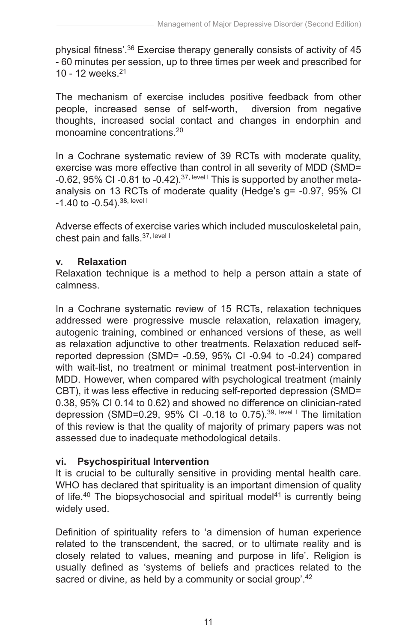physical fitness'.36 Exercise therapy generally consists of activity of 45 - 60 minutes per session, up to three times per week and prescribed for 10 - 12 weeks.21

The mechanism of exercise includes positive feedback from other people, increased sense of self-worth, diversion from negative thoughts, increased social contact and changes in endorphin and monoamine concentrations.20

In a Cochrane systematic review of 39 RCTs with moderate quality, exercise was more effective than control in all severity of MDD (SMD= -0.62, 95% CI -0.81 to -0.42).<sup>37, level I</sup> This is supported by another metaanalysis on 13 RCTs of moderate quality (Hedge's g= -0.97, 95% CI  $-1.40$  to  $-0.54$ ). 38, level I

Adverse effects of exercise varies which included musculoskeletal pain, chest pain and falls.<sup>37, level I</sup>

## **v. Relaxation**

Relaxation technique is a method to help a person attain a state of calmness.

In a Cochrane systematic review of 15 RCTs, relaxation techniques addressed were progressive muscle relaxation, relaxation imagery, autogenic training, combined or enhanced versions of these, as well as relaxation adjunctive to other treatments. Relaxation reduced selfreported depression (SMD= -0.59, 95% CI -0.94 to -0.24) compared with wait-list, no treatment or minimal treatment post-intervention in MDD. However, when compared with psychological treatment (mainly CBT), it was less effective in reducing self-reported depression (SMD= 0.38, 95% CI 0.14 to 0.62) and showed no difference on clinician-rated depression (SMD=0.29, 95% CI -0.18 to 0.75).<sup>39, level I</sup> The limitation of this review is that the quality of majority of primary papers was not assessed due to inadequate methodological details.

# **vi. Psychospiritual Intervention**

It is crucial to be culturally sensitive in providing mental health care. WHO has declared that spirituality is an important dimension of quality of life.<sup>40</sup> The biopsychosocial and spiritual model<sup>41</sup> is currently being widely used.

Definition of spirituality refers to 'a dimension of human experience related to the transcendent, the sacred, or to ultimate reality and is closely related to values, meaning and purpose in life'. Religion is usually defined as 'systems of beliefs and practices related to the sacred or divine, as held by a community or social group'.<sup>42</sup>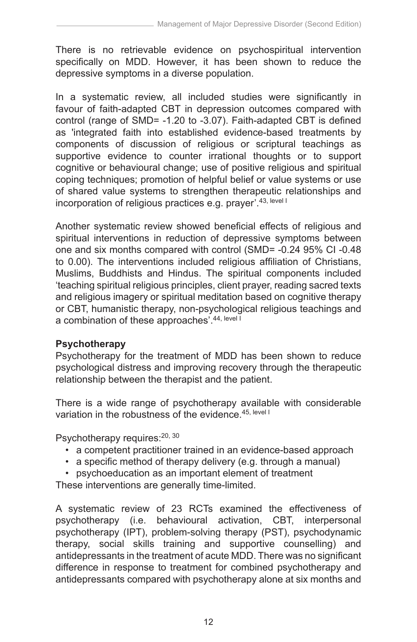There is no retrievable evidence on psychospiritual intervention specifically on MDD. However, it has been shown to reduce the depressive symptoms in a diverse population.

In a systematic review, all included studies were significantly in favour of faith-adapted CBT in depression outcomes compared with control (range of SMD= -1.20 to -3.07). Faith-adapted CBT is defined as 'integrated faith into established evidence-based treatments by components of discussion of religious or scriptural teachings as supportive evidence to counter irrational thoughts or to support cognitive or behavioural change; use of positive religious and spiritual coping techniques; promotion of helpful belief or value systems or use of shared value systems to strengthen therapeutic relationships and incorporation of religious practices e.g. prayer<sup>'</sup>.<sup>43, level I</sup>

Another systematic review showed beneficial effects of religious and spiritual interventions in reduction of depressive symptoms between one and six months compared with control (SMD= -0.24 95% CI -0.48 to 0.00). The interventions included religious affiliation of Christians, Muslims, Buddhists and Hindus. The spiritual components included 'teaching spiritual religious principles, client prayer, reading sacred texts and religious imagery or spiritual meditation based on cognitive therapy or CBT, humanistic therapy, non-psychological religious teachings and a combination of these approaches'.<sup>44, level I</sup>

# **Psychotherapy**

Psychotherapy for the treatment of MDD has been shown to reduce psychological distress and improving recovery through the therapeutic relationship between the therapist and the patient.

There is a wide range of psychotherapy available with considerable variation in the robustness of the evidence.<sup>45, level I</sup>

Psychotherapy requires:<sup>20, 30</sup>

- a competent practitioner trained in an evidence-based approach
- a specific method of therapy delivery (e.g. through a manual)
- psychoeducation as an important element of treatment

These interventions are generally time-limited.

A systematic review of 23 RCTs examined the effectiveness of psychotherapy (i.e. behavioural activation, CBT, interpersonal psychotherapy (IPT), problem-solving therapy (PST), psychodynamic therapy, social skills training and supportive counselling) and antidepressants in the treatment of acute MDD. There was no significant difference in response to treatment for combined psychotherapy and antidepressants compared with psychotherapy alone at six months and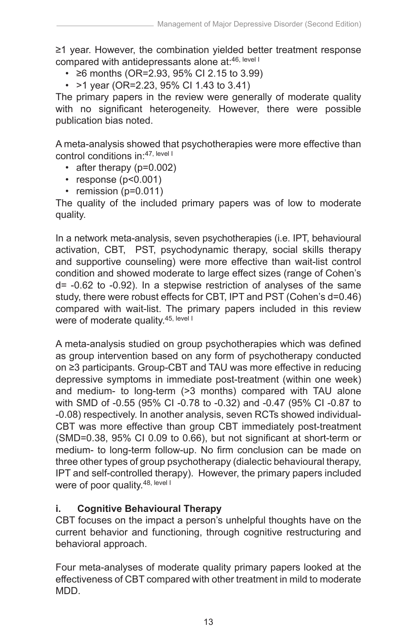≥1 year. However, the combination yielded better treatment response compared with antidepressants alone at: 46, level I

- ≥6 months (OR=2.93, 95% CI 2.15 to 3.99)
- >1 year (OR=2.23, 95% CI 1.43 to 3.41)

The primary papers in the review were generally of moderate quality with no significant heterogeneity. However, there were possible publication bias noted.

A meta-analysis showed that psychotherapies were more effective than control conditions in:47, level I

- after therapy (p=0.002)
- $\cdot$  response ( $p < 0.001$ )
- remission (p=0.011)

The quality of the included primary papers was of low to moderate quality.

In a network meta-analysis, seven psychotherapies (i.e. IPT, behavioural activation, CBT, PST, psychodynamic therapy, social skills therapy and supportive counseling) were more effective than wait-list control condition and showed moderate to large effect sizes (range of Cohen's d= -0.62 to -0.92). In a stepwise restriction of analyses of the same study, there were robust effects for CBT, IPT and PST (Cohen's d=0.46) compared with wait-list. The primary papers included in this review were of moderate quality.<sup>45, level I</sup>

A meta-analysis studied on group psychotherapies which was defined as group intervention based on any form of psychotherapy conducted on ≥3 participants. Group-CBT and TAU was more effective in reducing depressive symptoms in immediate post-treatment (within one week) and medium- to long-term (>3 months) compared with TAU alone with SMD of -0.55 (95% CI -0.78 to -0.32) and -0.47 (95% CI -0.87 to -0.08) respectively. In another analysis, seven RCTs showed individual-CBT was more effective than group CBT immediately post-treatment (SMD=0.38, 95% CI 0.09 to 0.66), but not significant at short-term or medium- to long-term follow-up. No firm conclusion can be made on three other types of group psychotherapy (dialectic behavioural therapy, IPT and self-controlled therapy). However, the primary papers included were of poor quality.<sup>48, level I</sup>

# **i. Cognitive Behavioural Therapy**

CBT focuses on the impact a person's unhelpful thoughts have on the current behavior and functioning, through cognitive restructuring and behavioral approach.

Four meta-analyses of moderate quality primary papers looked at the effectiveness of CBT compared with other treatment in mild to moderate MDD.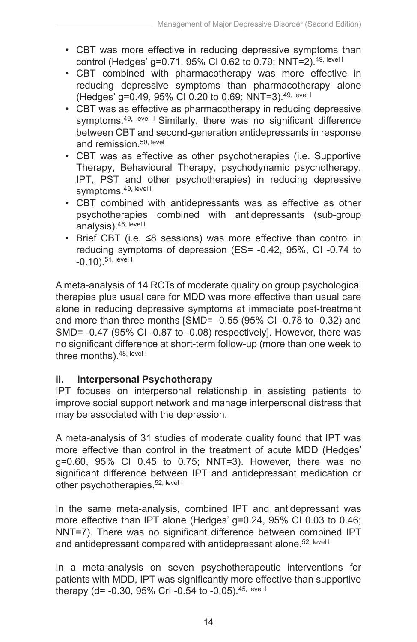- CBT was more effective in reducing depressive symptoms than control (Hedges' g=0.71, 95% CI 0.62 to 0.79; NNT=2).49, level I
- CBT combined with pharmacotherapy was more effective in reducing depressive symptoms than pharmacotherapy alone (Hedges' g=0.49, 95% CI 0.20 to 0.69; NNT=3).49, level I
- CBT was as effective as pharmacotherapy in reducing depressive symptoms.<sup>49, level I</sup> Similarly, there was no significant difference between CBT and second-generation antidepressants in response and remission.<sup>50, level I</sup>
- CBT was as effective as other psychotherapies (i.e. Supportive Therapy, Behavioural Therapy, psychodynamic psychotherapy, IPT, PST and other psychotherapies) in reducing depressive symptoms.49, level I
- CBT combined with antidepressants was as effective as other psychotherapies combined with antidepressants (sub-group analysis).46, level I
- Brief CBT (i.e. ≤8 sessions) was more effective than control in reducing symptoms of depression (ES= -0.42, 95%, CI -0.74 to  $-0.10$ ).  $51$ , level I

A meta-analysis of 14 RCTs of moderate quality on group psychological therapies plus usual care for MDD was more effective than usual care alone in reducing depressive symptoms at immediate post-treatment and more than three months [SMD= -0.55 (95% CI -0.78 to -0.32) and SMD= -0.47 (95% CI -0.87 to -0.08) respectively]. However, there was no significant difference at short-term follow-up (more than one week to three months). 48, level I

# **ii. Interpersonal Psychotherapy**

IPT focuses on interpersonal relationship in assisting patients to improve social support network and manage interpersonal distress that may be associated with the depression.

A meta-analysis of 31 studies of moderate quality found that IPT was more effective than control in the treatment of acute MDD (Hedges' g=0.60, 95% CI 0.45 to 0.75; NNT=3). However, there was no significant difference between IPT and antidepressant medication or other psychotherapies.<sup>52, level I</sup>

In the same meta-analysis, combined IPT and antidepressant was more effective than IPT alone (Hedges' g=0.24, 95% CI 0.03 to 0.46; NNT=7). There was no significant difference between combined IPT and antidepressant compared with antidepressant alone.<sup>52, level I</sup>

In a meta-analysis on seven psychotherapeutic interventions for patients with MDD, IPT was significantly more effective than supportive therapy (d= -0.30, 95% CrI -0.54 to -0.05).<sup>45, level I</sup>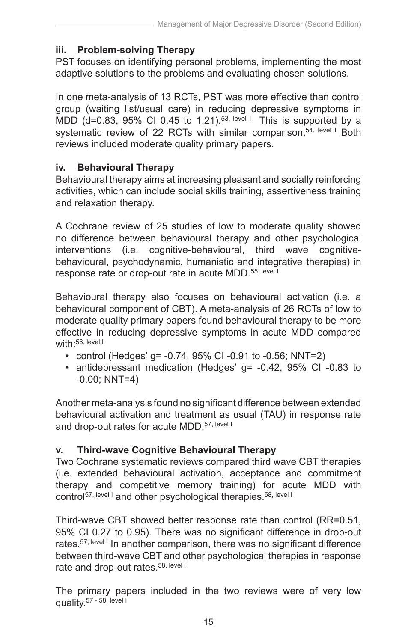## **iii. Problem-solving Therapy**

PST focuses on identifying personal problems, implementing the most adaptive solutions to the problems and evaluating chosen solutions.

In one meta-analysis of 13 RCTs, PST was more effective than control group (waiting list/usual care) in reducing depressive symptoms in MDD (d=0.83, 95% CI 0.45 to 1.21).<sup>53, level 1</sup> This is supported by a systematic review of 22 RCTs with similar comparison.<sup>54, level I</sup> Both reviews included moderate quality primary papers.

#### **iv. Behavioural Therapy**

Behavioural therapy aims at increasing pleasant and socially reinforcing activities, which can include social skills training, assertiveness training and relaxation therapy.

A Cochrane review of 25 studies of low to moderate quality showed no difference between behavioural therapy and other psychological interventions (i.e. cognitive-behavioural, third wave cognitivebehavioural, psychodynamic, humanistic and integrative therapies) in response rate or drop-out rate in acute MDD.<sup>55, level I</sup>

Behavioural therapy also focuses on behavioural activation (i.e. a behavioural component of CBT). A meta-analysis of 26 RCTs of low to moderate quality primary papers found behavioural therapy to be more effective in reducing depressive symptoms in acute MDD compared with: 56, level I

- control (Hedges' g= -0.74, 95% CI -0.91 to -0.56; NNT=2)
- antidepressant medication (Hedges' g= -0.42, 95% CI -0.83 to -0.00; NNT=4)

Another meta-analysis found no significant difference between extended behavioural activation and treatment as usual (TAU) in response rate and drop-out rates for acute MDD.<sup>57, level I</sup>

# **v. Third-wave Cognitive Behavioural Therapy**

Two Cochrane systematic reviews compared third wave CBT therapies (i.e. extended behavioural activation, acceptance and commitment therapy and competitive memory training) for acute MDD with control<sup>57, level I</sup> and other psychological therapies.<sup>58, level I</sup>

Third-wave CBT showed better response rate than control (RR=0.51, 95% CI 0.27 to 0.95). There was no significant difference in drop-out rates.<sup>57, level I</sup> In another comparison, there was no significant difference between third-wave CBT and other psychological therapies in response rate and drop-out rates.<sup>58, level I</sup>

The primary papers included in the two reviews were of very low quality.<sup>57</sup> - 58, level I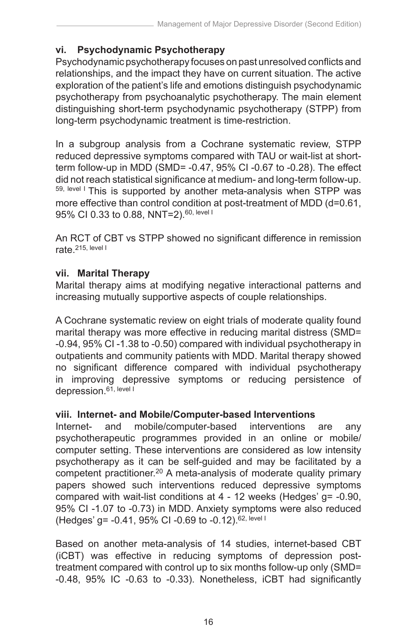## **vi. Psychodynamic Psychotherapy**

Psychodynamic psychotherapy focuses on past unresolved conflicts and relationships, and the impact they have on current situation. The active exploration of the patient's life and emotions distinguish psychodynamic psychotherapy from psychoanalytic psychotherapy. The main element distinguishing short-term psychodynamic psychotherapy (STPP) from long-term psychodynamic treatment is time-restriction.

In a subgroup analysis from a Cochrane systematic review, STPP reduced depressive symptoms compared with TAU or wait-list at shortterm follow-up in MDD (SMD= -0.47, 95% CI -0.67 to -0.28). The effect did not reach statistical significance at medium- and long-term follow-up. 59, level I This is supported by another meta-analysis when STPP was more effective than control condition at post-treatment of MDD (d=0.61, 95% CI 0.33 to 0.88, NNT=2).<sup>60, level I</sup>

An RCT of CBT vs STPP showed no significant difference in remission rate.215, level I

## **vii. Marital Therapy**

Marital therapy aims at modifying negative interactional patterns and increasing mutually supportive aspects of couple relationships.

A Cochrane systematic review on eight trials of moderate quality found marital therapy was more effective in reducing marital distress (SMD= -0.94, 95% CI -1.38 to -0.50) compared with individual psychotherapy in outpatients and community patients with MDD. Marital therapy showed no significant difference compared with individual psychotherapy in improving depressive symptoms or reducing persistence of depression.<sup>61, level I</sup>

## **viii. Internet- and Mobile/Computer-based Interventions**

Internet- and mobile/computer-based interventions are any psychotherapeutic programmes provided in an online or mobile/ computer setting. These interventions are considered as low intensity psychotherapy as it can be self-guided and may be facilitated by a competent practitioner.20 A meta-analysis of moderate quality primary papers showed such interventions reduced depressive symptoms compared with wait-list conditions at 4 - 12 weeks (Hedges' g= -0.90, 95% CI -1.07 to -0.73) in MDD. Anxiety symptoms were also reduced (Hedges' g= -0.41, 95% CI -0.69 to -0.12).62, level I

Based on another meta-analysis of 14 studies, internet-based CBT (iCBT) was effective in reducing symptoms of depression posttreatment compared with control up to six months follow-up only (SMD= -0.48, 95% IC -0.63 to -0.33). Nonetheless, iCBT had significantly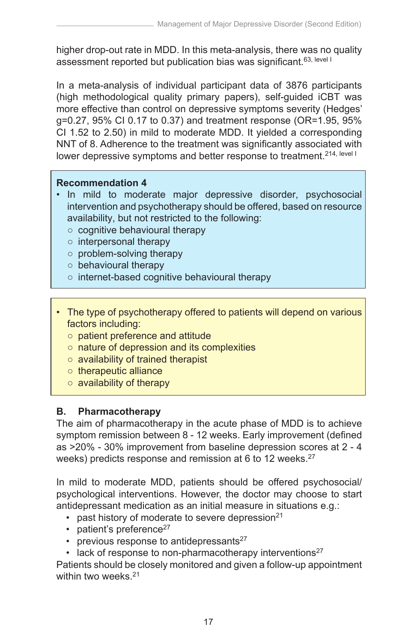higher drop-out rate in MDD. In this meta-analysis, there was no quality assessment reported but publication bias was significant.<sup>63, level I</sup>

In a meta-analysis of individual participant data of 3876 participants (high methodological quality primary papers), self-guided iCBT was more effective than control on depressive symptoms severity (Hedges' g=0.27, 95% CI 0.17 to 0.37) and treatment response (OR=1.95, 95% CI 1.52 to 2.50) in mild to moderate MDD. It yielded a corresponding NNT of 8. Adherence to the treatment was significantly associated with lower depressive symptoms and better response to treatment.<sup>214, level I</sup>

#### **Recommendation 4**

- In mild to moderate major depressive disorder, psychosocial intervention and psychotherapy should be offered, based on resource availability, but not restricted to the following:
	- cognitive behavioural therapy
	- interpersonal therapy
	- problem-solving therapy
	- behavioural therapy
	- internet-based cognitive behavioural therapy
- The type of psychotherapy offered to patients will depend on various factors including:
	- patient preference and attitude
	- nature of depression and its complexities
	- availability of trained therapist
	- therapeutic alliance
	- availability of therapy

## **B. Pharmacotherapy**

The aim of pharmacotherapy in the acute phase of MDD is to achieve symptom remission between 8 - 12 weeks. Early improvement (defined as >20% - 30% improvement from baseline depression scores at 2 - 4 weeks) predicts response and remission at 6 to 12 weeks.<sup>27</sup>

In mild to moderate MDD, patients should be offered psychosocial/ psychological interventions. However, the doctor may choose to start antidepressant medication as an initial measure in situations e.g.:

- past history of moderate to severe depression $21$
- patient's preference $27$
- previous response to antidepressants $27$
- $\cdot$  lack of response to non-pharmacotherapy interventions<sup>27</sup>

Patients should be closely monitored and given a follow-up appointment within two weeks.<sup>21</sup>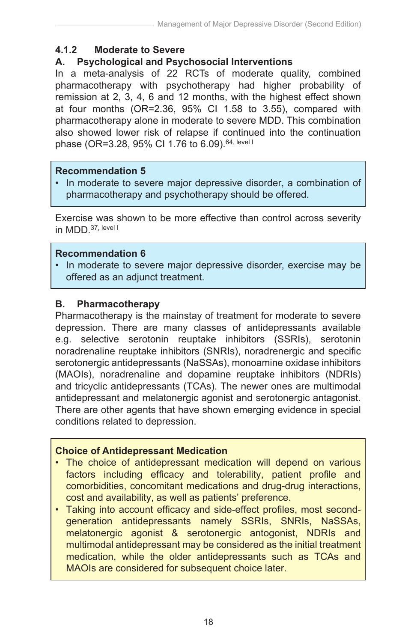## **4.1.2 Moderate to Severe**

## **A. Psychological and Psychosocial Interventions**

In a meta-analysis of 22 RCTs of moderate quality, combined pharmacotherapy with psychotherapy had higher probability of remission at 2, 3, 4, 6 and 12 months, with the highest effect shown at four months (OR=2.36, 95% CI 1.58 to 3.55), compared with pharmacotherapy alone in moderate to severe MDD. This combination also showed lower risk of relapse if continued into the continuation phase (OR=3.28, 95% CI 1.76 to 6.09).<sup>64, level I</sup>

#### **Recommendation 5**

• In moderate to severe major depressive disorder, a combination of pharmacotherapy and psychotherapy should be offered.

Exercise was shown to be more effective than control across severity in MDD 37, level I

#### **Recommendation 6**

• In moderate to severe major depressive disorder, exercise may be offered as an adjunct treatment.

#### **B. Pharmacotherapy**

Pharmacotherapy is the mainstay of treatment for moderate to severe depression. There are many classes of antidepressants available e.g. selective serotonin reuptake inhibitors (SSRIs), serotonin noradrenaline reuptake inhibitors (SNRIs), noradrenergic and specific serotonergic antidepressants (NaSSAs), monoamine oxidase inhibitors (MAOIs), noradrenaline and dopamine reuptake inhibitors (NDRIs) and tricyclic antidepressants (TCAs). The newer ones are multimodal antidepressant and melatonergic agonist and serotonergic antagonist. There are other agents that have shown emerging evidence in special conditions related to depression.

#### **Choice of Antidepressant Medication**

- The choice of antidepressant medication will depend on various factors including efficacy and tolerability, patient profile and comorbidities, concomitant medications and drug-drug interactions, cost and availability, as well as patients' preference.
- Taking into account efficacy and side-effect profiles, most secondgeneration antidepressants namely SSRIs, SNRIs, NaSSAs, melatonergic agonist & serotonergic antogonist, NDRIs and multimodal antidepressant may be considered as the initial treatment medication, while the older antidepressants such as TCAs and MAOIs are considered for subsequent choice later.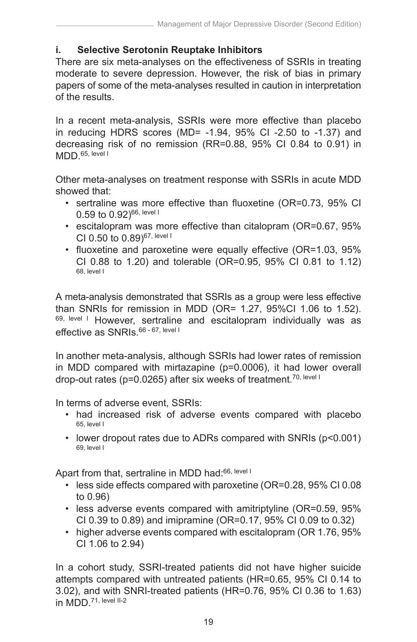#### **i. Selective Serotonin Reuptake Inhibitors**

There are six meta-analyses on the effectiveness of SSRIs in treating moderate to severe depression. However, the risk of bias in primary papers of some of the meta-analyses resulted in caution in interpretation of the results.

In a recent meta-analysis, SSRIs were more effective than placebo in reducing HDRS scores (MD= -1.94, 95% CI -2.50 to -1.37) and decreasing risk of no remission (RR=0.88, 95% CI 0.84 to 0.91) in MDD.<sup>65, level I</sup>

Other meta-analyses on treatment response with SSRIs in acute MDD showed that:

- sertraline was more effective than fluoxetine (OR=0.73, 95% CI 0.59 to 0.92)66, level I
- escitalopram was more effective than citalopram (OR=0.67, 95% CI 0.50 to 0.89)67, level I
- fluoxetine and paroxetine were equally effective (OR=1.03, 95% CI 0.88 to 1.20) and tolerable (OR=0.95, 95% CI 0.81 to 1.12) 68, level I

A meta-analysis demonstrated that SSRIs as a group were less effective than SNRIs for remission in MDD (OR= 1.27, 95%CI 1.06 to 1.52). 69, level I However, sertraline and escitalopram individually was as effective as SNRIs. 66 - 67, level I

In another meta-analysis, although SSRIs had lower rates of remission in MDD compared with mirtazapine (p=0.0006), it had lower overall drop-out rates (p=0.0265) after six weeks of treatment.<sup>70, level I</sup>

In terms of adverse event, SSRIs:

- had increased risk of adverse events compared with placebo 65, level I
- lower dropout rates due to ADRs compared with SNRIs (p<0.001) 69, level I

Apart from that, sertraline in MDD had: 66, level I

- less side effects compared with paroxetine (OR=0.28, 95% CI 0.08 to 0.96)
- less adverse events compared with amitriptyline (OR=0.59, 95% CI 0.39 to 0.89) and imipramine (OR=0.17, 95% CI 0.09 to 0.32)
- higher adverse events compared with escitalopram (OR 1.76, 95% CI 1.06 to 2.94)

In a cohort study, SSRI-treated patients did not have higher suicide attempts compared with untreated patients (HR=0.65, 95% CI 0.14 to 3.02), and with SNRI-treated patients (HR=0.76, 95% CI 0.36 to 1.63) in MDD.71, level II-2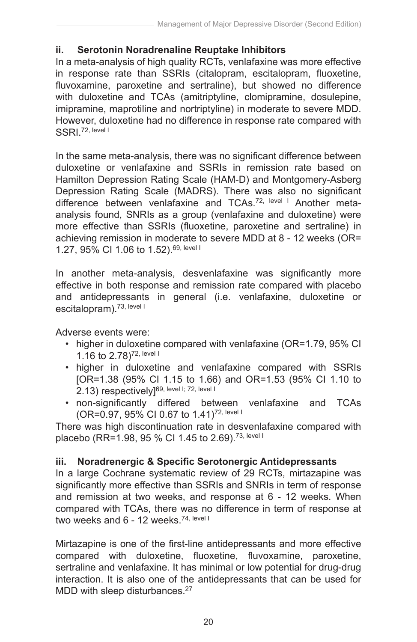#### **ii. Serotonin Noradrenaline Reuptake Inhibitors**

In a meta-analysis of high quality RCTs, venlafaxine was more effective in response rate than SSRIs (citalopram, escitalopram, fluoxetine, fluvoxamine, paroxetine and sertraline), but showed no difference with duloxetine and TCAs (amitriptyline, clomipramine, dosulepine, imipramine, maprotiline and nortriptyline) in moderate to severe MDD. However, duloxetine had no difference in response rate compared with SSRI<sup>72, level I</sup>

In the same meta-analysis, there was no significant difference between duloxetine or venlafaxine and SSRIs in remission rate based on Hamilton Depression Rating Scale (HAM-D) and Montgomery-Asberg Depression Rating Scale (MADRS). There was also no significant difference between venlafaxine and TCAs.<sup>72, level I</sup> Another metaanalysis found, SNRIs as a group (venlafaxine and duloxetine) were more effective than SSRIs (fluoxetine, paroxetine and sertraline) in achieving remission in moderate to severe MDD at 8 - 12 weeks (OR= 1.27, 95% CI 1.06 to 1.52).69, level I

In another meta-analysis, desvenlafaxine was significantly more effective in both response and remission rate compared with placebo and antidepressants in general (i.e. venlafaxine, duloxetine or escitalopram).<sup>73, level I</sup>

Adverse events were:

- higher in duloxetine compared with venlafaxine (OR=1.79, 95% CI) 1.16 to 2.78)72, level I
- higher in duloxetine and venlafaxine compared with SSRIs [OR=1.38 (95% CI 1.15 to 1.66) and OR=1.53 (95% CI 1.10 to 2.13) respectively]<sup>69, level I; 72, level I</sup>
- non-significantly differed between venlafaxine and TCAs (OR=0.97, 95% CI 0.67 to 1.41)72, level I

There was high discontinuation rate in desvenlafaxine compared with placebo (RR=1.98, 95 % CI 1.45 to 2.69).<sup>73, level I</sup>

## **iii. Noradrenergic & Specific Serotonergic Antidepressants**

In a large Cochrane systematic review of 29 RCTs, mirtazapine was significantly more effective than SSRIs and SNRIs in term of response and remission at two weeks, and response at 6 - 12 weeks. When compared with TCAs, there was no difference in term of response at two weeks and 6 - 12 weeks.<sup>74, level I</sup>

Mirtazapine is one of the first-line antidepressants and more effective compared with duloxetine, fluoxetine, fluvoxamine, paroxetine, sertraline and venlafaxine. It has minimal or low potential for drug-drug interaction. It is also one of the antidepressants that can be used for MDD with sleep disturbances.<sup>27</sup>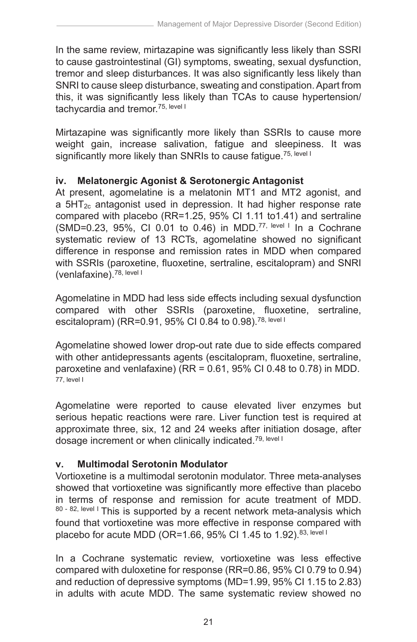In the same review, mirtazapine was significantly less likely than SSRI to cause gastrointestinal (GI) symptoms, sweating, sexual dysfunction, tremor and sleep disturbances. It was also significantly less likely than SNRI to cause sleep disturbance, sweating and constipation. Apart from this, it was significantly less likely than TCAs to cause hypertension/ tachycardia and tremor.<sup>75, level I</sup>

Mirtazapine was significantly more likely than SSRIs to cause more weight gain, increase salivation, fatigue and sleepiness. It was significantly more likely than SNRIs to cause fatigue.<sup>75, level I</sup>

#### **iv. Melatonergic Agonist & Serotonergic Antagonist**

At present, agomelatine is a melatonin MT1 and MT2 agonist, and a  $5HT_{2c}$  antagonist used in depression. It had higher response rate compared with placebo (RR=1.25, 95% CI 1.11 to1.41) and sertraline (SMD=0.23, 95%, CI 0.01 to 0.46) in MDD.<sup>77, level I</sup> In a Cochrane systematic review of 13 RCTs, agomelatine showed no significant difference in response and remission rates in MDD when compared with SSRIs (paroxetine, fluoxetine, sertraline, escitalopram) and SNRI (venlafaxine).78, level I

Agomelatine in MDD had less side effects including sexual dysfunction compared with other SSRIs (paroxetine, fluoxetine, sertraline, escitalopram) (RR=0.91, 95% CI 0.84 to 0.98).78, level I

Agomelatine showed lower drop-out rate due to side effects compared with other antidepressants agents (escitalopram, fluoxetine, sertraline, paroxetine and venlafaxine) (RR = 0.61, 95% CI 0.48 to 0.78) in MDD. 77, level I

Agomelatine were reported to cause elevated liver enzymes but serious hepatic reactions were rare. Liver function test is required at approximate three, six, 12 and 24 weeks after initiation dosage, after dosage increment or when clinically indicated.<sup>79, level I</sup>

## **v. Multimodal Serotonin Modulator**

Vortioxetine is a multimodal serotonin modulator. Three meta-analyses showed that vortioxetine was significantly more effective than placebo in terms of response and remission for acute treatment of MDD. 80 - 82, level I This is supported by a recent network meta-analysis which found that vortioxetine was more effective in response compared with placebo for acute MDD (OR=1.66, 95% CI 1.45 to 1.92).<sup>83, level I</sup>

In a Cochrane systematic review, vortioxetine was less effective compared with duloxetine for response (RR=0.86, 95% CI 0.79 to 0.94) and reduction of depressive symptoms (MD=1.99, 95% CI 1.15 to 2.83) in adults with acute MDD. The same systematic review showed no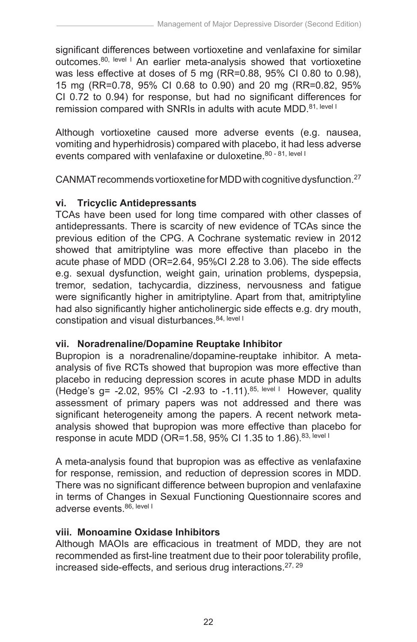significant differences between vortioxetine and venlafaxine for similar outcomes.80, level I An earlier meta-analysis showed that vortioxetine was less effective at doses of 5 mg (RR=0.88, 95% CI 0.80 to 0.98), 15 mg (RR=0.78, 95% CI 0.68 to 0.90) and 20 mg (RR=0.82, 95% CI 0.72 to 0.94) for response, but had no significant differences for remission compared with SNRIs in adults with acute MDD.<sup>81, level I</sup>

Although vortioxetine caused more adverse events (e.g. nausea, vomiting and hyperhidrosis) compared with placebo, it had less adverse events compared with venlafaxine or duloxetine.<sup>80 - 81, level I</sup>

CANMAT recommends vortioxetine for MDD with cognitive dysfunction.27

# **vi. Tricyclic Antidepressants**

TCAs have been used for long time compared with other classes of antidepressants. There is scarcity of new evidence of TCAs since the previous edition of the CPG. A Cochrane systematic review in 2012 showed that amitriptyline was more effective than placebo in the acute phase of MDD (OR=2.64, 95%CI 2.28 to 3.06). The side effects e.g. sexual dysfunction, weight gain, urination problems, dyspepsia, tremor, sedation, tachycardia, dizziness, nervousness and fatigue were significantly higher in amitriptyline. Apart from that, amitriptyline had also significantly higher anticholinergic side effects e.g. dry mouth, constipation and visual disturbances.<sup>84, level I</sup>

## **vii. Noradrenaline/Dopamine Reuptake Inhibitor**

Bupropion is a noradrenaline/dopamine-reuptake inhibitor. A metaanalysis of five RCTs showed that bupropion was more effective than placebo in reducing depression scores in acute phase MDD in adults (Hedge's  $q = -2.02$ , 95% CI -2.93 to  $-1.11$ ).<sup>85, level I</sup> However, quality assessment of primary papers was not addressed and there was significant heterogeneity among the papers. A recent network metaanalysis showed that bupropion was more effective than placebo for response in acute MDD (OR=1.58, 95% CI 1.35 to 1.86).<sup>83, level I</sup>

A meta-analysis found that bupropion was as effective as venlafaxine for response, remission, and reduction of depression scores in MDD. There was no significant difference between bupropion and venlafaxine in terms of Changes in Sexual Functioning Questionnaire scores and adverse events. 86, level I

## **viii. Monoamine Oxidase Inhibitors**

Although MAOIs are efficacious in treatment of MDD, they are not recommended as first-line treatment due to their poor tolerability profile, increased side-effects, and serious drug interactions.27, 29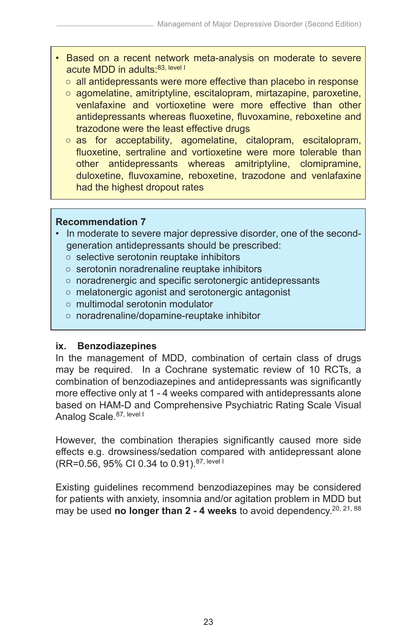- Based on a recent network meta-analysis on moderate to severe acute MDD in adults:<sup>83, level I</sup>
	- $\circ$  all antidepressants were more effective than placebo in response
	- agomelatine, amitriptyline, escitalopram, mirtazapine, paroxetine, venlafaxine and vortioxetine were more effective than other antidepressants whereas fluoxetine, fluvoxamine, reboxetine and trazodone were the least effective drugs
	- as for acceptability, agomelatine, citalopram, escitalopram, fluoxetine, sertraline and vortioxetine were more tolerable than other antidepressants whereas amitriptyline, clomipramine, duloxetine, fluvoxamine, reboxetine, trazodone and venlafaxine had the highest dropout rates

#### **Recommendation 7**

- In moderate to severe major depressive disorder, one of the secondgeneration antidepressants should be prescribed:
	- selective serotonin reuptake inhibitors
	- serotonin noradrenaline reuptake inhibitors
	- noradrenergic and specific serotonergic antidepressants
	- melatonergic agonist and serotonergic antagonist
	- multimodal serotonin modulator
	- noradrenaline/dopamine-reuptake inhibitor

#### **ix. Benzodiazepines**

In the management of MDD, combination of certain class of drugs may be required. In a Cochrane systematic review of 10 RCTs, a combination of benzodiazepines and antidepressants was significantly more effective only at 1 - 4 weeks compared with antidepressants alone based on HAM-D and Comprehensive Psychiatric Rating Scale Visual Analog Scale. 87, level I

However, the combination therapies significantly caused more side effects e.g. drowsiness/sedation compared with antidepressant alone (RR=0.56, 95% CI 0.34 to 0.91).87, level I

Existing guidelines recommend benzodiazepines may be considered for patients with anxiety, insomnia and/or agitation problem in MDD but may be used **no longer than 2 - 4 weeks** to avoid dependency.20, 21, 88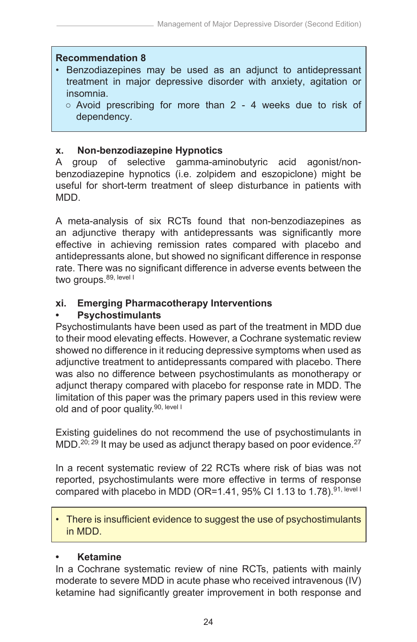#### **Recommendation 8**

- Benzodiazepines may be used as an adjunct to antidepressant treatment in major depressive disorder with anxiety, agitation or insomnia.
	- Avoid prescribing for more than 2 4 weeks due to risk of dependency.

#### **x. Non-benzodiazepine Hypnotics**

A group of selective gamma-aminobutyric acid agonist/nonbenzodiazepine hypnotics (i.e. zolpidem and eszopiclone) might be useful for short-term treatment of sleep disturbance in patients with MDD.

A meta-analysis of six RCTs found that non-benzodiazepines as an adjunctive therapy with antidepressants was significantly more effective in achieving remission rates compared with placebo and antidepressants alone, but showed no significant difference in response rate. There was no significant difference in adverse events between the two groups. 89, level I

#### **xi. Emerging Pharmacotherapy Interventions**

#### **Psychostimulants**

Psychostimulants have been used as part of the treatment in MDD due to their mood elevating effects. However, a Cochrane systematic review showed no difference in it reducing depressive symptoms when used as adjunctive treatment to antidepressants compared with placebo. There was also no difference between psychostimulants as monotherapy or adjunct therapy compared with placebo for response rate in MDD. The limitation of this paper was the primary papers used in this review were old and of poor quality.<sup>90, level I</sup>

Existing guidelines do not recommend the use of psychostimulants in MDD.<sup>20; 29</sup> It may be used as adjunct therapy based on poor evidence.<sup>27</sup>

In a recent systematic review of 22 RCTs where risk of bias was not reported, psychostimulants were more effective in terms of response compared with placebo in MDD (OR=1.41, 95% CI 1.13 to 1.78).<sup>91, level I</sup>

There is insufficient evidence to suggest the use of psychostimulants in MDD.

#### **• Ketamine**

In a Cochrane systematic review of nine RCTs, patients with mainly moderate to severe MDD in acute phase who received intravenous (IV) ketamine had significantly greater improvement in both response and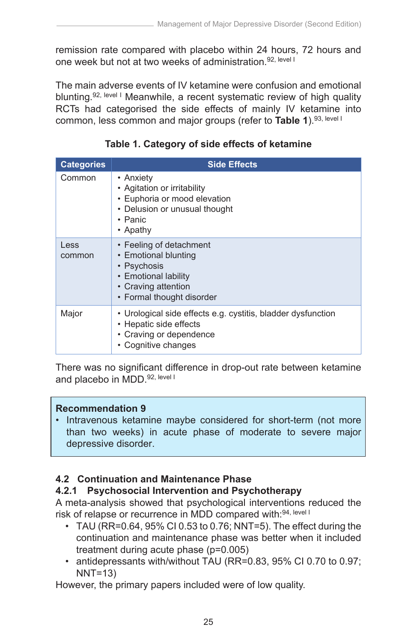remission rate compared with placebo within 24 hours, 72 hours and one week but not at two weeks of administration.<sup>92, level I</sup>

The main adverse events of IV ketamine were confusion and emotional blunting.<sup>92, level I</sup> Meanwhile, a recent systematic review of high quality RCTs had categorised the side effects of mainly IV ketamine into common, less common and major groups (refer to **Table 1**).93, level I

| <b>Categories</b> | <b>Side Effects</b>                                                                                                                        |
|-------------------|--------------------------------------------------------------------------------------------------------------------------------------------|
| Common            | • Anxiety<br>• Agitation or irritability<br>• Euphoria or mood elevation<br>• Delusion or unusual thought<br>$\cdot$ Panic<br>• Apathy     |
| Less<br>common    | • Feeling of detachment<br>• Emotional blunting<br>• Psychosis<br>• Emotional lability<br>• Craving attention<br>• Formal thought disorder |
| Major             | • Urological side effects e.g. cystitis, bladder dysfunction<br>• Hepatic side effects<br>• Craving or dependence<br>• Cognitive changes   |

# **Table 1. Category of side effects of ketamine**

There was no significant difference in drop-out rate between ketamine and placebo in MDD.<sup>92, level I</sup>

#### **Recommendation 9**

• Intravenous ketamine maybe considered for short-term (not more than two weeks) in acute phase of moderate to severe major depressive disorder.

## **4.2 Continuation and Maintenance Phase**

# **4.2.1 Psychosocial Intervention and Psychotherapy**

A meta-analysis showed that psychological interventions reduced the risk of relapse or recurrence in MDD compared with: 94, level I

- TAU (RR=0.64, 95% CI 0.53 to 0.76; NNT=5). The effect during the continuation and maintenance phase was better when it included treatment during acute phase (p=0.005)
- antidepressants with/without TAU (RR=0.83, 95% CI 0.70 to 0.97; NNT=13)

However, the primary papers included were of low quality.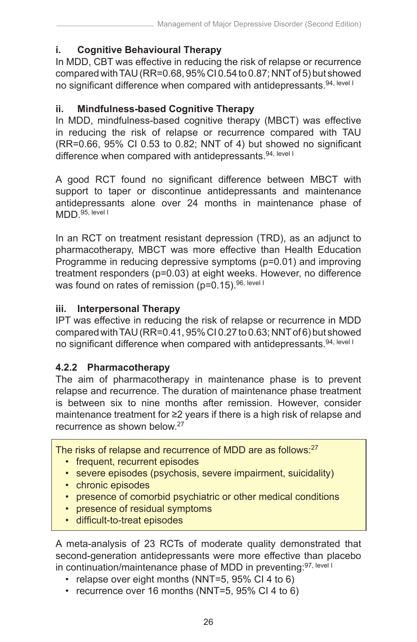# **i. Cognitive Behavioural Therapy**

In MDD, CBT was effective in reducing the risk of relapse or recurrence compared with TAU (RR=0.68, 95% CI 0.54 to 0.87; NNT of 5) but showed no significant difference when compared with antidepressants.<sup>94, level I</sup>

## **ii. Mindfulness-based Cognitive Therapy**

In MDD, mindfulness-based cognitive therapy (MBCT) was effective in reducing the risk of relapse or recurrence compared with TAU (RR=0.66, 95% CI 0.53 to 0.82; NNT of 4) but showed no significant difference when compared with antidepressants.<sup>94, level I</sup>

A good RCT found no significant difference between MBCT with support to taper or discontinue antidepressants and maintenance antidepressants alone over 24 months in maintenance phase of MDD.<sup>95, level I</sup>

In an RCT on treatment resistant depression (TRD), as an adjunct to pharmacotherapy, MBCT was more effective than Health Education Programme in reducing depressive symptoms (p=0.01) and improving treatment responders (p=0.03) at eight weeks. However, no difference was found on rates of remission ( $p=0.15$ ). 96, level I

#### **iii. Interpersonal Therapy**

IPT was effective in reducing the risk of relapse or recurrence in MDD compared with TAU (RR=0.41, 95% CI 0.27 to 0.63; NNT of 6) but showed no significant difference when compared with antidepressants.<sup>94, level I</sup>

# **4.2.2 Pharmacotherapy**

The aim of pharmacotherapy in maintenance phase is to prevent relapse and recurrence. The duration of maintenance phase treatment is between six to nine months after remission. However, consider maintenance treatment for ≥2 years if there is a high risk of relapse and recurrence as shown below.27

The risks of relapse and recurrence of MDD are as follows:<sup>27</sup>

- frequent, recurrent episodes
- severe episodes (psychosis, severe impairment, suicidality)
- chronic episodes
- presence of comorbid psychiatric or other medical conditions
- presence of residual symptoms
- difficult-to-treat episodes

A meta-analysis of 23 RCTs of moderate quality demonstrated that second-generation antidepressants were more effective than placebo in continuation/maintenance phase of MDD in preventing: 97, level I

- relapse over eight months (NNT=5, 95% CI 4 to 6)
- recurrence over 16 months (NNT=5, 95% CI 4 to 6)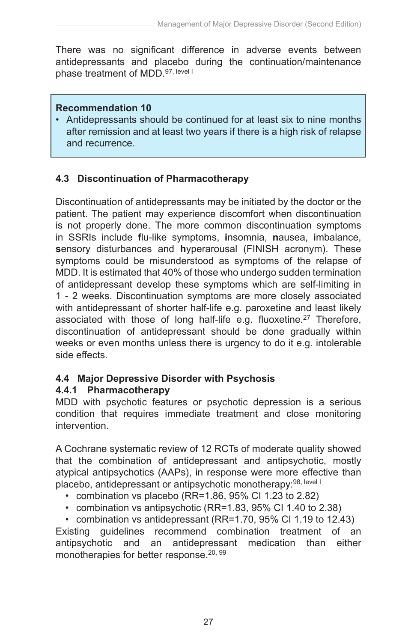There was no significant difference in adverse events between antidepressants and placebo during the continuation/maintenance phase treatment of MDD.<sup>97, level I</sup>

#### **Recommendation 10**

• Antidepressants should be continued for at least six to nine months after remission and at least two years if there is a high risk of relapse and recurrence.

# **4.3 Discontinuation of Pharmacotherapy**

Discontinuation of antidepressants may be initiated by the doctor or the patient. The patient may experience discomfort when discontinuation is not properly done. The more common discontinuation symptoms in SSRIs include **f**lu-like symptoms, **i**nsomnia, **n**ausea, **i**mbalance, **s**ensory disturbances and **h**yperarousal (FINISH acronym). These symptoms could be misunderstood as symptoms of the relapse of MDD. It is estimated that 40% of those who undergo sudden termination of antidepressant develop these symptoms which are self-limiting in 1 - 2 weeks. Discontinuation symptoms are more closely associated with antidepressant of shorter half-life e.g. paroxetine and least likely associated with those of long half-life e.g. fluoxetine.<sup>27</sup> Therefore, discontinuation of antidepressant should be done gradually within weeks or even months unless there is urgency to do it e.g. intolerable side effects.

## **4.4 Major Depressive Disorder with Psychosis**

## **4.4.1 Pharmacotherapy**

MDD with psychotic features or psychotic depression is a serious condition that requires immediate treatment and close monitoring intervention.

A Cochrane systematic review of 12 RCTs of moderate quality showed that the combination of antidepressant and antipsychotic, mostly atypical antipsychotics (AAPs), in response were more effective than placebo, antidepressant or antipsychotic monotherapy: 98, level I

- combination vs placebo (RR=1.86, 95% CI 1.23 to 2.82)
- combination vs antipsychotic (RR=1.83, 95% CI 1.40 to 2.38)

• combination vs antidepressant (RR=1.70, 95% CI 1.19 to 12.43) Existing guidelines recommend combination treatment of an antipsychotic and an antidepressant medication than either monotherapies for better response.<sup>20, 99</sup>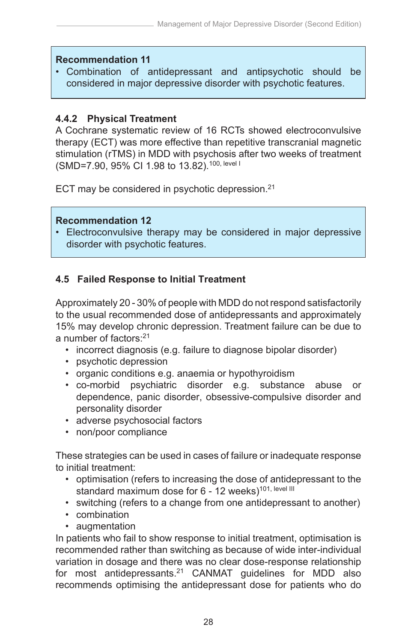#### **Recommendation 11**

• Combination of antidepressant and antipsychotic should be considered in major depressive disorder with psychotic features.

#### **4.4.2 Physical Treatment**

A Cochrane systematic review of 16 RCTs showed electroconvulsive therapy (ECT) was more effective than repetitive transcranial magnetic stimulation (rTMS) in MDD with psychosis after two weeks of treatment (SMD=7.90, 95% CI 1.98 to 13.82).100, level I

ECT may be considered in psychotic depression.<sup>21</sup>

#### **Recommendation 12**

• Electroconvulsive therapy may be considered in major depressive disorder with psychotic features.

## **4.5 Failed Response to Initial Treatment**

Approximately 20 - 30% of people with MDD do not respond satisfactorily to the usual recommended dose of antidepressants and approximately 15% may develop chronic depression. Treatment failure can be due to a number of factors:21

- incorrect diagnosis (e.g. failure to diagnose bipolar disorder)
- psychotic depression
- organic conditions e.g. anaemia or hypothyroidism
- co-morbid psychiatric disorder e.g. substance abuse or dependence, panic disorder, obsessive-compulsive disorder and personality disorder
- adverse psychosocial factors
- non/poor compliance

These strategies can be used in cases of failure or inadequate response to initial treatment:

- optimisation (refers to increasing the dose of antidepressant to the standard maximum dose for 6 - 12 weeks)<sup>101, level III</sup>
- switching (refers to a change from one antidepressant to another)
- combination
- augmentation

In patients who fail to show response to initial treatment, optimisation is recommended rather than switching as because of wide inter-individual variation in dosage and there was no clear dose-response relationship for most antidepressants.<sup>21</sup> CANMAT guidelines for MDD also recommends optimising the antidepressant dose for patients who do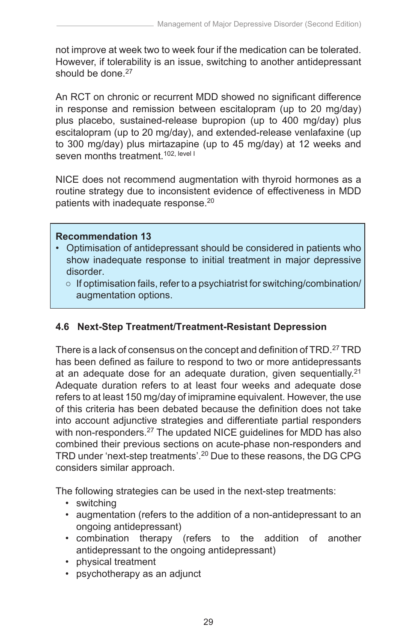not improve at week two to week four if the medication can be tolerated. However, if tolerability is an issue, switching to another antidepressant should be done  $27$ 

An RCT on chronic or recurrent MDD showed no significant difference in response and remission between escitalopram (up to 20 mg/day) plus placebo, sustained-release bupropion (up to 400 mg/day) plus escitalopram (up to 20 mg/day), and extended-release venlafaxine (up to 300 mg/day) plus mirtazapine (up to 45 mg/day) at 12 weeks and seven months treatment.<sup>102, level I</sup>

NICE does not recommend augmentation with thyroid hormones as a routine strategy due to inconsistent evidence of effectiveness in MDD patients with inadequate response.<sup>20</sup>

#### **Recommendation 13**

- Optimisation of antidepressant should be considered in patients who show inadequate response to initial treatment in major depressive disorder.
	- $\circ$  If optimisation fails, refer to a psychiatrist for switching/combination/ augmentation options.

# **4.6 Next-Step Treatment/Treatment-Resistant Depression**

There is a lack of consensus on the concept and definition of TRD.<sup>27</sup> TRD has been defined as failure to respond to two or more antidepressants at an adequate dose for an adequate duration, given sequentially.<sup>21</sup> Adequate duration refers to at least four weeks and adequate dose refers to at least 150 mg/day of imipramine equivalent. However, the use of this criteria has been debated because the definition does not take into account adjunctive strategies and differentiate partial responders with non-responders.<sup>27</sup> The updated NICE quidelines for MDD has also combined their previous sections on acute-phase non-responders and TRD under 'next-step treatments'.20 Due to these reasons, the DG CPG considers similar approach.

The following strategies can be used in the next-step treatments:

- switching
- augmentation (refers to the addition of a non-antidepressant to an ongoing antidepressant)
- combination therapy (refers to the addition of another antidepressant to the ongoing antidepressant)
- physical treatment
- psychotherapy as an adjunct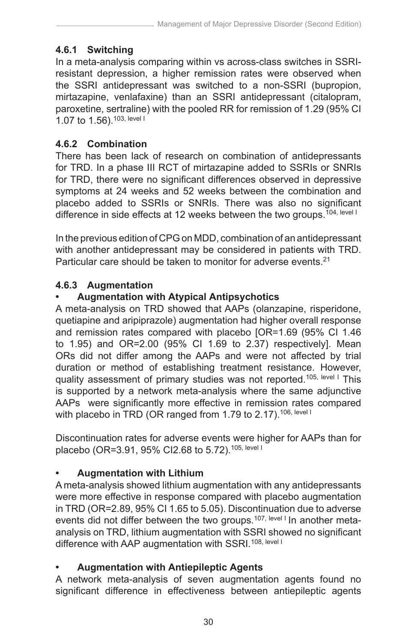# **4.6.1 Switching**

In a meta-analysis comparing within vs across-class switches in SSRIresistant depression, a higher remission rates were observed when the SSRI antidepressant was switched to a non-SSRI (bupropion, mirtazapine, venlafaxine) than an SSRI antidepressant (citalopram, paroxetine, sertraline) with the pooled RR for remission of 1.29 (95% CI 1.07 to 1.56).103, level I

# **4.6.2 Combination**

There has been lack of research on combination of antidepressants for TRD. In a phase III RCT of mirtazapine added to SSRIs or SNRIs for TRD, there were no significant differences observed in depressive symptoms at 24 weeks and 52 weeks between the combination and placebo added to SSRIs or SNRIs. There was also no significant difference in side effects at 12 weeks between the two groups.<sup>104, level I</sup>

In the previous edition of CPG on MDD, combination of an antidepressant with another antidepressant may be considered in patients with TRD. Particular care should be taken to monitor for adverse events.<sup>21</sup>

## **4.6.3 Augmentation**

# **• Augmentation with Atypical Antipsychotics**

A meta-analysis on TRD showed that AAPs (olanzapine, risperidone, quetiapine and aripiprazole) augmentation had higher overall response and remission rates compared with placebo [OR=1.69 (95% CI 1.46 to 1.95) and OR=2.00 (95% CI 1.69 to 2.37) respectively]. Mean ORs did not differ among the AAPs and were not affected by trial duration or method of establishing treatment resistance. However, quality assessment of primary studies was not reported.<sup>105, level I</sup> This is supported by a network meta-analysis where the same adjunctive AAPs were significantly more effective in remission rates compared with placebo in TRD (OR ranged from 1.79 to 2.17).<sup>106, level I</sup>

Discontinuation rates for adverse events were higher for AAPs than for placebo (OR=3.91, 95% CI2.68 to 5.72).105, level I

## **• Augmentation with Lithium**

A meta-analysis showed lithium augmentation with any antidepressants were more effective in response compared with placebo augmentation in TRD (OR=2.89, 95% CI 1.65 to 5.05). Discontinuation due to adverse events did not differ between the two groups.<sup>107, level I</sup> In another metaanalysis on TRD, lithium augmentation with SSRI showed no significant difference with AAP augmentation with SSRI.<sup>108, level I</sup>

## **• Augmentation with Antiepileptic Agents**

A network meta-analysis of seven augmentation agents found no significant difference in effectiveness between antiepileptic agents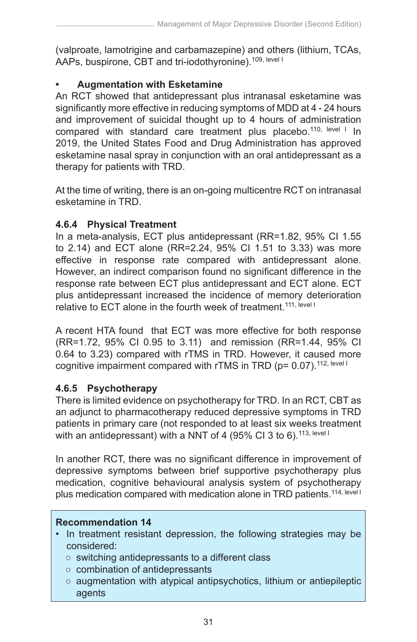(valproate, lamotrigine and carbamazepine) and others (lithium, TCAs, AAPs, buspirone, CBT and tri-iodothyronine).<sup>109, level I</sup>

# **• Augmentation with Esketamine**

An RCT showed that antidepressant plus intranasal esketamine was significantly more effective in reducing symptoms of MDD at 4 - 24 hours and improvement of suicidal thought up to 4 hours of administration compared with standard care treatment plus placebo.<sup>110, level I</sup> In 2019, the United States Food and Drug Administration has approved esketamine nasal spray in conjunction with an oral antidepressant as a therapy for patients with TRD.

At the time of writing, there is an on-going multicentre RCT on intranasal esketamine in TRD.

# **4.6.4 Physical Treatment**

In a meta-analysis, ECT plus antidepressant (RR=1.82, 95% CI 1.55 to 2.14) and ECT alone (RR=2.24, 95% CI 1.51 to 3.33) was more effective in response rate compared with antidepressant alone. However, an indirect comparison found no significant difference in the response rate between ECT plus antidepressant and ECT alone. ECT plus antidepressant increased the incidence of memory deterioration relative to ECT alone in the fourth week of treatment.<sup>111, level I</sup>

A recent HTA found that ECT was more effective for both response (RR=1.72, 95% CI 0.95 to 3.11) and remission (RR=1.44, 95% CI 0.64 to 3.23) compared with rTMS in TRD. However, it caused more cognitive impairment compared with rTMS in TRD ( $p = 0.07$ ).<sup>112, level I</sup>

# **4.6.5 Psychotherapy**

There is limited evidence on psychotherapy for TRD. In an RCT, CBT as an adjunct to pharmacotherapy reduced depressive symptoms in TRD patients in primary care (not responded to at least six weeks treatment with an antidepressant) with a NNT of 4 (95% CI 3 to 6).<sup>113, level I</sup>

In another RCT, there was no significant difference in improvement of depressive symptoms between brief supportive psychotherapy plus medication, cognitive behavioural analysis system of psychotherapy plus medication compared with medication alone in TRD patients.<sup>114, level I</sup>

## **Recommendation 14**

- In treatment resistant depression, the following strategies may be considered:
	- switching antidepressants to a different class
	- combination of antidepressants
	- augmentation with atypical antipsychotics, lithium or antiepileptic agents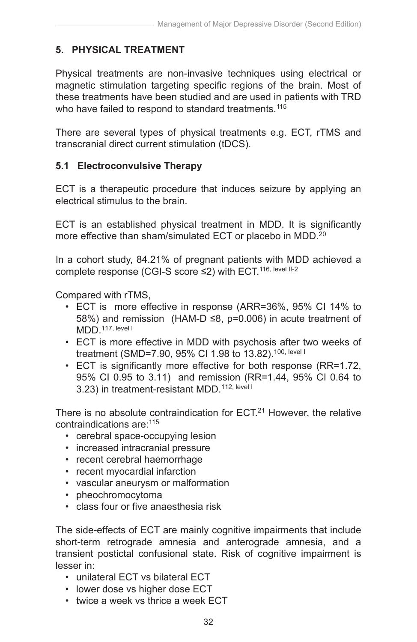# **5. PHYSICAL TREATMENT**

Physical treatments are non-invasive techniques using electrical or magnetic stimulation targeting specific regions of the brain. Most of these treatments have been studied and are used in patients with TRD who have failed to respond to standard treatments.<sup>115</sup>

There are several types of physical treatments e.g. ECT, rTMS and transcranial direct current stimulation (tDCS).

## **5.1 Electroconvulsive Therapy**

ECT is a therapeutic procedure that induces seizure by applying an electrical stimulus to the brain.

ECT is an established physical treatment in MDD. It is significantly more effective than sham/simulated ECT or placebo in MDD.<sup>20</sup>

In a cohort study, 84.21% of pregnant patients with MDD achieved a complete response (CGI-S score ≤2) with ECT.116, level II-2

Compared with rTMS,

- ECT is more effective in response (ARR=36%, 95% CI 14% to 58%) and remission (HAM-D ≤8, p=0.006) in acute treatment of  $MDD$  117, level I
- ECT is more effective in MDD with psychosis after two weeks of treatment (SMD=7.90, 95% CI 1.98 to 13.82).100, level I
- ECT is significantly more effective for both response (RR=1.72, 95% CI 0.95 to 3.11) and remission (RR=1.44, 95% CI 0.64 to 3.23) in treatment-resistant MDD.<sup>112, level I</sup>

There is no absolute contraindication for ECT.<sup>21</sup> However, the relative contraindications are:115

- cerebral space-occupying lesion
- increased intracranial pressure
- recent cerebral haemorrhage
- recent myocardial infarction
- vascular aneurysm or malformation
- pheochromocytoma
- class four or five anaesthesia risk

The side-effects of ECT are mainly cognitive impairments that include short-term retrograde amnesia and anterograde amnesia, and a transient postictal confusional state. Risk of cognitive impairment is lesser in:

- unilateral ECT vs bilateral ECT
- lower dose vs higher dose ECT
- twice a week vs thrice a week ECT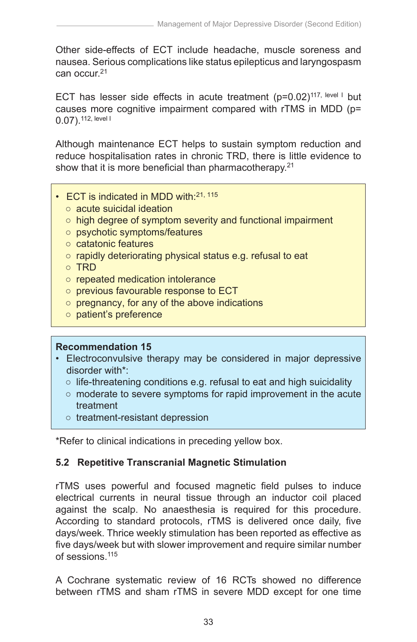Other side-effects of ECT include headache, muscle soreness and nausea. Serious complications like status epilepticus and laryngospasm can occur.21

ECT has lesser side effects in acute treatment  $(p=0.02)^{117}$ , level I but causes more cognitive impairment compared with rTMS in MDD (p= 0.07).112, level I

Although maintenance ECT helps to sustain symptom reduction and reduce hospitalisation rates in chronic TRD, there is little evidence to show that it is more beneficial than pharmacotherapy.<sup>21</sup>

- ECT is indicated in MDD with:21, 115
	- acute suicidal ideation
	- high degree of symptom severity and functional impairment
	- psychotic symptoms/features
	- catatonic features
	- rapidly deteriorating physical status e.g. refusal to eat
	- TRD
	- repeated medication intolerance
	- previous favourable response to ECT
	- pregnancy, for any of the above indications
	- patient's preference

#### **Recommendation 15**

- Electroconvulsive therapy may be considered in major depressive disorder with\*:
	- $\circ$  life-threatening conditions e.g. refusal to eat and high suicidality
	- moderate to severe symptoms for rapid improvement in the acute treatment
	- treatment-resistant depression

\*Refer to clinical indications in preceding yellow box.

## **5.2 Repetitive Transcranial Magnetic Stimulation**

rTMS uses powerful and focused magnetic field pulses to induce electrical currents in neural tissue through an inductor coil placed against the scalp. No anaesthesia is required for this procedure. According to standard protocols, rTMS is delivered once daily, five days/week. Thrice weekly stimulation has been reported as effective as five days/week but with slower improvement and require similar number of sessions.<sup>115</sup>

A Cochrane systematic review of 16 RCTs showed no difference between rTMS and sham rTMS in severe MDD except for one time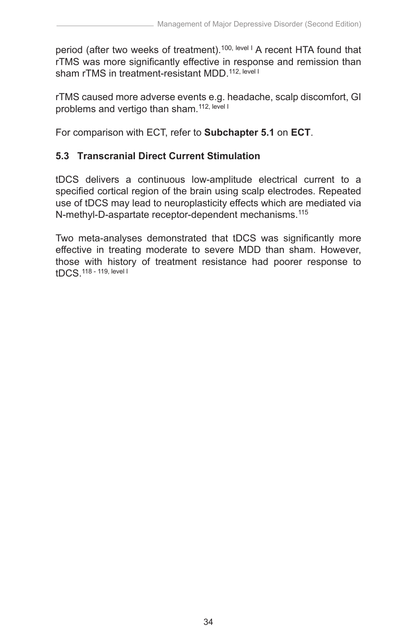period (after two weeks of treatment).<sup>100, level I</sup> A recent HTA found that rTMS was more significantly effective in response and remission than sham rTMS in treatment-resistant MDD 112, level I

rTMS caused more adverse events e.g. headache, scalp discomfort, GI problems and vertigo than sham.<sup>112, level I</sup>

For comparison with ECT, refer to **Subchapter 5.1** on **ECT**.

# **5.3 Transcranial Direct Current Stimulation**

tDCS delivers a continuous low-amplitude electrical current to a specified cortical region of the brain using scalp electrodes. Repeated use of tDCS may lead to neuroplasticity effects which are mediated via N-methyl-D-aspartate receptor-dependent mechanisms.115

Two meta-analyses demonstrated that tDCS was significantly more effective in treating moderate to severe MDD than sham. However, those with history of treatment resistance had poorer response to tDCS.118 - 119, level I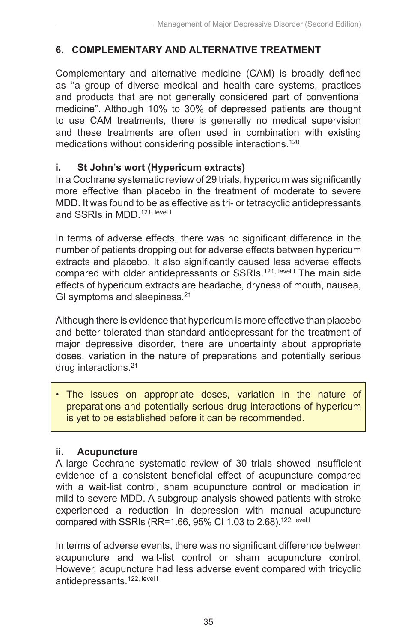# **6. COMPLEMENTARY AND ALTERNATIVE TREATMENT**

Complementary and alternative medicine (CAM) is broadly defined as ''a group of diverse medical and health care systems, practices and products that are not generally considered part of conventional medicine". Although 10% to 30% of depressed patients are thought to use CAM treatments, there is generally no medical supervision and these treatments are often used in combination with existing medications without considering possible interactions.<sup>120</sup>

#### **i. St John's wort (Hypericum extracts)**

In a Cochrane systematic review of 29 trials, hypericum was significantly more effective than placebo in the treatment of moderate to severe MDD. It was found to be as effective as tri- or tetracyclic antidepressants and SSRIs in MDD 121, level I

In terms of adverse effects, there was no significant difference in the number of patients dropping out for adverse effects between hypericum extracts and placebo. It also significantly caused less adverse effects compared with older antidepressants or SSRIs.<sup>121, level I</sup> The main side effects of hypericum extracts are headache, dryness of mouth, nausea, GI symptoms and sleepiness.<sup>21</sup>

Although there is evidence that hypericum is more effective than placebo and better tolerated than standard antidepressant for the treatment of major depressive disorder, there are uncertainty about appropriate doses, variation in the nature of preparations and potentially serious drug interactions.21

The issues on appropriate doses, variation in the nature of preparations and potentially serious drug interactions of hypericum is yet to be established before it can be recommended.

#### **ii. Acupuncture**

A large Cochrane systematic review of 30 trials showed insufficient evidence of a consistent beneficial effect of acupuncture compared with a wait-list control, sham acupuncture control or medication in mild to severe MDD. A subgroup analysis showed patients with stroke experienced a reduction in depression with manual acupuncture compared with SSRIs (RR=1.66, 95% CI 1.03 to 2.68).<sup>122, level I</sup>

In terms of adverse events, there was no significant difference between acupuncture and wait-list control or sham acupuncture control. However, acupuncture had less adverse event compared with tricyclic antidepressants.<sup>122, level I</sup>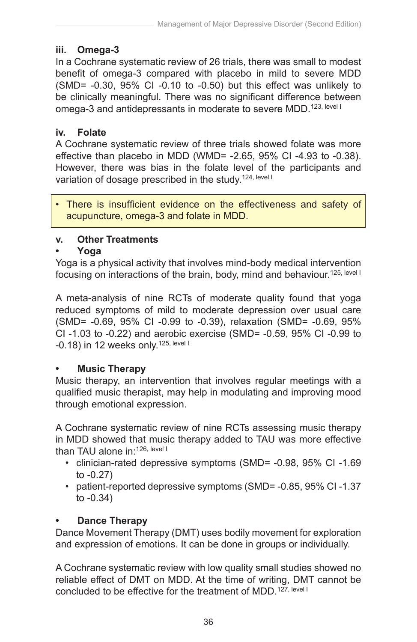## **iii. Omega-3**

In a Cochrane systematic review of 26 trials, there was small to modest benefit of omega-3 compared with placebo in mild to severe MDD (SMD= -0.30, 95% CI -0.10 to -0.50) but this effect was unlikely to be clinically meaningful. There was no significant difference between omega-3 and antidepressants in moderate to severe MDD.<sup>123, level I</sup>

#### **iv. Folate**

A Cochrane systematic review of three trials showed folate was more effective than placebo in MDD (WMD= -2.65, 95% CI -4.93 to -0.38). However, there was bias in the folate level of the participants and variation of dosage prescribed in the study.<sup>124, level I</sup>

There is insufficient evidence on the effectiveness and safety of acupuncture, omega-3 and folate in MDD.

## **v. Other Treatments**

#### **• Yoga**

Yoga is a physical activity that involves mind-body medical intervention focusing on interactions of the brain, body, mind and behaviour.<sup>125, level I</sup>

A meta-analysis of nine RCTs of moderate quality found that yoga reduced symptoms of mild to moderate depression over usual care (SMD= -0.69, 95% CI -0.99 to -0.39), relaxation (SMD= -0.69, 95% CI -1.03 to -0.22) and aerobic exercise (SMD= -0.59, 95% CI -0.99 to  $-0.18$ ) in 12 weeks only.<sup>125, level I</sup>

#### **• Music Therapy**

Music therapy, an intervention that involves regular meetings with a qualified music therapist, may help in modulating and improving mood through emotional expression.

A Cochrane systematic review of nine RCTs assessing music therapy in MDD showed that music therapy added to TAU was more effective than TAU alone in: 126, level I

- clinician-rated depressive symptoms (SMD= -0.98, 95% CI -1.69 to -0.27)
- patient-reported depressive symptoms (SMD= -0.85, 95% CI -1.37 to -0.34)

## **Dance Therapy**

Dance Movement Therapy (DMT) uses bodily movement for exploration and expression of emotions. It can be done in groups or individually.

A Cochrane systematic review with low quality small studies showed no reliable effect of DMT on MDD. At the time of writing, DMT cannot be concluded to be effective for the treatment of MDD.<sup>127, level I</sup>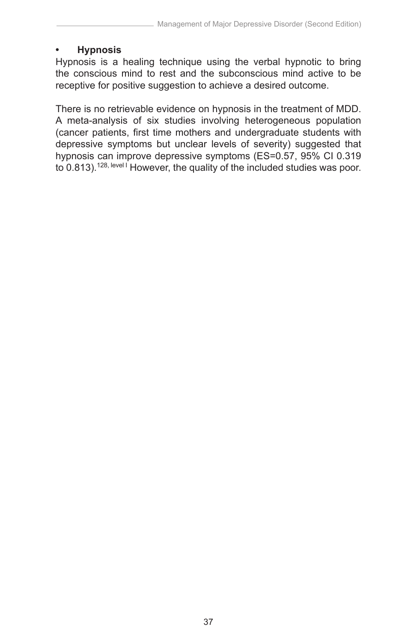#### **• Hypnosis**

Hypnosis is a healing technique using the verbal hypnotic to bring the conscious mind to rest and the subconscious mind active to be receptive for positive suggestion to achieve a desired outcome.

There is no retrievable evidence on hypnosis in the treatment of MDD. A meta-analysis of six studies involving heterogeneous population (cancer patients, first time mothers and undergraduate students with depressive symptoms but unclear levels of severity) suggested that hypnosis can improve depressive symptoms (ES=0.57, 95% CI 0.319 to 0.813).<sup>128, level I</sup> However, the quality of the included studies was poor.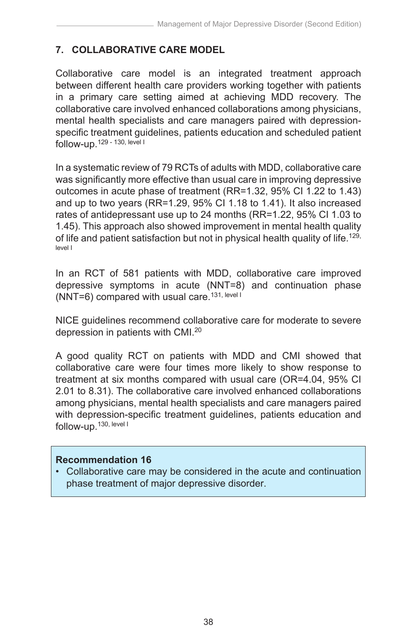# **7. COLLABORATIVE CARE MODEL**

Collaborative care model is an integrated treatment approach between different health care providers working together with patients in a primary care setting aimed at achieving MDD recovery. The collaborative care involved enhanced collaborations among physicians, mental health specialists and care managers paired with depressionspecific treatment guidelines, patients education and scheduled patient follow-up.129 - 130, level I

In a systematic review of 79 RCTs of adults with MDD, collaborative care was significantly more effective than usual care in improving depressive outcomes in acute phase of treatment (RR=1.32, 95% CI 1.22 to 1.43) and up to two years (RR=1.29, 95% CI 1.18 to 1.41). It also increased rates of antidepressant use up to 24 months (RR=1.22, 95% CI 1.03 to 1.45). This approach also showed improvement in mental health quality of life and patient satisfaction but not in physical health quality of life.<sup>129,</sup> level I

In an RCT of 581 patients with MDD, collaborative care improved depressive symptoms in acute (NNT=8) and continuation phase (NNT=6) compared with usual care.<sup>131, level I</sup>

NICE guidelines recommend collaborative care for moderate to severe depression in patients with CMI.20

A good quality RCT on patients with MDD and CMI showed that collaborative care were four times more likely to show response to treatment at six months compared with usual care (OR=4.04, 95% CI 2.01 to 8.31). The collaborative care involved enhanced collaborations among physicians, mental health specialists and care managers paired with depression-specific treatment guidelines, patients education and follow-up.130, level I

#### **Recommendation 16**

• Collaborative care may be considered in the acute and continuation phase treatment of major depressive disorder.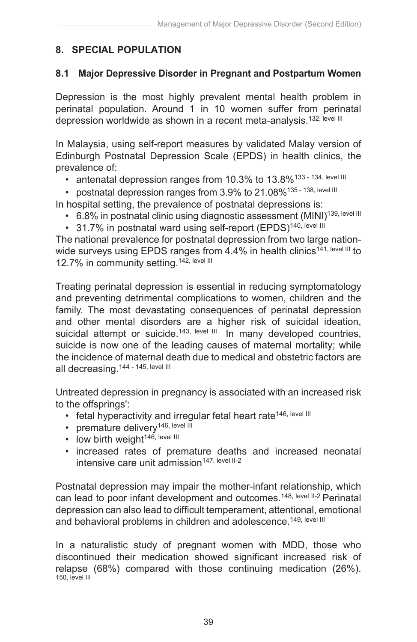# **8. SPECIAL POPULATION**

#### **8.1 Major Depressive Disorder in Pregnant and Postpartum Women**

Depression is the most highly prevalent mental health problem in perinatal population. Around 1 in 10 women suffer from perinatal depression worldwide as shown in a recent meta-analysis.<sup>132, level III</sup>

In Malaysia, using self-report measures by validated Malay version of Edinburgh Postnatal Depression Scale (EPDS) in health clinics, the prevalence of:

- antenatal depression ranges from 10.3% to 13.8%<sup>133 134, level III</sup>
- postnatal depression ranges from 3.9% to 21.08%<sup>135 138, level III</sup>

In hospital setting, the prevalence of postnatal depressions is:

- 6.8% in postnatal clinic using diagnostic assessment (MINI)<sup>139, level III</sup>
- 31.7% in postnatal ward using self-report (EPDS)<sup>140, level III</sup>

The national prevalence for postnatal depression from two large nationwide surveys using EPDS ranges from 4.4% in health clinics<sup>141, level III</sup> to 12.7% in community setting.<sup>142, level III</sup>

Treating perinatal depression is essential in reducing symptomatology and preventing detrimental complications to women, children and the family. The most devastating consequences of perinatal depression and other mental disorders are a higher risk of suicidal ideation, suicidal attempt or suicide.<sup>143, level III</sup> In many developed countries, suicide is now one of the leading causes of maternal mortality; while the incidence of maternal death due to medical and obstetric factors are all decreasing.144 - 145, level III

Untreated depression in pregnancy is associated with an increased risk to the offsprings':

- fetal hyperactivity and irregular fetal heart rate<sup>146, level III</sup>
- premature delivery<sup>146, level III</sup>
- $\cdot$  low birth weight<sup>146, level III</sup>
- increased rates of premature deaths and increased neonatal intensive care unit admission<sup>147, level II-2</sup>

Postnatal depression may impair the mother-infant relationship, which can lead to poor infant development and outcomes.<sup>148, level II-2</sup> Perinatal depression can also lead to difficult temperament, attentional, emotional and behavioral problems in children and adolescence.<sup>149, level III</sup>

In a naturalistic study of pregnant women with MDD, those who discontinued their medication showed significant increased risk of relapse (68%) compared with those continuing medication (26%). 150, level III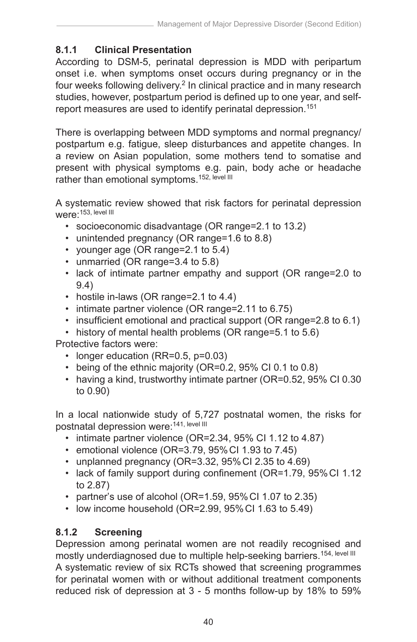# **8.1.1 Clinical Presentation**

According to DSM-5, perinatal depression is MDD with peripartum onset i.e. when symptoms onset occurs during pregnancy or in the four weeks following delivery.<sup>2</sup> In clinical practice and in many research studies, however, postpartum period is defined up to one year, and selfreport measures are used to identify perinatal depression.<sup>151</sup>

There is overlapping between MDD symptoms and normal pregnancy/ postpartum e.g. fatigue, sleep disturbances and appetite changes. In a review on Asian population, some mothers tend to somatise and present with physical symptoms e.g. pain, body ache or headache rather than emotional symptoms.<sup>152, level III</sup>

A systematic review showed that risk factors for perinatal depression were<sup>.</sup>153, level III

- socioeconomic disadvantage (OR range=2.1 to 13.2)
- unintended pregnancy (OR range=1.6 to 8.8)
- younger age (OR range=2.1 to 5.4)
- unmarried (OR range=3.4 to 5.8)
- lack of intimate partner empathy and support (OR range=2.0 to 9.4)
- hostile in-laws (OR range=2.1 to 4.4)
- intimate partner violence (OR range=2.11 to 6.75)
- insufficient emotional and practical support (OR range=2.8 to 6.1)
- history of mental health problems (OR range=5.1 to 5.6)

Protective factors were:

- longer education (RR=0.5, p=0.03)
- being of the ethnic majority (OR=0.2, 95% CI 0.1 to 0.8)
- having a kind, trustworthy intimate partner (OR=0.52, 95% CI 0.30 to 0.90)

In a local nationwide study of 5,727 postnatal women, the risks for postnatal depression were: 141, level III

- intimate partner violence (OR=2.34, 95% CI 1.12 to 4.87)
- emotional violence (OR=3.79, 95%CI 1.93 to 7.45)
- unplanned pregnancy (OR=3.32, 95%CI 2.35 to 4.69)
- lack of family support during confinement (OR=1.79, 95% CI 1.12) to 2.87)
- partner's use of alcohol (OR=1.59, 95%CI 1.07 to 2.35)
- low income household (OR=2.99, 95%CI 1.63 to 5.49)

# **8.1.2 Screening**

Depression among perinatal women are not readily recognised and mostly underdiagnosed due to multiple help-seeking barriers.<sup>154, level III</sup> A systematic review of six RCTs showed that screening programmes for perinatal women with or without additional treatment components reduced risk of depression at 3 - 5 months follow-up by 18% to 59%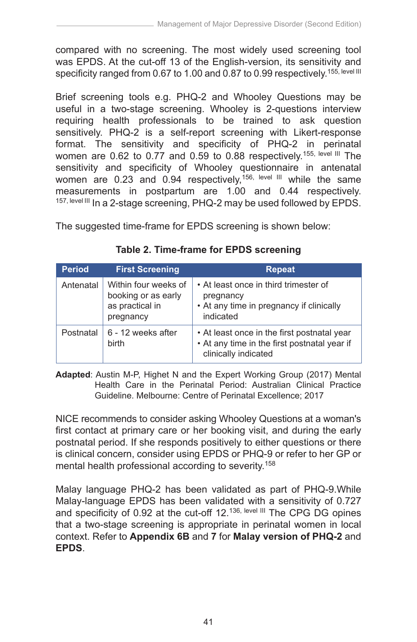compared with no screening. The most widely used screening tool was EPDS. At the cut-off 13 of the English-version, its sensitivity and specificity ranged from 0.67 to 1.00 and 0.87 to 0.99 respectively.<sup>155, level III</sup>

Brief screening tools e.g. PHQ-2 and Whooley Questions may be useful in a two-stage screening. Whooley is 2-questions interview requiring health professionals to be trained to ask question sensitively. PHQ-2 is a self-report screening with Likert-response format. The sensitivity and specificity of PHQ-2 in perinatal women are 0.62 to 0.77 and 0.59 to 0.88 respectively.155, level III The sensitivity and specificity of Whooley questionnaire in antenatal women are 0.23 and 0.94 respectively,<sup>156, level III</sup> while the same measurements in postpartum are 1.00 and 0.44 respectively. 157, level III In a 2-stage screening, PHQ-2 may be used followed by EPDS.

The suggested time-frame for EPDS screening is shown below:

| <b>Period</b> | <b>First Screening</b>                                                      | <b>Repeat</b>                                                                                                       |
|---------------|-----------------------------------------------------------------------------|---------------------------------------------------------------------------------------------------------------------|
| Antenatal     | Within four weeks of<br>booking or as early<br>as practical in<br>pregnancy | • At least once in third trimester of<br>pregnancy<br>• At any time in pregnancy if clinically<br>indicated         |
| Postnatal     | 6 - 12 weeks after<br>birth                                                 | • At least once in the first postnatal year<br>• At any time in the first postnatal year if<br>clinically indicated |

|  | Table 2. Time-frame for EPDS screening |  |  |
|--|----------------------------------------|--|--|
|--|----------------------------------------|--|--|

**Adapted**: Austin M-P, Highet N and the Expert Working Group (2017) Mental Health Care in the Perinatal Period: Australian Clinical Practice Guideline. Melbourne: Centre of Perinatal Excellence; 2017

NICE recommends to consider asking Whooley Questions at a woman's first contact at primary care or her booking visit, and during the early postnatal period. If she responds positively to either questions or there is clinical concern, consider using EPDS or PHQ-9 or refer to her GP or mental health professional according to severity.158

Malay language PHQ-2 has been validated as part of PHQ-9.While Malay-language EPDS has been validated with a sensitivity of 0.727 and specificity of 0.92 at the cut-off 12.<sup>136, level III</sup> The CPG DG opines that a two-stage screening is appropriate in perinatal women in local context. Refer to **Appendix 6B** and **7** for **Malay version of PHQ-2** and **EPDS**.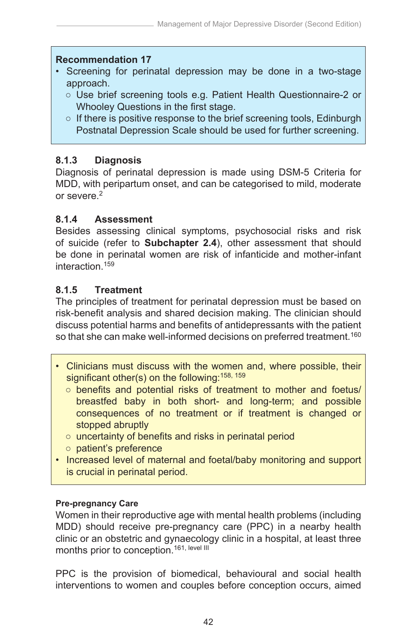#### **Recommendation 17**

- Screening for perinatal depression may be done in a two-stage approach.
	- Use brief screening tools e.g. Patient Health Questionnaire-2 or Whooley Questions in the first stage.
	- If there is positive response to the brief screening tools, Edinburgh Postnatal Depression Scale should be used for further screening.

# **8.1.3 Diagnosis**

Diagnosis of perinatal depression is made using DSM-5 Criteria for MDD, with peripartum onset, and can be categorised to mild, moderate or severe.<sup>2</sup>

## **8.1.4 Assessment**

Besides assessing clinical symptoms, psychosocial risks and risk of suicide (refer to **Subchapter 2.4**), other assessment that should be done in perinatal women are risk of infanticide and mother-infant interaction.159

# **8.1.5 Treatment**

The principles of treatment for perinatal depression must be based on risk-benefit analysis and shared decision making. The clinician should discuss potential harms and benefits of antidepressants with the patient so that she can make well-informed decisions on preferred treatment.<sup>160</sup>

- Clinicians must discuss with the women and, where possible, their significant other(s) on the following:<sup>158, 159</sup>
	- benefits and potential risks of treatment to mother and foetus/ breastfed baby in both short- and long-term; and possible consequences of no treatment or if treatment is changed or stopped abruptly
	- uncertainty of benefits and risks in perinatal period
	- patient's preference
- Increased level of maternal and foetal/baby monitoring and support is crucial in perinatal period.

## **Pre-pregnancy Care**

Women in their reproductive age with mental health problems (including MDD) should receive pre-pregnancy care (PPC) in a nearby health clinic or an obstetric and gynaecology clinic in a hospital, at least three months prior to conception.<sup>161, level III</sub></sup>

PPC is the provision of biomedical, behavioural and social health interventions to women and couples before conception occurs, aimed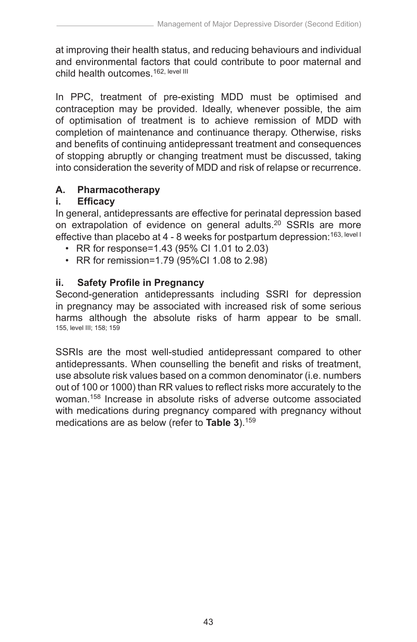at improving their health status, and reducing behaviours and individual and environmental factors that could contribute to poor maternal and child health outcomes.<sup>162, level III</sup>

In PPC, treatment of pre-existing MDD must be optimised and contraception may be provided. Ideally, whenever possible, the aim of optimisation of treatment is to achieve remission of MDD with completion of maintenance and continuance therapy. Otherwise, risks and benefits of continuing antidepressant treatment and consequences of stopping abruptly or changing treatment must be discussed, taking into consideration the severity of MDD and risk of relapse or recurrence.

## **A. Pharmacotherapy**

## **i. Efficacy**

In general, antidepressants are effective for perinatal depression based on extrapolation of evidence on general adults.<sup>20</sup> SSRIs are more effective than placebo at 4 - 8 weeks for postpartum depression: 163, level I

- RR for response=1.43 (95% CI 1.01 to 2.03)
- RR for remission=1.79 (95%CI 1.08 to 2.98)

## **ii. Safety Profile in Pregnancy**

Second-generation antidepressants including SSRI for depression in pregnancy may be associated with increased risk of some serious harms although the absolute risks of harm appear to be small. 155, level III; 158; 159

SSRIs are the most well-studied antidepressant compared to other antidepressants. When counselling the benefit and risks of treatment, use absolute risk values based on a common denominator (i.e. numbers out of 100 or 1000) than RR values to reflect risks more accurately to the woman.158 Increase in absolute risks of adverse outcome associated with medications during pregnancy compared with pregnancy without medications are as below (refer to **Table 3**).159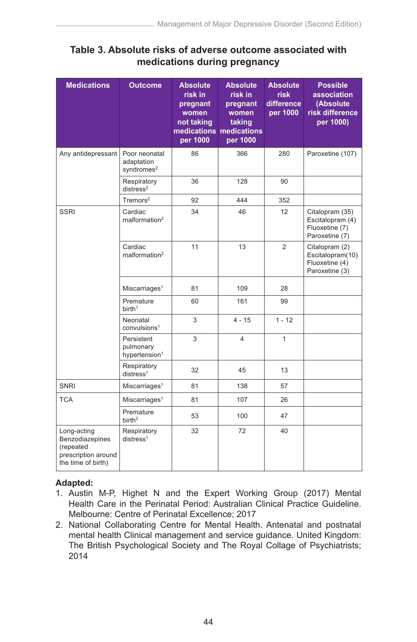#### **Table 3. Absolute risks of adverse outcome associated with medications during pregnancy**

| <b>Medications</b>                                                                       | <b>Outcome</b>                                        | <b>Absolute</b><br>risk in<br>pregnant<br>women<br>not taking<br>medications<br>per 1000 | <b>Absolute</b><br>risk in<br>pregnant<br>women<br>taking<br>medications<br>per 1000 | <b>Absolute</b><br><b>risk</b><br>difference<br>per 1000 | <b>Possible</b><br>association<br>(Absolute)<br>risk difference<br>per 1000) |
|------------------------------------------------------------------------------------------|-------------------------------------------------------|------------------------------------------------------------------------------------------|--------------------------------------------------------------------------------------|----------------------------------------------------------|------------------------------------------------------------------------------|
| Any antidepressant                                                                       | Poor neonatal<br>adaptation<br>syndromes <sup>2</sup> | 86                                                                                       | 366                                                                                  | 280                                                      | Paroxetine (107)                                                             |
|                                                                                          | Respiratory<br>distress <sup>2</sup>                  | 36                                                                                       | 128                                                                                  | 90                                                       |                                                                              |
|                                                                                          | $T$ remors $2$                                        | 92                                                                                       | 444                                                                                  | 352                                                      |                                                                              |
| <b>SSRI</b>                                                                              | Cardiac<br>malformation <sup>2</sup>                  | 34                                                                                       | 46                                                                                   | 12                                                       | Citalopram (35)<br>Escitalopram (4)<br>Fluoxetine (7)<br>Paroxetine (7)      |
|                                                                                          | Cardiac<br>malformation <sup>2</sup>                  | 11                                                                                       | 13                                                                                   | $\overline{2}$                                           | Citalopram (2)<br>Escitalopram(10)<br>Fluoxetine (4)<br>Paroxetine (3)       |
|                                                                                          | Miscarriages <sup>1</sup>                             | 81                                                                                       | 109                                                                                  | 28                                                       |                                                                              |
|                                                                                          | Premature<br>birth <sup>1</sup>                       | 60                                                                                       | 161                                                                                  | 99                                                       |                                                                              |
|                                                                                          | Neonatal<br>convulsions <sup>1</sup>                  | 3                                                                                        | $4 - 15$                                                                             | $1 - 12$                                                 |                                                                              |
|                                                                                          | Persistent<br>pulmonary<br>hypertension <sup>1</sup>  | 3                                                                                        | 4                                                                                    | $\mathbf{1}$                                             |                                                                              |
|                                                                                          | Respiratory<br>distress <sup>1</sup>                  | 32                                                                                       | 45                                                                                   | 13                                                       |                                                                              |
| SNRI                                                                                     | Miscarriages <sup>1</sup>                             | 81                                                                                       | 138                                                                                  | 57                                                       |                                                                              |
| <b>TCA</b>                                                                               | Miscarriages <sup>1</sup>                             | 81                                                                                       | 107                                                                                  | 26                                                       |                                                                              |
|                                                                                          | Premature<br>birth <sup>2</sup>                       | 53                                                                                       | 100                                                                                  | 47                                                       |                                                                              |
| Long-acting<br>Benzodiazepines<br>(repeated<br>prescription around<br>the time of birth) | Respiratory<br>distress <sup>1</sup>                  | 32                                                                                       | 72                                                                                   | 40                                                       |                                                                              |

#### **Adapted:**

- 1. Austin M-P, Highet N and the Expert Working Group (2017) Mental Health Care in the Perinatal Period: Australian Clinical Practice Guideline. Melbourne: Centre of Perinatal Excellence; 2017
- 2. National Collaborating Centre for Mental Health. Antenatal and postnatal mental health Clinical management and service guidance. United Kingdom: The British Psychological Society and The Royal Collage of Psychiatrists; 2014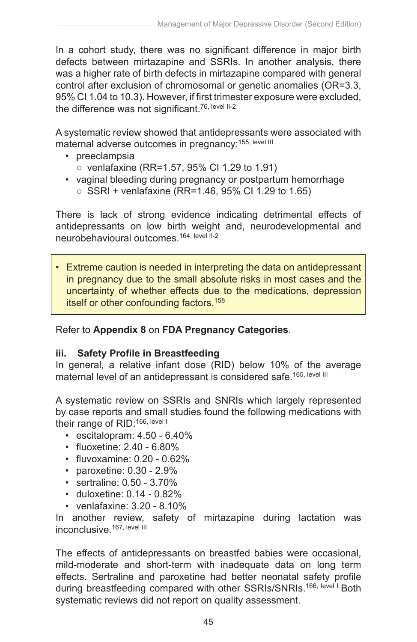In a cohort study, there was no significant difference in major birth defects between mirtazapine and SSRIs. In another analysis, there was a higher rate of birth defects in mirtazapine compared with general control after exclusion of chromosomal or genetic anomalies (OR=3.3, 95% CI 1.04 to 10.3). However, if first trimester exposure were excluded, the difference was not significant.<sup>76, level II-2</sup>

A systematic review showed that antidepressants were associated with maternal adverse outcomes in pregnancy: 155, level III

- preeclampsia
	- venlafaxine (RR=1.57, 95% CI 1.29 to 1.91)
- vaginal bleeding during pregnancy or postpartum hemorrhage
	- SSRI + venlafaxine (RR=1.46, 95% CI 1.29 to 1.65)

There is lack of strong evidence indicating detrimental effects of antidepressants on low birth weight and, neurodevelopmental and neurobehavioural outcomes.164, level II-2

• Extreme caution is needed in interpreting the data on antidepressant in pregnancy due to the small absolute risks in most cases and the uncertainty of whether effects due to the medications, depression itself or other confounding factors.<sup>158</sup>

Refer to **Appendix 8** on **FDA Pregnancy Categories**.

#### **iii. Safety Profile in Breastfeeding**

In general, a relative infant dose (RID) below 10% of the average maternal level of an antidepressant is considered safe.<sup>165, level III</sup>

A systematic review on SSRIs and SNRIs which largely represented by case reports and small studies found the following medications with their range of RID: 166, level I

- escitalopram: 4.50 6.40%
- fluoxetine: 2.40 6.80%
- fluvoxamine: 0.20 0.62%
- paroxetine: 0.30 2.9%
- sertraline: 0.50 3.70%
- duloxetine: 0.14 0.82%
- venlafaxine: 3.20 8.10%

In another review, safety of mirtazapine during lactation was inconclusive.<sup>167, level III</sup>

The effects of antidepressants on breastfed babies were occasional, mild-moderate and short-term with inadequate data on long term effects. Sertraline and paroxetine had better neonatal safety profile during breastfeeding compared with other SSRIs/SNRIs.<sup>166, level I</sup> Both systematic reviews did not report on quality assessment.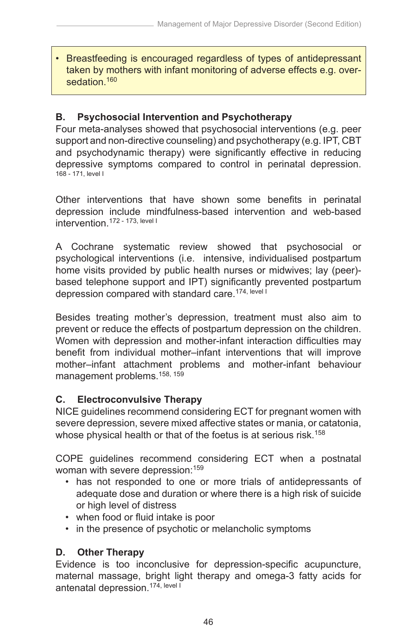• Breastfeeding is encouraged regardless of types of antidepressant taken by mothers with infant monitoring of adverse effects e.g. oversedation.<sup>160</sup>

## **B. Psychosocial Intervention and Psychotherapy**

Four meta-analyses showed that psychosocial interventions (e.g. peer support and non-directive counseling) and psychotherapy (e.g. IPT, CBT and psychodynamic therapy) were significantly effective in reducing depressive symptoms compared to control in perinatal depression. 168 - 171, level I

Other interventions that have shown some benefits in perinatal depression include mindfulness-based intervention and web-based intervention.172 - 173, level I

A Cochrane systematic review showed that psychosocial or psychological interventions (i.e. intensive, individualised postpartum home visits provided by public health nurses or midwives; lay (peer) based telephone support and IPT) significantly prevented postpartum depression compared with standard care.<sup>174, level I</sup>

Besides treating mother's depression, treatment must also aim to prevent or reduce the effects of postpartum depression on the children. Women with depression and mother-infant interaction difficulties may benefit from individual mother–infant interventions that will improve mother–infant attachment problems and mother-infant behaviour management problems.<sup>158, 159</sup>

## **C. Electroconvulsive Therapy**

NICE guidelines recommend considering ECT for pregnant women with severe depression, severe mixed affective states or mania, or catatonia, whose physical health or that of the foetus is at serious risk.<sup>158</sup>

COPE guidelines recommend considering ECT when a postnatal woman with severe depression:<sup>159</sup>

- has not responded to one or more trials of antidepressants of adequate dose and duration or where there is a high risk of suicide or high level of distress
- when food or fluid intake is poor
- in the presence of psychotic or melancholic symptoms

## **D. Other Therapy**

Evidence is too inconclusive for depression-specific acupuncture, maternal massage, bright light therapy and omega-3 fatty acids for antenatal depression.<sup>174, level I</sup>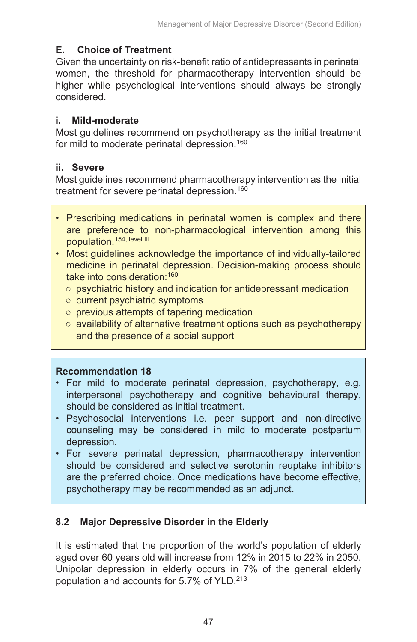## **E. Choice of Treatment**

Given the uncertainty on risk-benefit ratio of antidepressants in perinatal women, the threshold for pharmacotherapy intervention should be higher while psychological interventions should always be strongly considered.

#### **i. Mild-moderate**

Most guidelines recommend on psychotherapy as the initial treatment for mild to moderate perinatal depression.<sup>160</sup>

#### **ii. Severe**

Most guidelines recommend pharmacotherapy intervention as the initial treatment for severe perinatal depression.<sup>160</sup>

- Prescribing medications in perinatal women is complex and there are preference to non-pharmacological intervention among this population.154, level III
- Most guidelines acknowledge the importance of individually-tailored medicine in perinatal depression. Decision-making process should take into consideration:160
	- psychiatric history and indication for antidepressant medication
	- current psychiatric symptoms
	- previous attempts of tapering medication
	- availability of alternative treatment options such as psychotherapy and the presence of a social support

## **Recommendation 18**

- For mild to moderate perinatal depression, psychotherapy, e.g. interpersonal psychotherapy and cognitive behavioural therapy, should be considered as initial treatment.
- Psychosocial interventions i.e. peer support and non-directive counseling may be considered in mild to moderate postpartum depression.
- For severe perinatal depression, pharmacotherapy intervention should be considered and selective serotonin reuptake inhibitors are the preferred choice. Once medications have become effective, psychotherapy may be recommended as an adjunct.

# **8.2 Major Depressive Disorder in the Elderly**

It is estimated that the proportion of the world's population of elderly aged over 60 years old will increase from 12% in 2015 to 22% in 2050. Unipolar depression in elderly occurs in 7% of the general elderly population and accounts for 5.7% of YLD.<sup>213</sup>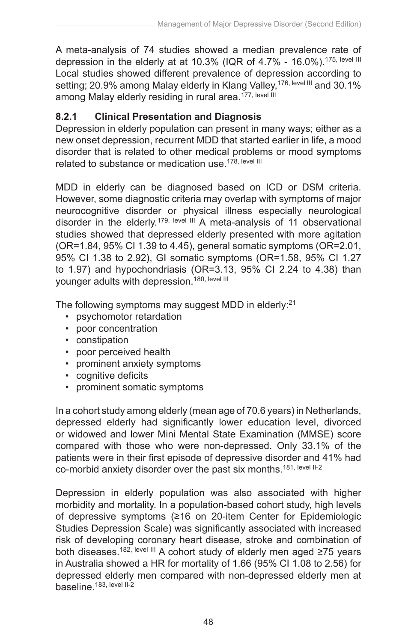A meta-analysis of 74 studies showed a median prevalence rate of depression in the elderly at at 10.3% (IQR of 4.7% - 16.0%).<sup>175, level III</sup> Local studies showed different prevalence of depression according to setting; 20.9% among Malay elderly in Klang Valley,<sup>176, level III</sup> and 30.1% among Malay elderly residing in rural area.<sup>177, level III</sup>

# **8.2.1 Clinical Presentation and Diagnosis**

Depression in elderly population can present in many ways; either as a new onset depression, recurrent MDD that started earlier in life, a mood disorder that is related to other medical problems or mood symptoms related to substance or medication use.<sup>178, level III</sup>

MDD in elderly can be diagnosed based on ICD or DSM criteria. However, some diagnostic criteria may overlap with symptoms of major neurocognitive disorder or physical illness especially neurological disorder in the elderly.<sup>179, level III</sup> A meta-analysis of 11 observational studies showed that depressed elderly presented with more agitation (OR=1.84, 95% CI 1.39 to 4.45), general somatic symptoms (OR=2.01, 95% CI 1.38 to 2.92), GI somatic symptoms (OR=1.58, 95% CI 1.27 to 1.97) and hypochondriasis (OR=3.13, 95% CI 2.24 to 4.38) than younger adults with depression.<sup>180, level III</sup>

The following symptoms may suggest MDD in elderly:<sup>21</sup>

- psychomotor retardation
- poor concentration
- constipation
- poor perceived health
- prominent anxiety symptoms
- cognitive deficits
- prominent somatic symptoms

In a cohort study among elderly (mean age of 70.6 years) in Netherlands, depressed elderly had significantly lower education level, divorced or widowed and lower Mini Mental State Examination (MMSE) score compared with those who were non-depressed. Only 33.1% of the patients were in their first episode of depressive disorder and 41% had co-morbid anxiety disorder over the past six months.<sup>181, level II-2</sup>

Depression in elderly population was also associated with higher morbidity and mortality. In a population-based cohort study, high levels of depressive symptoms (≥16 on 20-item Center for Epidemiologic Studies Depression Scale) was significantly associated with increased risk of developing coronary heart disease, stroke and combination of both diseases.<sup>182, level III</sup> A cohort study of elderly men aged ≥75 years in Australia showed a HR for mortality of 1.66 (95% CI 1.08 to 2.56) for depressed elderly men compared with non-depressed elderly men at baseline.<sup>183, level II-2</sup>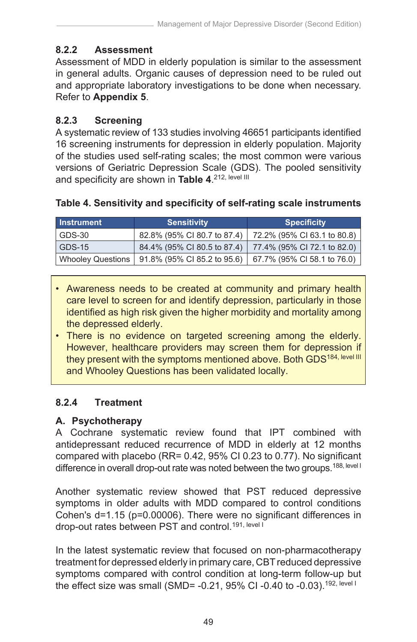# **8.2.2 Assessment**

Assessment of MDD in elderly population is similar to the assessment in general adults. Organic causes of depression need to be ruled out and appropriate laboratory investigations to be done when necessary. Refer to **Appendix 5**.

# **8.2.3 Screening**

A systematic review of 133 studies involving 46651 participants identified 16 screening instruments for depression in elderly population. Majority of the studies used self-rating scales; the most common were various versions of Geriatric Depression Scale (GDS). The pooled sensitivity and specificity are shown in **Table 4**.<sup>212, level III</sup>

| Instrument               | <b>Sensitivity</b>          | <b>Specificity</b>          |
|--------------------------|-----------------------------|-----------------------------|
| GDS-30                   | 82.8% (95% CI 80.7 to 87.4) | 72.2% (95% CI 63.1 to 80.8) |
| <b>GDS-15</b>            | 84.4% (95% CI 80.5 to 87.4) | 77.4% (95% CI 72.1 to 82.0) |
| <b>Whooley Questions</b> | 91.8% (95% CI 85.2 to 95.6) | 67.7% (95% CI 58.1 to 76.0) |

# **Table 4. Sensitivity and specificity of self-rating scale instruments**

- Awareness needs to be created at community and primary health care level to screen for and identify depression, particularly in those identified as high risk given the higher morbidity and mortality among the depressed elderly.
- There is no evidence on targeted screening among the elderly. However, healthcare providers may screen them for depression if they present with the symptoms mentioned above. Both GDS<sup>184, level III</sup> and Whooley Questions has been validated locally.

# **8.2.4 Treatment**

# **A. Psychotherapy**

A Cochrane systematic review found that IPT combined with antidepressant reduced recurrence of MDD in elderly at 12 months compared with placebo (RR= 0.42, 95% CI 0.23 to 0.77). No significant difference in overall drop-out rate was noted between the two groups.<sup>188, level I</sup>

Another systematic review showed that PST reduced depressive symptoms in older adults with MDD compared to control conditions Cohen's d=1.15 (p=0.00006). There were no significant differences in drop-out rates between PST and control.<sup>191, level I</sup>

In the latest systematic review that focused on non-pharmacotherapy treatment for depressed elderly in primary care, CBT reduced depressive symptoms compared with control condition at long-term follow-up but the effect size was small (SMD= -0.21, 95% CI -0.40 to -0.03).<sup>192, level I</sup>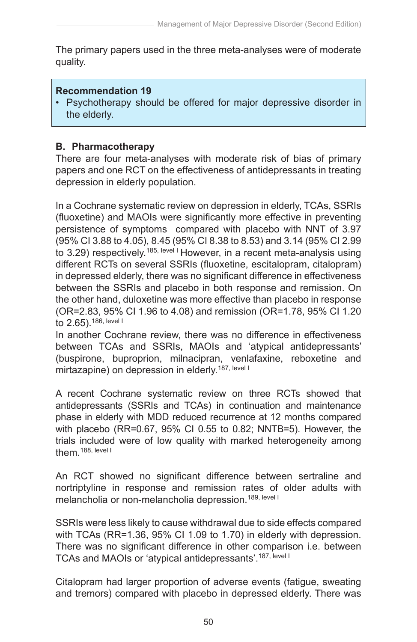The primary papers used in the three meta-analyses were of moderate quality.

#### **Recommendation 19**

• Psychotherapy should be offered for major depressive disorder in the elderly.

#### **B. Pharmacotherapy**

There are four meta-analyses with moderate risk of bias of primary papers and one RCT on the effectiveness of antidepressants in treating depression in elderly population.

In a Cochrane systematic review on depression in elderly, TCAs, SSRIs (fluoxetine) and MAOIs were significantly more effective in preventing persistence of symptoms compared with placebo with NNT of 3.97 (95% CI 3.88 to 4.05), 8.45 (95% CI 8.38 to 8.53) and 3.14 (95% CI 2.99 to 3.29) respectively.<sup>185, level I</sup> However, in a recent meta-analysis using different RCTs on several SSRIs (fluoxetine, escitalopram, citalopram) in depressed elderly, there was no significant difference in effectiveness between the SSRIs and placebo in both response and remission. On the other hand, duloxetine was more effective than placebo in response (OR=2.83, 95% CI 1.96 to 4.08) and remission (OR=1.78, 95% CI 1.20 to 2.65).186, level I

In another Cochrane review, there was no difference in effectiveness between TCAs and SSRIs, MAOIs and 'atypical antidepressants' (buspirone, buproprion, milnacipran, venlafaxine, reboxetine and mirtazapine) on depression in elderly.<sup>187, level I</sup>

A recent Cochrane systematic review on three RCTs showed that antidepressants (SSRIs and TCAs) in continuation and maintenance phase in elderly with MDD reduced recurrence at 12 months compared with placebo (RR=0.67, 95% CI 0.55 to 0.82; NNTB=5). However, the trials included were of low quality with marked heterogeneity among them.<sup>188, level I</sup>

An RCT showed no significant difference between sertraline and nortriptyline in response and remission rates of older adults with melancholia or non-melancholia depression.<sup>189, level I</sup>

SSRIs were less likely to cause withdrawal due to side effects compared with TCAs (RR=1.36, 95% CI 1.09 to 1.70) in elderly with depression. There was no significant difference in other comparison i.e. between TCAs and MAOIs or 'atypical antidepressants'.187, level I

Citalopram had larger proportion of adverse events (fatigue, sweating and tremors) compared with placebo in depressed elderly. There was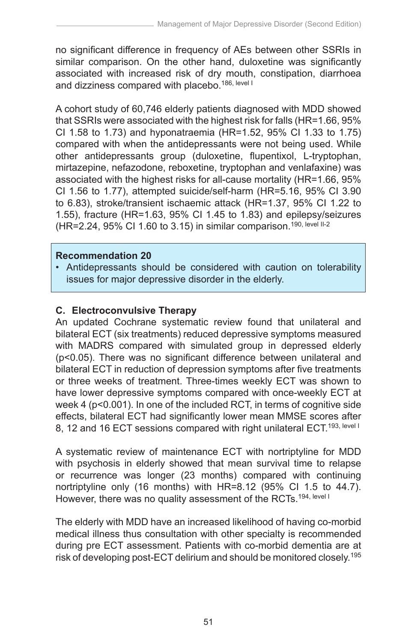no significant difference in frequency of AEs between other SSRIs in similar comparison. On the other hand, duloxetine was significantly associated with increased risk of dry mouth, constipation, diarrhoea and dizziness compared with placebo.<sup>186, level I</sup>

A cohort study of 60,746 elderly patients diagnosed with MDD showed that SSRIs were associated with the highest risk for falls (HR=1.66, 95% CI 1.58 to 1.73) and hyponatraemia (HR=1.52, 95% CI 1.33 to 1.75) compared with when the antidepressants were not being used. While other antidepressants group (duloxetine, flupentixol, L-tryptophan, mirtazepine, nefazodone, reboxetine, tryptophan and venlafaxine) was associated with the highest risks for all-cause mortality (HR=1.66, 95% CI 1.56 to 1.77), attempted suicide/self-harm (HR=5.16, 95% CI 3.90 to 6.83), stroke/transient ischaemic attack (HR=1.37, 95% CI 1.22 to 1.55), fracture (HR=1.63, 95% CI 1.45 to 1.83) and epilepsy/seizures  $(HR=2.24, 95\% \text{ CI } 1.60 \text{ to } 3.15)$  in similar comparison.<sup>190, level II-2</sup>

#### **Recommendation 20**

• Antidepressants should be considered with caution on tolerability issues for major depressive disorder in the elderly.

#### **C. Electroconvulsive Therapy**

An updated Cochrane systematic review found that unilateral and bilateral ECT (six treatments) reduced depressive symptoms measured with MADRS compared with simulated group in depressed elderly (p<0.05). There was no significant difference between unilateral and bilateral ECT in reduction of depression symptoms after five treatments or three weeks of treatment. Three-times weekly ECT was shown to have lower depressive symptoms compared with once-weekly ECT at week 4 (p<0.001). In one of the included RCT, in terms of cognitive side effects, bilateral ECT had significantly lower mean MMSE scores after 8, 12 and 16 ECT sessions compared with right unilateral ECT.<sup>193, level I</sup>

A systematic review of maintenance ECT with nortriptyline for MDD with psychosis in elderly showed that mean survival time to relapse or recurrence was longer (23 months) compared with continuing nortriptyline only (16 months) with HR=8.12 (95% CI 1.5 to 44.7). However, there was no quality assessment of the RCTs.<sup>194, level I</sup>

The elderly with MDD have an increased likelihood of having co-morbid medical illness thus consultation with other specialty is recommended during pre ECT assessment. Patients with co-morbid dementia are at risk of developing post-ECT delirium and should be monitored closely.195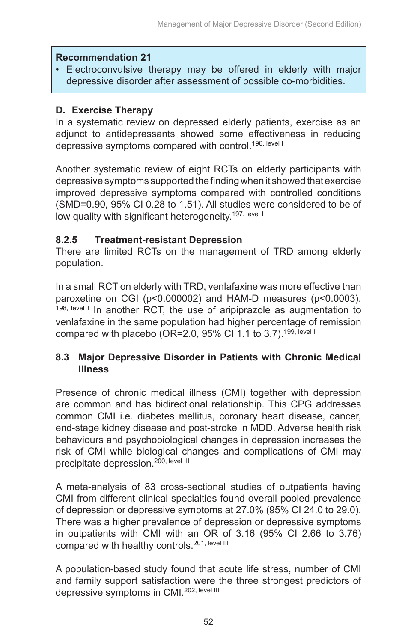#### **Recommendation 21**

• Electroconvulsive therapy may be offered in elderly with major depressive disorder after assessment of possible co-morbidities.

#### **D. Exercise Therapy**

In a systematic review on depressed elderly patients, exercise as an adjunct to antidepressants showed some effectiveness in reducing depressive symptoms compared with control.<sup>196, level I</sup>

Another systematic review of eight RCTs on elderly participants with depressive symptoms supported the finding when it showed that exercise improved depressive symptoms compared with controlled conditions (SMD=0.90, 95% CI 0.28 to 1.51). All studies were considered to be of low quality with significant heterogeneity.<sup>197, level I</sup>

#### **8.2.5 Treatment-resistant Depression**

There are limited RCTs on the management of TRD among elderly population.

In a small RCT on elderly with TRD, venlafaxine was more effective than paroxetine on CGI (p<0.000002) and HAM-D measures (p<0.0003). 198, level I In another RCT, the use of aripiprazole as augmentation to venlafaxine in the same population had higher percentage of remission compared with placebo (OR=2.0, 95% CI 1.1 to 3.7).<sup>199, level I</sup>

# **8.3 Major Depressive Disorder in Patients with Chronic Medical Illness**

Presence of chronic medical illness (CMI) together with depression are common and has bidirectional relationship. This CPG addresses common CMI i.e. diabetes mellitus, coronary heart disease, cancer, end-stage kidney disease and post-stroke in MDD. Adverse health risk behaviours and psychobiological changes in depression increases the risk of CMI while biological changes and complications of CMI may precipitate depression.<sup>200, level III</sup>

A meta-analysis of 83 cross-sectional studies of outpatients having CMI from different clinical specialties found overall pooled prevalence of depression or depressive symptoms at 27.0% (95% CI 24.0 to 29.0). There was a higher prevalence of depression or depressive symptoms in outpatients with CMI with an OR of 3.16 (95% CI 2.66 to 3.76) compared with healthy controls.<sup>201, level III</sup>

A population-based study found that acute life stress, number of CMI and family support satisfaction were the three strongest predictors of depressive symptoms in CMI.<sup>202, level III</sup>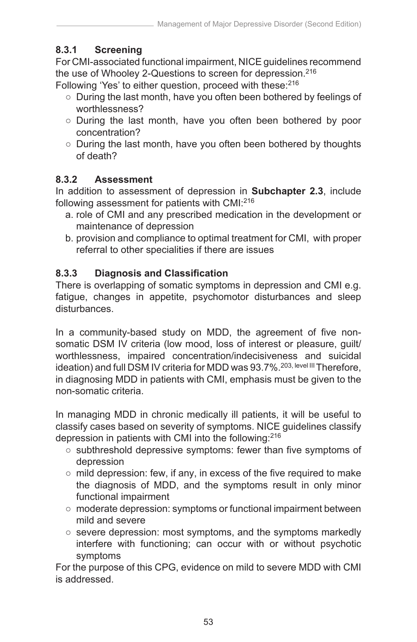# **8.3.1 Screening**

For CMI-associated functional impairment, NICE guidelines recommend the use of Whooley 2-Questions to screen for depression.<sup>216</sup>

Following 'Yes' to either question, proceed with these:<sup>216</sup>

- During the last month, have you often been bothered by feelings of worthlessness?
- During the last month, have you often been bothered by poor concentration?
- During the last month, have you often been bothered by thoughts of death?

# **8.3.2 Assessment**

In addition to assessment of depression in **Subchapter 2.3**, include following assessment for patients with CMI:216

- a. role of CMI and any prescribed medication in the development or maintenance of depression
- b. provision and compliance to optimal treatment for CMI, with proper referral to other specialities if there are issues

# **8.3.3 Diagnosis and Classification**

There is overlapping of somatic symptoms in depression and CMI e.g. fatigue, changes in appetite, psychomotor disturbances and sleep disturbances.

In a community-based study on MDD, the agreement of five nonsomatic DSM IV criteria (low mood, loss of interest or pleasure, quilt/ worthlessness, impaired concentration/indecisiveness and suicidal ideation) and full DSM IV criteria for MDD was 93.7%.<sup>203, level III</sup> Therefore, in diagnosing MDD in patients with CMI, emphasis must be given to the non-somatic criteria.

In managing MDD in chronic medically ill patients, it will be useful to classify cases based on severity of symptoms. NICE guidelines classify depression in patients with CMI into the following:216

- subthreshold depressive symptoms: fewer than five symptoms of depression
- mild depression: few, if any, in excess of the five required to make the diagnosis of MDD, and the symptoms result in only minor functional impairment
- moderate depression: symptoms or functional impairment between mild and severe
- severe depression: most symptoms, and the symptoms markedly interfere with functioning; can occur with or without psychotic symptoms

For the purpose of this CPG, evidence on mild to severe MDD with CMI is addressed.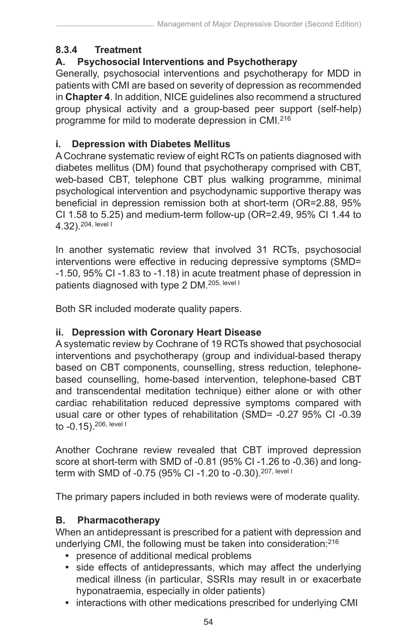# **8.3.4 Treatment**

# **A. Psychosocial Interventions and Psychotherapy**

Generally, psychosocial interventions and psychotherapy for MDD in patients with CMI are based on severity of depression as recommended in **Chapter 4**. In addition, NICE guidelines also recommend a structured group physical activity and a group-based peer support (self-help) programme for mild to moderate depression in CMI.216

# **i. Depression with Diabetes Mellitus**

A Cochrane systematic review of eight RCTs on patients diagnosed with diabetes mellitus (DM) found that psychotherapy comprised with CBT, web-based CBT, telephone CBT plus walking programme, minimal psychological intervention and psychodynamic supportive therapy was beneficial in depression remission both at short-term (OR=2.88, 95% CI 1.58 to 5.25) and medium-term follow-up (OR=2.49, 95% CI 1.44 to 4.32).204, level I

In another systematic review that involved 31 RCTs, psychosocial interventions were effective in reducing depressive symptoms (SMD= -1.50, 95% CI -1.83 to -1.18) in acute treatment phase of depression in patients diagnosed with type 2 DM.<sup>205, level I</sup>

Both SR included moderate quality papers.

# **ii. Depression with Coronary Heart Disease**

A systematic review by Cochrane of 19 RCTs showed that psychosocial interventions and psychotherapy (group and individual-based therapy based on CBT components, counselling, stress reduction, telephonebased counselling, home-based intervention, telephone-based CBT and transcendental meditation technique) either alone or with other cardiac rehabilitation reduced depressive symptoms compared with usual care or other types of rehabilitation (SMD= -0.27 95% CI -0.39 to -0.15).206, level I

Another Cochrane review revealed that CBT improved depression score at short-term with SMD of -0.81 (95% CI -1.26 to -0.36) and longterm with SMD of -0.75 (95% CI -1.20 to -0.30).<sup>207, level I</sup>

The primary papers included in both reviews were of moderate quality.

# **B. Pharmacotherapy**

When an antidepressant is prescribed for a patient with depression and underlying CMI, the following must be taken into consideration:216

- presence of additional medical problems
- **•** side effects of antidepressants, which may affect the underlying medical illness (in particular, SSRIs may result in or exacerbate hyponatraemia, especially in older patients)
- **•** interactions with other medications prescribed for underlying CMI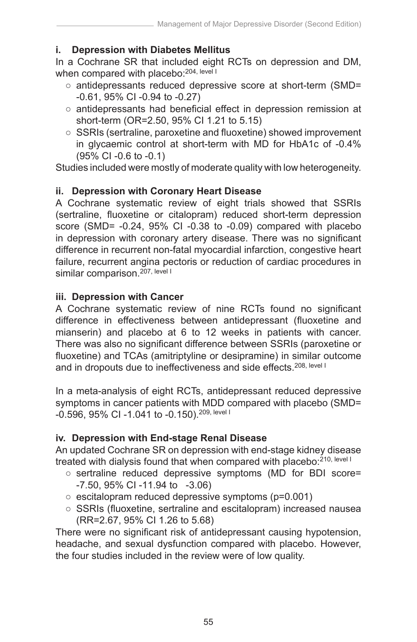#### **i. Depression with Diabetes Mellitus**

In a Cochrane SR that included eight RCTs on depression and DM, when compared with placebo:<sup>204, level I</sup>

- antidepressants reduced depressive score at short-term (SMD= -0.61, 95% CI -0.94 to -0.27)
- antidepressants had beneficial effect in depression remission at short-term (OR=2.50, 95% CI 1.21 to 5.15)
- SSRIs (sertraline, paroxetine and fluoxetine) showed improvement in glycaemic control at short-term with MD for HbA1c of -0.4% (95% CI -0.6 to -0.1)

Studies included were mostly of moderate quality with low heterogeneity.

# **ii. Depression with Coronary Heart Disease**

A Cochrane systematic review of eight trials showed that SSRIs (sertraline, fluoxetine or citalopram) reduced short-term depression score (SMD= -0.24, 95% CI -0.38 to -0.09) compared with placebo in depression with coronary artery disease. There was no significant difference in recurrent non-fatal myocardial infarction, congestive heart failure, recurrent angina pectoris or reduction of cardiac procedures in similar comparison.<sup>207, level I</sup>

#### **iii. Depression with Cancer**

A Cochrane systematic review of nine RCTs found no significant difference in effectiveness between antidepressant (fluoxetine and mianserin) and placebo at 6 to 12 weeks in patients with cancer. There was also no significant difference between SSRIs (paroxetine or fluoxetine) and TCAs (amitriptyline or desipramine) in similar outcome and in dropouts due to ineffectiveness and side effects.<sup>208, level I</sup>

In a meta-analysis of eight RCTs, antidepressant reduced depressive symptoms in cancer patients with MDD compared with placebo (SMD= -0.596, 95% CI -1.041 to -0.150).209, level I

# **iv. Depression with End-stage Renal Disease**

An updated Cochrane SR on depression with end-stage kidney disease treated with dialysis found that when compared with placebo:<sup>210, level I</sup>

- sertraline reduced depressive symptoms (MD for BDI score= -7.50, 95% CI -11.94 to -3.06)
- escitalopram reduced depressive symptoms (p=0.001)
- SSRIs (fluoxetine, sertraline and escitalopram) increased nausea (RR=2.67, 95% CI 1.26 to 5.68)

There were no significant risk of antidepressant causing hypotension, headache, and sexual dysfunction compared with placebo. However, the four studies included in the review were of low quality.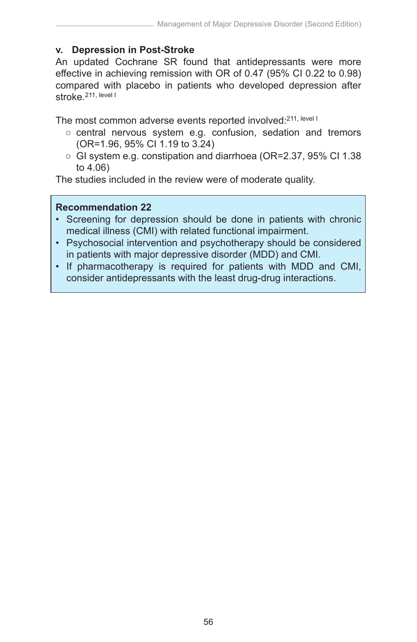#### **v. Depression in Post-Stroke**

An updated Cochrane SR found that antidepressants were more effective in achieving remission with OR of 0.47 (95% CI 0.22 to 0.98) compared with placebo in patients who developed depression after stroke.211, level I

The most common adverse events reported involved: 211, level I

- central nervous system e.g. confusion, sedation and tremors (OR=1.96, 95% CI 1.19 to 3.24)
- GI system e.g. constipation and diarrhoea (OR=2.37, 95% CI 1.38 to 4.06)

The studies included in the review were of moderate quality.

#### **Recommendation 22**

- Screening for depression should be done in patients with chronic medical illness (CMI) with related functional impairment.
- Psychosocial intervention and psychotherapy should be considered in patients with major depressive disorder (MDD) and CMI.
- If pharmacotherapy is required for patients with MDD and CMI, consider antidepressants with the least drug-drug interactions.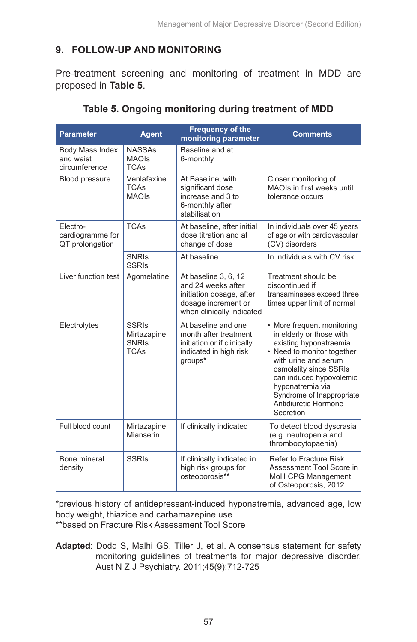# **9. FOLLOW-UP AND MONITORING**

Pre-treatment screening and monitoring of treatment in MDD are proposed in **Table 5**.

| <b>Parameter</b>                                | <b>Agent</b>                                               | <b>Frequency of the</b><br>monitoring parameter                                                                            | <b>Comments</b>                                                                                                                                                                                                                                                                   |
|-------------------------------------------------|------------------------------------------------------------|----------------------------------------------------------------------------------------------------------------------------|-----------------------------------------------------------------------------------------------------------------------------------------------------------------------------------------------------------------------------------------------------------------------------------|
| Body Mass Index<br>and waist<br>circumference   | <b>NASSAs</b><br><b>MAOIs</b><br><b>TCAs</b>               | Baseline and at<br>6-monthly                                                                                               |                                                                                                                                                                                                                                                                                   |
| Blood pressure                                  | Venlafaxine<br><b>TCAs</b><br><b>MAOIs</b>                 | At Baseline, with<br>significant dose<br>increase and 3 to<br>6-monthly after<br>stabilisation                             | Closer monitoring of<br>MAOIs in first weeks until<br>tolerance occurs                                                                                                                                                                                                            |
| Electro-<br>cardiogramme for<br>QT prolongation | <b>TCAs</b>                                                | At baseline, after initial<br>dose titration and at<br>change of dose                                                      | In individuals over 45 years<br>of age or with cardiovascular<br>(CV) disorders                                                                                                                                                                                                   |
|                                                 | <b>SNRIS</b><br><b>SSRIs</b>                               | At baseline                                                                                                                | In individuals with CV risk                                                                                                                                                                                                                                                       |
| Liver function test                             | Agomelatine                                                | At baseline 3, 6, 12<br>and 24 weeks after<br>initiation dosage, after<br>dosage increment or<br>when clinically indicated | Treatment should be<br>discontinued if<br>transaminases exceed three<br>times upper limit of normal                                                                                                                                                                               |
| Electrolytes                                    | <b>SSRIs</b><br>Mirtazapine<br><b>SNRIS</b><br><b>TCAs</b> | At baseline and one<br>month after treatment<br>initiation or if clinically<br>indicated in high risk<br>groups*           | • More frequent monitoring<br>in elderly or those with<br>existing hyponatraemia<br>• Need to monitor together<br>with urine and serum<br>osmolality since SSRIs<br>can induced hypovolemic<br>hyponatremia via<br>Syndrome of Inappropriate<br>Antidiuretic Hormone<br>Secretion |
| Full blood count                                | Mirtazapine<br>Mianserin                                   | If clinically indicated                                                                                                    | To detect blood dyscrasia<br>(e.g. neutropenia and<br>thrombocytopaenia)                                                                                                                                                                                                          |
| Bone mineral<br>density                         | <b>SSRIs</b>                                               | If clinically indicated in<br>high risk groups for<br>osteoporosis**                                                       | <b>Refer to Fracture Risk</b><br>Assessment Tool Score in<br>MoH CPG Management<br>of Osteoporosis, 2012                                                                                                                                                                          |

| Table 5. Ongoing monitoring during treatment of MDD |
|-----------------------------------------------------|
|-----------------------------------------------------|

\*previous history of antidepressant-induced hyponatremia, advanced age, low body weight, thiazide and carbamazepine use \*\*based on Fracture Risk Assessment Tool Score

**Adapted**: Dodd S, Malhi GS, Tiller J, et al. A consensus statement for safety monitoring guidelines of treatments for major depressive disorder. Aust N Z J Psychiatry. 2011;45(9):712-725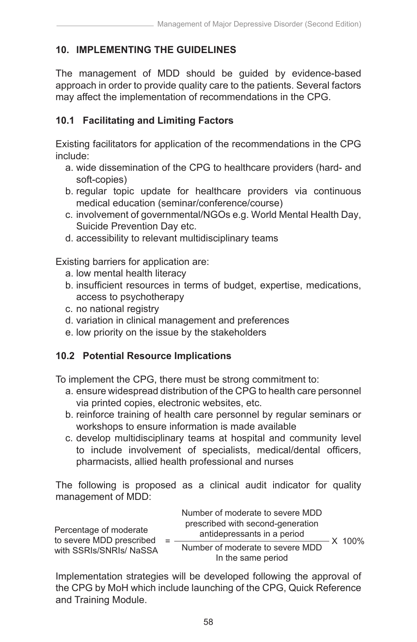# **10. IMPLEMENTING THE GUIDELINES**

The management of MDD should be guided by evidence-based approach in order to provide quality care to the patients. Several factors may affect the implementation of recommendations in the CPG.

# **10.1 Facilitating and Limiting Factors**

Existing facilitators for application of the recommendations in the CPG include:

- a. wide dissemination of the CPG to healthcare providers (hard- and soft-copies)
- b. regular topic update for healthcare providers via continuous medical education (seminar/conference/course)
- c. involvement of governmental/NGOs e.g. World Mental Health Day, Suicide Prevention Day etc.
- d. accessibility to relevant multidisciplinary teams

Existing barriers for application are:

- a. low mental health literacy
- b. insufficient resources in terms of budget, expertise, medications, access to psychotherapy
- c. no national registry
- d. variation in clinical management and preferences
- e. low priority on the issue by the stakeholders

# **10.2 Potential Resource Implications**

To implement the CPG, there must be strong commitment to:

- a. ensure widespread distribution of the CPG to health care personnel via printed copies, electronic websites, etc.
- b. reinforce training of health care personnel by regular seminars or workshops to ensure information is made available
- c. develop multidisciplinary teams at hospital and community level to include involvement of specialists, medical/dental officers, pharmacists, allied health professional and nurses

The following is proposed as a clinical audit indicator for quality management of MDD:

| Percentage of moderate<br>to severe MDD prescribed | Number of moderate to severe MDD<br>prescribed with second-generation<br>antidepressants in a period |        |
|----------------------------------------------------|------------------------------------------------------------------------------------------------------|--------|
| with SSRIs/SNRIs/ NaSSA                            | Number of moderate to severe MDD<br>In the same period                                               | X 100% |

Implementation strategies will be developed following the approval of the CPG by MoH which include launching of the CPG, Quick Reference and Training Module.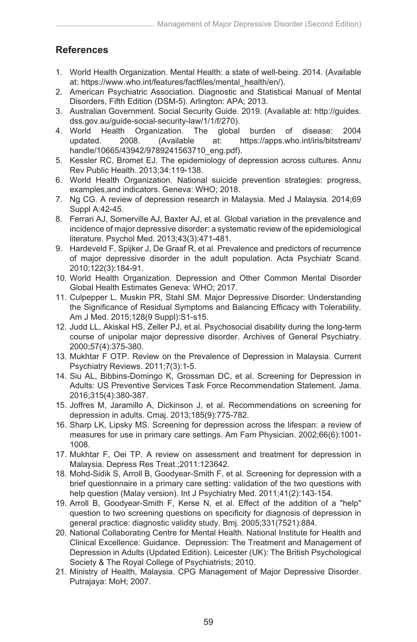# **References**

- 1. World Health Organization. Mental Health: a state of well-being. 2014. (Available at: https://www.who.int/features/factfiles/mental\_health/en/).
- 2. American Psychiatric Association. Diagnostic and Statistical Manual of Mental Disorders, Fifth Edition (DSM-5). Arlington: APA; 2013.
- 3. Australian Government. Social Security Guide. 2019. (Available at: http://guides. dss.gov.au/guide-social-security-law/1/1/f/270).
- 4. World Health Organization. The global burden of disease: 2004 updated. 2008. (Available at: https://apps.who.int/iris/bitstream/ handle/10665/43942/9789241563710\_eng.pdf).
- 5. Kessler RC, Bromet EJ. The epidemiology of depression across cultures. Annu Rev Public Health. 2013;34:119-138.
- 6. World Health Organization. National suicide prevention strategies: progress, examples,and indicators. Geneva: WHO; 2018.
- 7. Ng CG. A review of depression research in Malaysia. Med J Malaysia. 2014;69 Suppl A:42-45.
- 8. Ferrari AJ, Somerville AJ, Baxter AJ, et al. Global variation in the prevalence and incidence of major depressive disorder: a systematic review of the epidemiological literature. Psychol Med. 2013;43(3):471-481.
- 9. Hardeveld F, Spijker J, De Graaf R, et al. Prevalence and predictors of recurrence of major depressive disorder in the adult population. Acta Psychiatr Scand. 2010;122(3):184-91.
- 10. World Health Organization. Depression and Other Common Mental Disorder Global Health Estimates Geneva: WHO; 2017.
- 11. Culpepper L, Muskin PR, Stahl SM. Major Depressive Disorder: Understanding the Significance of Residual Symptoms and Balancing Efficacy with Tolerability. Am J Med. 2015;128(9 Suppl):S1-s15.
- 12. Judd LL, Akiskal HS, Zeller PJ, et al. Psychosocial disability during the long-term course of unipolar major depressive disorder. Archives of General Psychiatry. 2000;57(4):375-380.
- 13. Mukhtar F OTP. Review on the Prevalence of Depression in Malaysia. Current Psychiatry Reviews. 2011;7(3):1-5.
- 14. Siu AL, Bibbins-Domingo K, Grossman DC, et al. Screening for Depression in Adults: US Preventive Services Task Force Recommendation Statement. Jama. 2016;315(4):380-387.
- 15. Joffres M, Jaramillo A, Dickinson J, et al. Recommendations on screening for depression in adults. Cmaj. 2013;185(9):775-782.
- 16. Sharp LK, Lipsky MS. Screening for depression across the lifespan: a review of measures for use in primary care settings. Am Fam Physician. 2002;66(6):1001- 1008.
- 17. Mukhtar F, Oei TP. A review on assessment and treatment for depression in Malaysia. Depress Res Treat.;2011:123642.
- 18. Mohd-Sidik S, Arroll B, Goodyear-Smith F, et al. Screening for depression with a brief questionnaire in a primary care setting: validation of the two questions with help question (Malay version). Int J Psychiatry Med. 2011;41(2):143-154.
- 19. Arroll B, Goodyear-Smith F, Kerse N, et al. Effect of the addition of a "help" question to two screening questions on specificity for diagnosis of depression in general practice: diagnostic validity study. Bmj. 2005;331(7521):884.
- 20. National Collaborating Centre for Mental Health. National Institute for Health and Clinical Excellence: Guidance. Depression: The Treatment and Management of Depression in Adults (Updated Edition). Leicester (UK): The British Psychological Society & The Royal College of Psychiatrists; 2010.
- 21. Ministry of Health, Malaysia. CPG Management of Major Depressive Disorder. Putrajaya: MoH; 2007.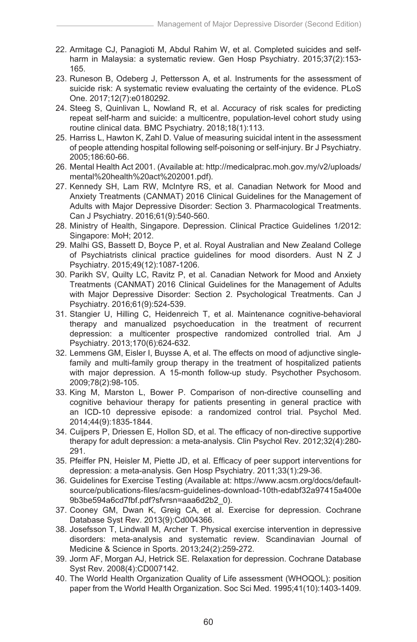- 22. Armitage CJ, Panagioti M, Abdul Rahim W, et al. Completed suicides and selfharm in Malaysia: a systematic review. Gen Hosp Psychiatry. 2015;37(2):153- 165.
- 23. Runeson B, Odeberg J, Pettersson A, et al. Instruments for the assessment of suicide risk: A systematic review evaluating the certainty of the evidence. PLoS One. 2017;12(7):e0180292.
- 24. Steeg S, Quinlivan L, Nowland R, et al. Accuracy of risk scales for predicting repeat self-harm and suicide: a multicentre, population-level cohort study using routine clinical data. BMC Psychiatry. 2018;18(1):113.
- 25. Harriss L, Hawton K, Zahl D. Value of measuring suicidal intent in the assessment of people attending hospital following self-poisoning or self-injury. Br J Psychiatry. 2005;186:60-66.
- 26. Mental Health Act 2001. (Available at: http://medicalprac.moh.gov.my/v2/uploads/ mental%20health%20act%202001.pdf).
- 27. Kennedy SH, Lam RW, McIntyre RS, et al. Canadian Network for Mood and Anxiety Treatments (CANMAT) 2016 Clinical Guidelines for the Management of Adults with Major Depressive Disorder: Section 3. Pharmacological Treatments. Can J Psychiatry. 2016;61(9):540-560.
- 28. Ministry of Health, Singapore. Depression. Clinical Practice Guidelines 1/2012: Singapore: MoH; 2012.
- 29. Malhi GS, Bassett D, Boyce P, et al. Royal Australian and New Zealand College of Psychiatrists clinical practice guidelines for mood disorders. Aust N Z J Psychiatry. 2015;49(12):1087-1206.
- 30. Parikh SV, Quilty LC, Ravitz P, et al. Canadian Network for Mood and Anxiety Treatments (CANMAT) 2016 Clinical Guidelines for the Management of Adults with Major Depressive Disorder: Section 2. Psychological Treatments. Can J Psychiatry. 2016;61(9):524-539.
- 31. Stangier U, Hilling C, Heidenreich T, et al. Maintenance cognitive-behavioral therapy and manualized psychoeducation in the treatment of recurrent depression: a multicenter prospective randomized controlled trial. Am J Psychiatry. 2013;170(6):624-632.
- 32. Lemmens GM, Eisler I, Buysse A, et al. The effects on mood of adjunctive singlefamily and multi-family group therapy in the treatment of hospitalized patients with major depression. A 15-month follow-up study. Psychother Psychosom. 2009;78(2):98-105.
- 33. King M, Marston L, Bower P. Comparison of non-directive counselling and cognitive behaviour therapy for patients presenting in general practice with an ICD-10 depressive episode: a randomized control trial. Psychol Med. 2014;44(9):1835-1844.
- 34. Cuijpers P, Driessen E, Hollon SD, et al. The efficacy of non-directive supportive therapy for adult depression: a meta-analysis. Clin Psychol Rev. 2012;32(4):280- 291.
- 35. Pfeiffer PN, Heisler M, Piette JD, et al. Efficacy of peer support interventions for depression: a meta-analysis. Gen Hosp Psychiatry. 2011;33(1):29-36.
- 36. Guidelines for Exercise Testing (Available at: https://www.acsm.org/docs/defaultsource/publications-files/acsm-guidelines-download-10th-edabf32a97415a400e 9b3be594a6cd7fbf.pdf?sfvrsn=aaa6d2b2\_0).
- 37. Cooney GM, Dwan K, Greig CA, et al. Exercise for depression. Cochrane Database Syst Rev. 2013(9):Cd004366.
- 38. Josefsson T, Lindwall M, Archer T. Physical exercise intervention in depressive disorders: meta-analysis and systematic review. Scandinavian Journal of Medicine & Science in Sports. 2013;24(2):259-272.
- 39. Jorm AF, Morgan AJ, Hetrick SE. Relaxation for depression. Cochrane Database Syst Rev. 2008(4):CD007142.
- 40. The World Health Organization Quality of Life assessment (WHOQOL): position paper from the World Health Organization. Soc Sci Med. 1995;41(10):1403-1409.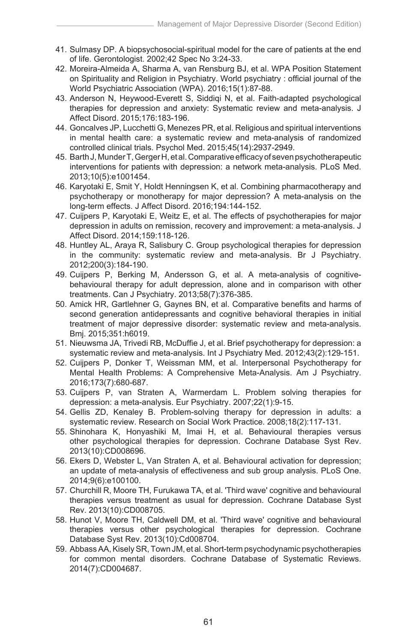- 41. Sulmasy DP. A biopsychosocial-spiritual model for the care of patients at the end of life. Gerontologist. 2002;42 Spec No 3:24-33.
- 42. Moreira-Almeida A, Sharma A, van Rensburg BJ, et al. WPA Position Statement on Spirituality and Religion in Psychiatry. World psychiatry : official journal of the World Psychiatric Association (WPA). 2016;15(1):87-88.
- 43. Anderson N, Heywood-Everett S, Siddiqi N, et al. Faith-adapted psychological therapies for depression and anxiety: Systematic review and meta-analysis. J Affect Disord. 2015;176:183-196.
- 44. Goncalves JP, Lucchetti G, Menezes PR, et al. Religious and spiritual interventions in mental health care: a systematic review and meta-analysis of randomized controlled clinical trials. Psychol Med. 2015;45(14):2937-2949.
- 45. Barth J, Munder T, Gerger H, et al. Comparative efficacy of seven psychotherapeutic interventions for patients with depression: a network meta-analysis. PLoS Med. 2013;10(5):e1001454.
- 46. Karyotaki E, Smit Y, Holdt Henningsen K, et al. Combining pharmacotherapy and psychotherapy or monotherapy for major depression? A meta-analysis on the long-term effects. J Affect Disord. 2016;194:144-152.
- 47. Cuijpers P, Karyotaki E, Weitz E, et al. The effects of psychotherapies for major depression in adults on remission, recovery and improvement: a meta-analysis. J Affect Disord. 2014;159:118-126.
- 48. Huntley AL, Araya R, Salisbury C. Group psychological therapies for depression in the community: systematic review and meta-analysis. Br J Psychiatry. 2012;200(3):184-190.
- 49. Cuijpers P, Berking M, Andersson G, et al. A meta-analysis of cognitivebehavioural therapy for adult depression, alone and in comparison with other treatments. Can J Psychiatry. 2013;58(7):376-385.
- 50. Amick HR, Gartlehner G, Gaynes BN, et al. Comparative benefits and harms of second generation antidepressants and cognitive behavioral therapies in initial treatment of major depressive disorder: systematic review and meta-analysis. Bmj. 2015;351:h6019.
- 51. Nieuwsma JA, Trivedi RB, McDuffie J, et al. Brief psychotherapy for depression: a systematic review and meta-analysis. Int J Psychiatry Med. 2012;43(2):129-151.
- 52. Cuijpers P, Donker T, Weissman MM, et al. Interpersonal Psychotherapy for Mental Health Problems: A Comprehensive Meta-Analysis. Am J Psychiatry. 2016;173(7):680-687.
- 53. Cuijpers P, van Straten A, Warmerdam L. Problem solving therapies for depression: a meta-analysis. Eur Psychiatry. 2007;22(1):9-15.
- 54. Gellis ZD, Kenaley B. Problem-solving therapy for depression in adults: a systematic review. Research on Social Work Practice. 2008;18(2):117-131.
- 55. Shinohara K, Honyashiki M, Imai H, et al. Behavioural therapies versus other psychological therapies for depression. Cochrane Database Syst Rev. 2013(10):CD008696.
- 56. Ekers D, Webster L, Van Straten A, et al. Behavioural activation for depression; an update of meta-analysis of effectiveness and sub group analysis. PLoS One. 2014;9(6):e100100.
- 57. Churchill R, Moore TH, Furukawa TA, et al. 'Third wave' cognitive and behavioural therapies versus treatment as usual for depression. Cochrane Database Syst Rev. 2013(10):CD008705.
- 58. Hunot V, Moore TH, Caldwell DM, et al. 'Third wave' cognitive and behavioural therapies versus other psychological therapies for depression. Cochrane Database Syst Rev. 2013(10):Cd008704.
- 59. Abbass AA, Kisely SR, Town JM, et al. Short-term psychodynamic psychotherapies for common mental disorders. Cochrane Database of Systematic Reviews. 2014(7):CD004687.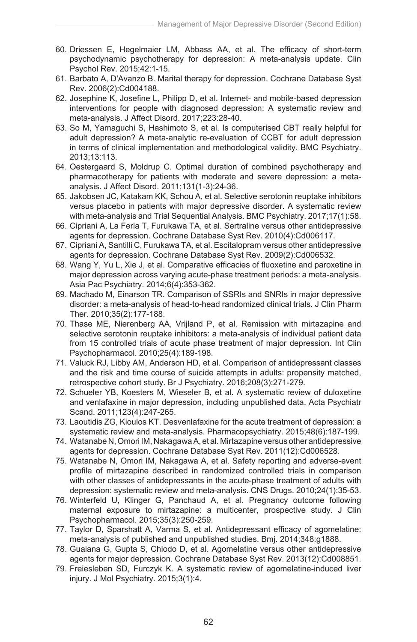- 60. Driessen E, Hegelmaier LM, Abbass AA, et al. The efficacy of short-term psychodynamic psychotherapy for depression: A meta-analysis update. Clin Psychol Rev. 2015;42:1-15.
- 61. Barbato A, D'Avanzo B. Marital therapy for depression. Cochrane Database Syst Rev. 2006(2):Cd004188.
- 62. Josephine K, Josefine L, Philipp D, et al. Internet- and mobile-based depression interventions for people with diagnosed depression: A systematic review and meta-analysis. J Affect Disord. 2017;223:28-40.
- 63. So M, Yamaguchi S, Hashimoto S, et al. Is computerised CBT really helpful for adult depression? A meta-analytic re-evaluation of CCBT for adult depression in terms of clinical implementation and methodological validity. BMC Psychiatry. 2013;13:113.
- 64. Oestergaard S, Moldrup C. Optimal duration of combined psychotherapy and pharmacotherapy for patients with moderate and severe depression: a metaanalysis. J Affect Disord. 2011;131(1-3):24-36.
- 65. Jakobsen JC, Katakam KK, Schou A, et al. Selective serotonin reuptake inhibitors versus placebo in patients with major depressive disorder. A systematic review with meta-analysis and Trial Sequential Analysis. BMC Psychiatry. 2017:17(1):58.
- 66. Cipriani A, La Ferla T, Furukawa TA, et al. Sertraline versus other antidepressive agents for depression. Cochrane Database Syst Rev. 2010(4):Cd006117.
- 67. Cipriani A, Santilli C, Furukawa TA, et al. Escitalopram versus other antidepressive agents for depression. Cochrane Database Syst Rev. 2009(2):Cd006532.
- 68. Wang Y, Yu L, Xie J, et al. Comparative efficacies of fluoxetine and paroxetine in major depression across varying acute-phase treatment periods: a meta-analysis. Asia Pac Psychiatry. 2014;6(4):353-362.
- 69. Machado M, Einarson TR. Comparison of SSRIs and SNRIs in major depressive disorder: a meta-analysis of head-to-head randomized clinical trials. J Clin Pharm Ther. 2010;35(2):177-188.
- 70. Thase ME, Nierenberg AA, Vrijland P, et al. Remission with mirtazapine and selective serotonin reuptake inhibitors: a meta-analysis of individual patient data from 15 controlled trials of acute phase treatment of major depression. Int Clin Psychopharmacol. 2010;25(4):189-198.
- 71. Valuck RJ, Libby AM, Anderson HD, et al. Comparison of antidepressant classes and the risk and time course of suicide attempts in adults: propensity matched, retrospective cohort study. Br J Psychiatry. 2016;208(3):271-279.
- 72. Schueler YB, Koesters M, Wieseler B, et al. A systematic review of duloxetine and venlafaxine in major depression, including unpublished data. Acta Psychiatr Scand. 2011;123(4):247-265.
- 73. Laoutidis ZG, Kioulos KT. Desvenlafaxine for the acute treatment of depression: a systematic review and meta-analysis. Pharmacopsychiatry. 2015;48(6):187-199.
- 74. Watanabe N, Omori IM, Nakagawa A, et al. Mirtazapine versus other antidepressive agents for depression. Cochrane Database Syst Rev. 2011(12):Cd006528.
- 75. Watanabe N, Omori IM, Nakagawa A, et al. Safety reporting and adverse-event profile of mirtazapine described in randomized controlled trials in comparison with other classes of antidepressants in the acute-phase treatment of adults with depression: systematic review and meta-analysis. CNS Drugs. 2010;24(1):35-53.
- 76. Winterfeld U, Klinger G, Panchaud A, et al. Pregnancy outcome following maternal exposure to mirtazapine: a multicenter, prospective study. J Clin Psychopharmacol. 2015;35(3):250-259.
- 77. Taylor D, Sparshatt A, Varma S, et al. Antidepressant efficacy of agomelatine: meta-analysis of published and unpublished studies. Bmj. 2014;348:g1888.
- 78. Guaiana G, Gupta S, Chiodo D, et al. Agomelatine versus other antidepressive agents for major depression. Cochrane Database Syst Rev. 2013(12):Cd008851.
- 79. Freiesleben SD, Furczyk K. A systematic review of agomelatine-induced liver injury. J Mol Psychiatry. 2015;3(1):4.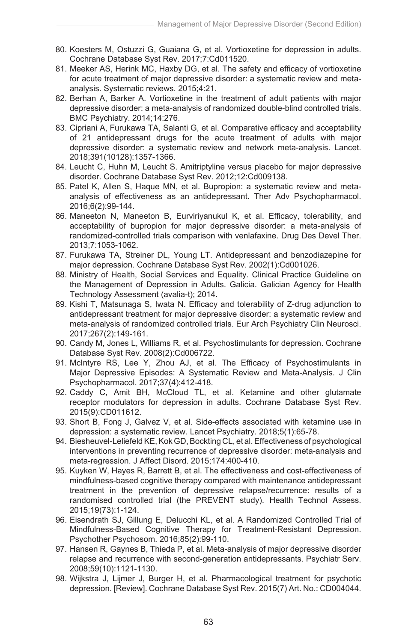- 80. Koesters M, Ostuzzi G, Guaiana G, et al. Vortioxetine for depression in adults. Cochrane Database Syst Rev. 2017;7:Cd011520.
- 81. Meeker AS, Herink MC, Haxby DG, et al. The safety and efficacy of vortioxetine for acute treatment of major depressive disorder: a systematic review and metaanalysis. Systematic reviews. 2015;4:21.
- 82. Berhan A, Barker A. Vortioxetine in the treatment of adult patients with major depressive disorder: a meta-analysis of randomized double-blind controlled trials. BMC Psychiatry. 2014;14:276.
- 83. Cipriani A, Furukawa TA, Salanti G, et al. Comparative efficacy and acceptability of 21 antidepressant drugs for the acute treatment of adults with major depressive disorder: a systematic review and network meta-analysis. Lancet. 2018;391(10128):1357-1366.
- 84. Leucht C, Huhn M, Leucht S. Amitriptyline versus placebo for major depressive disorder. Cochrane Database Syst Rev. 2012;12:Cd009138.
- 85. Patel K, Allen S, Haque MN, et al. Bupropion: a systematic review and metaanalysis of effectiveness as an antidepressant. Ther Adv Psychopharmacol. 2016;6(2):99-144.
- 86. Maneeton N, Maneeton B, Eurviriyanukul K, et al. Efficacy, tolerability, and acceptability of bupropion for major depressive disorder: a meta-analysis of randomized-controlled trials comparison with venlafaxine. Drug Des Devel Ther. 2013;7:1053-1062.
- 87. Furukawa TA, Streiner DL, Young LT. Antidepressant and benzodiazepine for major depression. Cochrane Database Syst Rev. 2002(1):Cd001026.
- 88. Ministry of Health, Social Services and Equality. Clinical Practice Guideline on the Management of Depression in Adults. Galicia. Galician Agency for Health Technology Assessment (avalia-t); 2014.
- 89. Kishi T, Matsunaga S, Iwata N. Efficacy and tolerability of Z-drug adjunction to antidepressant treatment for major depressive disorder: a systematic review and meta-analysis of randomized controlled trials. Eur Arch Psychiatry Clin Neurosci. 2017;267(2):149-161.
- 90. Candy M, Jones L, Williams R, et al. Psychostimulants for depression. Cochrane Database Syst Rev. 2008(2):Cd006722.
- 91. McIntyre RS, Lee Y, Zhou AJ, et al. The Efficacy of Psychostimulants in Major Depressive Episodes: A Systematic Review and Meta-Analysis. J Clin Psychopharmacol. 2017;37(4):412-418.
- 92. Caddy C, Amit BH, McCloud TL, et al. Ketamine and other glutamate receptor modulators for depression in adults. Cochrane Database Syst Rev. 2015(9):CD011612.
- 93. Short B, Fong J, Galvez V, et al. Side-effects associated with ketamine use in depression: a systematic review. Lancet Psychiatry. 2018;5(1):65-78.
- 94. Biesheuvel-Leliefeld KE, Kok GD, Bockting CL, et al. Effectiveness of psychological interventions in preventing recurrence of depressive disorder: meta-analysis and meta-regression. J Affect Disord. 2015;174:400-410.
- 95. Kuyken W, Hayes R, Barrett B, et al. The effectiveness and cost-effectiveness of mindfulness-based cognitive therapy compared with maintenance antidepressant treatment in the prevention of depressive relapse/recurrence: results of a randomised controlled trial (the PREVENT study). Health Technol Assess. 2015;19(73):1-124.
- 96. Eisendrath SJ, Gillung E, Delucchi KL, et al. A Randomized Controlled Trial of Mindfulness-Based Cognitive Therapy for Treatment-Resistant Depression. Psychother Psychosom. 2016;85(2):99-110.
- 97. Hansen R, Gaynes B, Thieda P, et al. Meta-analysis of major depressive disorder relapse and recurrence with second-generation antidepressants. Psychiatr Serv. 2008;59(10):1121-1130.
- 98. Wijkstra J, Lijmer J, Burger H, et al. Pharmacological treatment for psychotic depression. [Review]. Cochrane Database Syst Rev. 2015(7) Art. No.: CD004044.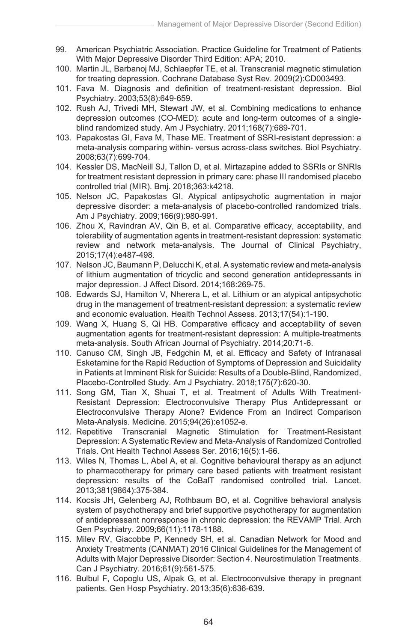- 99. American Psychiatric Association. Practice Guideline for Treatment of Patients With Major Depressive Disorder Third Edition: APA; 2010.
- 100. Martin JL, Barbanoj MJ, Schlaepfer TE, et al. Transcranial magnetic stimulation for treating depression. Cochrane Database Syst Rev. 2009(2):CD003493.
- 101. Fava M. Diagnosis and definition of treatment-resistant depression. Biol Psychiatry. 2003;53(8):649-659.
- 102. Rush AJ, Trivedi MH, Stewart JW, et al. Combining medications to enhance depression outcomes (CO-MED): acute and long-term outcomes of a singleblind randomized study. Am J Psychiatry. 2011;168(7):689-701.
- 103. Papakostas GI, Fava M, Thase ME. Treatment of SSRI-resistant depression: a meta-analysis comparing within- versus across-class switches. Biol Psychiatry. 2008;63(7):699-704.
- 104. Kessler DS, MacNeill SJ, Tallon D, et al. Mirtazapine added to SSRIs or SNRIs for treatment resistant depression in primary care: phase III randomised placebo controlled trial (MIR). Bmj. 2018;363:k4218.
- 105. Nelson JC, Papakostas GI. Atypical antipsychotic augmentation in major depressive disorder: a meta-analysis of placebo-controlled randomized trials. Am J Psychiatry. 2009;166(9):980-991.
- 106. Zhou X, Ravindran AV, Qin B, et al. Comparative efficacy, acceptability, and tolerability of augmentation agents in treatment-resistant depression: systematic review and network meta-analysis. The Journal of Clinical Psychiatry, 2015;17(4):e487-498.
- 107. Nelson JC, Baumann P, Delucchi K, et al. A systematic review and meta-analysis of lithium augmentation of tricyclic and second generation antidepressants in major depression. J Affect Disord. 2014;168:269-75.
- 108. Edwards SJ, Hamilton V, Nherera L, et al. Lithium or an atypical antipsychotic drug in the management of treatment-resistant depression: a systematic review and economic evaluation. Health Technol Assess. 2013;17(54):1-190.
- 109. Wang X, Huang S, Qi HB. Comparative efficacy and acceptability of seven augmentation agents for treatment-resistant depression: A multiple-treatments meta-analysis. South African Journal of Psychiatry. 2014;20:71-6.
- 110. Canuso CM, Singh JB, Fedgchin M, et al. Efficacy and Safety of Intranasal Esketamine for the Rapid Reduction of Symptoms of Depression and Suicidality in Patients at Imminent Risk for Suicide: Results of a Double-Blind, Randomized, Placebo-Controlled Study. Am J Psychiatry. 2018;175(7):620-30.
- 111. Song GM, Tian X, Shuai T, et al. Treatment of Adults With Treatment-Resistant Depression: Electroconvulsive Therapy Plus Antidepressant or Electroconvulsive Therapy Alone? Evidence From an Indirect Comparison Meta-Analysis. Medicine. 2015;94(26):e1052-e.
- 112. Repetitive Transcranial Magnetic Stimulation for Treatment-Resistant Depression: A Systematic Review and Meta-Analysis of Randomized Controlled Trials. Ont Health Technol Assess Ser. 2016;16(5):1-66.
- 113. Wiles N, Thomas L, Abel A, et al. Cognitive behavioural therapy as an adjunct to pharmacotherapy for primary care based patients with treatment resistant depression: results of the CoBalT randomised controlled trial. Lancet. 2013;381(9864):375-384.
- 114. Kocsis JH, Gelenberg AJ, Rothbaum BO, et al. Cognitive behavioral analysis system of psychotherapy and brief supportive psychotherapy for augmentation of antidepressant nonresponse in chronic depression: the REVAMP Trial. Arch Gen Psychiatry. 2009;66(11):1178-1188.
- 115. Milev RV, Giacobbe P, Kennedy SH, et al. Canadian Network for Mood and Anxiety Treatments (CANMAT) 2016 Clinical Guidelines for the Management of Adults with Major Depressive Disorder: Section 4. Neurostimulation Treatments. Can J Psychiatry. 2016;61(9):561-575.
- 116. Bulbul F, Copoglu US, Alpak G, et al. Electroconvulsive therapy in pregnant patients. Gen Hosp Psychiatry. 2013;35(6):636-639.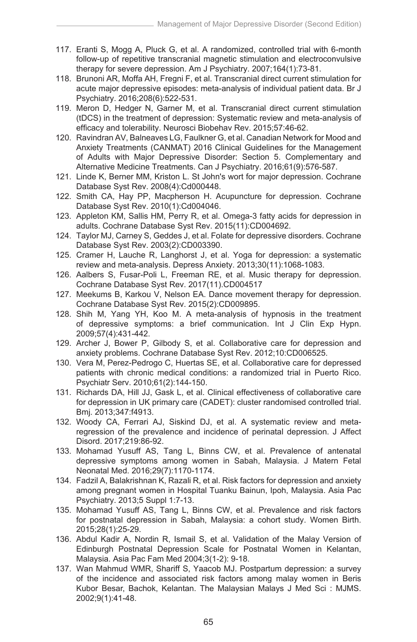- 117. Eranti S, Mogg A, Pluck G, et al. A randomized, controlled trial with 6-month follow-up of repetitive transcranial magnetic stimulation and electroconvulsive therapy for severe depression. Am J Psychiatry. 2007;164(1):73-81.
- 118. Brunoni AR, Moffa AH, Fregni F, et al. Transcranial direct current stimulation for acute major depressive episodes: meta-analysis of individual patient data. Br J Psychiatry. 2016;208(6):522-531.
- 119. Meron D, Hedger N, Garner M, et al. Transcranial direct current stimulation (tDCS) in the treatment of depression: Systematic review and meta-analysis of efficacy and tolerability. Neurosci Biobehav Rev. 2015;57:46-62.
- 120. Ravindran AV, Balneaves LG, Faulkner G, et al. Canadian Network for Mood and Anxiety Treatments (CANMAT) 2016 Clinical Guidelines for the Management of Adults with Major Depressive Disorder: Section 5. Complementary and Alternative Medicine Treatments. Can J Psychiatry. 2016;61(9):576-587.
- 121. Linde K, Berner MM, Kriston L. St John's wort for major depression. Cochrane Database Syst Rev. 2008(4):Cd000448.
- 122. Smith CA, Hay PP, Macpherson H. Acupuncture for depression. Cochrane Database Syst Rev. 2010(1):Cd004046.
- 123. Appleton KM, Sallis HM, Perry R, et al. Omega-3 fatty acids for depression in adults. Cochrane Database Syst Rev. 2015(11):CD004692.
- 124. Taylor MJ, Carney S, Geddes J, et al. Folate for depressive disorders. Cochrane Database Syst Rev. 2003(2):CD003390.
- 125. Cramer H, Lauche R, Langhorst J, et al. Yoga for depression: a systematic review and meta-analysis. Depress Anxiety. 2013;30(11):1068-1083.
- 126. Aalbers S, Fusar-Poli L, Freeman RE, et al. Music therapy for depression. Cochrane Database Syst Rev. 2017(11).CD004517
- 127. Meekums B, Karkou V, Nelson EA. Dance movement therapy for depression. Cochrane Database Syst Rev. 2015(2):CD009895.
- 128. Shih M, Yang YH, Koo M. A meta-analysis of hypnosis in the treatment of depressive symptoms: a brief communication. Int J Clin Exp Hypn. 2009;57(4):431-442.
- 129. Archer J, Bower P, Gilbody S, et al. Collaborative care for depression and anxiety problems. Cochrane Database Syst Rev. 2012;10:CD006525.
- 130. Vera M, Perez-Pedrogo C, Huertas SE, et al. Collaborative care for depressed patients with chronic medical conditions: a randomized trial in Puerto Rico. Psychiatr Serv. 2010;61(2):144-150.
- 131. Richards DA, Hill JJ, Gask L, et al. Clinical effectiveness of collaborative care for depression in UK primary care (CADET): cluster randomised controlled trial. Bmj. 2013;347:f4913.
- 132. Woody CA, Ferrari AJ, Siskind DJ, et al. A systematic review and metaregression of the prevalence and incidence of perinatal depression. J Affect Disord. 2017;219:86-92.
- 133. Mohamad Yusuff AS, Tang L, Binns CW, et al. Prevalence of antenatal depressive symptoms among women in Sabah, Malaysia. J Matern Fetal Neonatal Med. 2016;29(7):1170-1174.
- 134. Fadzil A, Balakrishnan K, Razali R, et al. Risk factors for depression and anxiety among pregnant women in Hospital Tuanku Bainun, Ipoh, Malaysia. Asia Pac Psychiatry. 2013;5 Suppl 1:7-13.
- 135. Mohamad Yusuff AS, Tang L, Binns CW, et al. Prevalence and risk factors for postnatal depression in Sabah, Malaysia: a cohort study. Women Birth. 2015;28(1):25-29.
- 136. Abdul Kadir A, Nordin R, Ismail S, et al. Validation of the Malay Version of Edinburgh Postnatal Depression Scale for Postnatal Women in Kelantan, Malaysia. Asia Pac Fam Med 2004;3(1-2): 9-18.
- 137. Wan Mahmud WMR, Shariff S, Yaacob MJ. Postpartum depression: a survey of the incidence and associated risk factors among malay women in Beris Kubor Besar, Bachok, Kelantan. The Malaysian Malays J Med Sci : MJMS. 2002;9(1):41-48.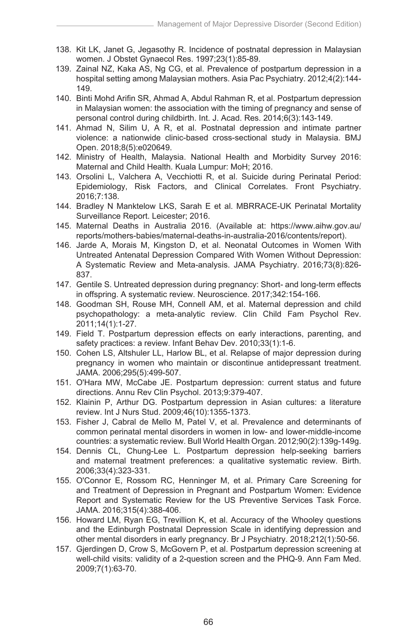- 138. Kit LK, Janet G, Jegasothy R. Incidence of postnatal depression in Malaysian women. J Obstet Gynaecol Res. 1997;23(1):85-89.
- 139. Zainal NZ, Kaka AS, Ng CG, et al. Prevalence of postpartum depression in a hospital setting among Malaysian mothers. Asia Pac Psychiatry. 2012;4(2):144- 149.
- 140. Binti Mohd Arifin SR, Ahmad A, Abdul Rahman R, et al. Postpartum depression in Malaysian women: the association with the timing of pregnancy and sense of personal control during childbirth. Int. J. Acad. Res. 2014;6(3):143-149.
- 141. Ahmad N, Silim U, A R, et al. Postnatal depression and intimate partner violence: a nationwide clinic-based cross-sectional study in Malaysia. BMJ Open. 2018;8(5):e020649.
- 142. Ministry of Health, Malaysia. National Health and Morbidity Survey 2016: Maternal and Child Health. Kuala Lumpur: MoH; 2016.
- 143. Orsolini L, Valchera A, Vecchiotti R, et al. Suicide during Perinatal Period: Epidemiology, Risk Factors, and Clinical Correlates. Front Psychiatry. 2016;7:138.
- 144. Bradley N Manktelow LKS, Sarah E et al. MBRRACE-UK Perinatal Mortality Surveillance Report. Leicester; 2016.
- 145. Maternal Deaths in Australia 2016. (Available at: https://www.aihw.gov.au/ reports/mothers-babies/maternal-deaths-in-australia-2016/contents/report).
- 146. Jarde A, Morais M, Kingston D, et al. Neonatal Outcomes in Women With Untreated Antenatal Depression Compared With Women Without Depression: A Systematic Review and Meta-analysis. JAMA Psychiatry. 2016;73(8):826- 837.
- 147. Gentile S. Untreated depression during pregnancy: Short- and long-term effects in offspring. A systematic review. Neuroscience. 2017;342:154-166.
- 148. Goodman SH, Rouse MH, Connell AM, et al. Maternal depression and child psychopathology: a meta-analytic review. Clin Child Fam Psychol Rev. 2011;14(1):1-27.
- 149. Field T. Postpartum depression effects on early interactions, parenting, and safety practices: a review. Infant Behav Dev. 2010;33(1):1-6.
- 150. Cohen LS, Altshuler LL, Harlow BL, et al. Relapse of major depression during pregnancy in women who maintain or discontinue antidepressant treatment. JAMA. 2006;295(5):499-507.
- 151. O'Hara MW, McCabe JE. Postpartum depression: current status and future directions. Annu Rev Clin Psychol. 2013;9:379-407.
- 152. Klainin P, Arthur DG. Postpartum depression in Asian cultures: a literature review. Int J Nurs Stud. 2009;46(10):1355-1373.
- 153. Fisher J, Cabral de Mello M, Patel V, et al. Prevalence and determinants of common perinatal mental disorders in women in low- and lower-middle-income countries: a systematic review. Bull World Health Organ. 2012;90(2):139g-149g.
- 154. Dennis CL, Chung-Lee L. Postpartum depression help-seeking barriers and maternal treatment preferences: a qualitative systematic review. Birth. 2006;33(4):323-331.
- 155. O'Connor E, Rossom RC, Henninger M, et al. Primary Care Screening for and Treatment of Depression in Pregnant and Postpartum Women: Evidence Report and Systematic Review for the US Preventive Services Task Force. JAMA. 2016;315(4):388-406.
- 156. Howard LM, Ryan EG, Trevillion K, et al. Accuracy of the Whooley questions and the Edinburgh Postnatal Depression Scale in identifying depression and other mental disorders in early pregnancy. Br J Psychiatry. 2018;212(1):50-56.
- 157. Gjerdingen D, Crow S, McGovern P, et al. Postpartum depression screening at well-child visits: validity of a 2-question screen and the PHQ-9. Ann Fam Med. 2009;7(1):63-70.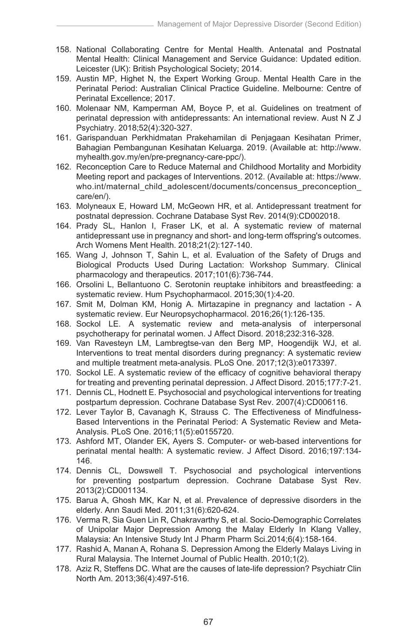- 158. National Collaborating Centre for Mental Health. Antenatal and Postnatal Mental Health: Clinical Management and Service Guidance: Updated edition. Leicester (UK): British Psychological Society; 2014.
- 159. Austin MP, Highet N, the Expert Working Group. Mental Health Care in the Perinatal Period: Australian Clinical Practice Guideline. Melbourne: Centre of Perinatal Excellence; 2017.
- 160. Molenaar NM, Kamperman AM, Boyce P, et al. Guidelines on treatment of perinatal depression with antidepressants: An international review. Aust N Z J Psychiatry. 2018;52(4):320-327.
- 161. Garispanduan Perkhidmatan Prakehamilan di Penjagaan Kesihatan Primer, Bahagian Pembangunan Kesihatan Keluarga. 2019. (Available at: http://www. myhealth.gov.my/en/pre-pregnancy-care-ppc/).
- 162. Reconception Care to Reduce Maternal and Childhood Mortality and Morbidity Meeting report and packages of Interventions. 2012. (Available at: https://www. who.int/maternal\_child\_adolescent/documents/concensus\_preconception care/en/).
- 163. Molyneaux E, Howard LM, McGeown HR, et al. Antidepressant treatment for postnatal depression. Cochrane Database Syst Rev. 2014(9):CD002018.
- 164. Prady SL, Hanlon I, Fraser LK, et al. A systematic review of maternal antidepressant use in pregnancy and short- and long-term offspring's outcomes. Arch Womens Ment Health. 2018;21(2):127-140.
- 165. Wang J, Johnson T, Sahin L, et al. Evaluation of the Safety of Drugs and Biological Products Used During Lactation: Workshop Summary. Clinical pharmacology and therapeutics. 2017;101(6):736-744.
- 166. Orsolini L, Bellantuono C. Serotonin reuptake inhibitors and breastfeeding: a systematic review. Hum Psychopharmacol. 2015;30(1):4-20.
- 167. Smit M, Dolman KM, Honig A. Mirtazapine in pregnancy and lactation A systematic review. Eur Neuropsychopharmacol. 2016;26(1):126-135.
- 168. Sockol LE. A systematic review and meta-analysis of interpersonal psychotherapy for perinatal women. J Affect Disord. 2018;232:316-328.
- 169. Van Ravesteyn LM, Lambregtse-van den Berg MP, Hoogendijk WJ, et al. Interventions to treat mental disorders during pregnancy: A systematic review and multiple treatment meta-analysis. PLoS One. 2017;12(3):e0173397.
- 170. Sockol LE. A systematic review of the efficacy of cognitive behavioral therapy for treating and preventing perinatal depression. J Affect Disord. 2015;177:7-21.
- 171. Dennis CL, Hodnett E. Psychosocial and psychological interventions for treating postpartum depression. Cochrane Database Syst Rev. 2007(4):CD006116.
- 172. Lever Taylor B, Cavanagh K, Strauss C. The Effectiveness of Mindfulness-Based Interventions in the Perinatal Period: A Systematic Review and Meta-Analysis. PLoS One. 2016;11(5):e0155720.
- 173. Ashford MT, Olander EK, Ayers S. Computer- or web-based interventions for perinatal mental health: A systematic review. J Affect Disord. 2016;197:134- 146.
- 174. Dennis CL, Dowswell T. Psychosocial and psychological interventions for preventing postpartum depression. Cochrane Database Syst Rev. 2013(2):CD001134.
- 175. Barua A, Ghosh MK, Kar N, et al. Prevalence of depressive disorders in the elderly. Ann Saudi Med. 2011;31(6):620-624.
- 176. Verma R, Sia Guen Lin R, Chakravarthy S, et al. Socio-Demographic Correlates of Unipolar Major Depression Among the Malay Elderly In Klang Valley, Malaysia: An Intensive Study Int J Pharm Pharm Sci.2014;6(4):158-164.
- 177. Rashid A, Manan A, Rohana S. Depression Among the Elderly Malays Living in Rural Malaysia. The Internet Journal of Public Health. 2010;1(2).
- 178. Aziz R, Steffens DC. What are the causes of late-life depression? Psychiatr Clin North Am. 2013;36(4):497-516.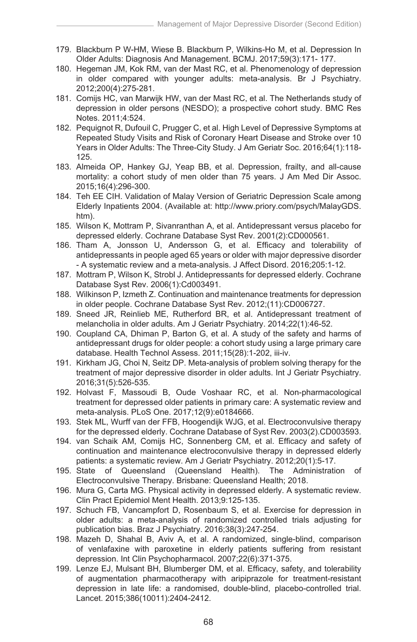- 179. Blackburn P W-HM, Wiese B. Blackburn P, Wilkins-Ho M, et al. Depression In Older Adults: Diagnosis And Management. BCMJ. 2017;59(3):171- 177.
- 180. Hegeman JM, Kok RM, van der Mast RC, et al. Phenomenology of depression in older compared with younger adults: meta-analysis. Br J Psychiatry. 2012;200(4):275-281.
- 181. Comijs HC, van Marwijk HW, van der Mast RC, et al. The Netherlands study of depression in older persons (NESDO); a prospective cohort study. BMC Res Notes. 2011;4:524.
- 182. Pequignot R, Dufouil C, Prugger C, et al. High Level of Depressive Symptoms at Repeated Study Visits and Risk of Coronary Heart Disease and Stroke over 10 Years in Older Adults: The Three-City Study. J Am Geriatr Soc. 2016;64(1):118- 125.
- 183. Almeida OP, Hankey GJ, Yeap BB, et al. Depression, frailty, and all-cause mortality: a cohort study of men older than 75 years. J Am Med Dir Assoc. 2015;16(4):296-300.
- 184. Teh EE CIH. Validation of Malay Version of Geriatric Depression Scale among Elderly Inpatients 2004. (Available at: http://www.priory.com/psych/MalayGDS. htm).
- 185. Wilson K, Mottram P, Sivanranthan A, et al. Antidepressant versus placebo for depressed elderly. Cochrane Database Syst Rev. 2001(2):CD000561.
- 186. Tham A, Jonsson U, Andersson G, et al. Efficacy and tolerability of antidepressants in people aged 65 years or older with major depressive disorder - A systematic review and a meta-analysis. J Affect Disord. 2016;205:1-12.
- 187. Mottram P, Wilson K, Strobl J. Antidepressants for depressed elderly. Cochrane Database Syst Rev. 2006(1):Cd003491.
- 188. Wilkinson P, Izmeth Z. Continuation and maintenance treatments for depression in older people. Cochrane Database Syst Rev. 2012;(11):CD006727.
- 189. Sneed JR, Reinlieb ME, Rutherford BR, et al. Antidepressant treatment of melancholia in older adults. Am J Geriatr Psychiatry. 2014;22(1):46-52.
- 190. Coupland CA, Dhiman P, Barton G, et al. A study of the safety and harms of antidepressant drugs for older people: a cohort study using a large primary care database. Health Technol Assess. 2011;15(28):1-202, iii-iv.
- 191. Kirkham JG, Choi N, Seitz DP. Meta-analysis of problem solving therapy for the treatment of major depressive disorder in older adults. Int J Geriatr Psychiatry. 2016;31(5):526-535.
- 192. Holvast F, Massoudi B, Oude Voshaar RC, et al. Non-pharmacological treatment for depressed older patients in primary care: A systematic review and meta-analysis. PLoS One. 2017;12(9):e0184666.
- 193. Stek ML, Wurff van der FFB, Hoogendijk WJG, et al. Electroconvulsive therapy for the depressed elderly. Cochrane Database of Syst Rev. 2003(2).CD003593.
- 194. van Schaik AM, Comijs HC, Sonnenberg CM, et al. Efficacy and safety of continuation and maintenance electroconvulsive therapy in depressed elderly patients: a systematic review. Am J Geriatr Psychiatry. 2012;20(1):5-17.
- 195. State of Queensland (Queensland Health). The Administration of Electroconvulsive Therapy. Brisbane: Queensland Health; 2018.
- 196. Mura G, Carta MG. Physical activity in depressed elderly. A systematic review. Clin Pract Epidemiol Ment Health. 2013;9:125-135.
- 197. Schuch FB, Vancampfort D, Rosenbaum S, et al. Exercise for depression in older adults: a meta-analysis of randomized controlled trials adjusting for publication bias. Braz J Psychiatry. 2016;38(3):247-254.
- 198. Mazeh D, Shahal B, Aviv A, et al. A randomized, single-blind, comparison of venlafaxine with paroxetine in elderly patients suffering from resistant depression. Int Clin Psychopharmacol. 2007;22(6):371-375.
- 199. Lenze EJ, Mulsant BH, Blumberger DM, et al. Efficacy, safety, and tolerability of augmentation pharmacotherapy with aripiprazole for treatment-resistant depression in late life: a randomised, double-blind, placebo-controlled trial. Lancet. 2015;386(10011):2404-2412.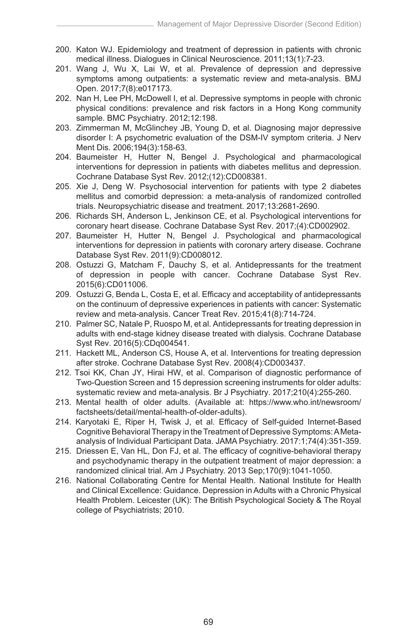- 200. Katon WJ. Epidemiology and treatment of depression in patients with chronic medical illness. Dialogues in Clinical Neuroscience. 2011;13(1):7-23.
- 201. Wang J, Wu X, Lai W, et al. Prevalence of depression and depressive symptoms among outpatients: a systematic review and meta-analysis. BMJ Open. 2017;7(8):e017173.
- 202. Nan H, Lee PH, McDowell I, et al. Depressive symptoms in people with chronic physical conditions: prevalence and risk factors in a Hong Kong community sample. BMC Psychiatry. 2012;12:198.
- 203. Zimmerman M, McGlinchey JB, Young D, et al. Diagnosing major depressive disorder I: A psychometric evaluation of the DSM-IV symptom criteria. J Nerv Ment Dis. 2006;194(3):158-63.
- 204. Baumeister H, Hutter N, Bengel J. Psychological and pharmacological interventions for depression in patients with diabetes mellitus and depression. Cochrane Database Syst Rev. 2012;(12):CD008381.
- 205. Xie J, Deng W. Psychosocial intervention for patients with type 2 diabetes mellitus and comorbid depression: a meta-analysis of randomized controlled trials. Neuropsychiatric disease and treatment. 2017;13:2681-2690.
- 206. Richards SH, Anderson L, Jenkinson CE, et al. Psychological interventions for coronary heart disease. Cochrane Database Syst Rev. 2017;(4):CD002902.
- 207. Baumeister H, Hutter N, Bengel J. Psychological and pharmacological interventions for depression in patients with coronary artery disease. Cochrane Database Syst Rev. 2011(9):CD008012.
- 208. Ostuzzi G, Matcham F, Dauchy S, et al. Antidepressants for the treatment of depression in people with cancer. Cochrane Database Syst Rev. 2015(6):CD011006.
- 209. Ostuzzi G, Benda L, Costa E, et al. Efficacy and acceptability of antidepressants on the continuum of depressive experiences in patients with cancer: Systematic review and meta-analysis. Cancer Treat Rev. 2015;41(8):714-724.
- 210. Palmer SC, Natale P, Ruospo M, et al. Antidepressants for treating depression in adults with end-stage kidney disease treated with dialysis. Cochrane Database Syst Rev. 2016(5):CDq004541.
- 211. Hackett ML, Anderson CS, House A, et al. Interventions for treating depression after stroke. Cochrane Database Syst Rev. 2008(4):CD003437.
- 212. Tsoi KK, Chan JY, Hirai HW, et al. Comparison of diagnostic performance of Two-Question Screen and 15 depression screening instruments for older adults: systematic review and meta-analysis. Br J Psychiatry. 2017;210(4):255-260.
- 213. Mental health of older adults. (Available at: https://www.who.int/newsroom/ factsheets/detail/mental-health-of-older-adults).
- 214. Karyotaki E, Riper H, Twisk J, et al. Efficacy of Self-guided Internet-Based Cognitive Behavioral Therapy in the Treatment of Depressive Symptoms: A Metaanalysis of Individual Participant Data. JAMA Psychiatry. 2017:1;74(4):351-359.
- 215. Driessen E, Van HL, Don FJ, et al. The efficacy of cognitive-behavioral therapy and psychodynamic therapy in the outpatient treatment of major depression: a randomized clinical trial. Am J Psychiatry. 2013 Sep;170(9):1041-1050.
- 216. National Collaborating Centre for Mental Health. National Institute for Health and Clinical Excellence: Guidance. Depression in Adults with a Chronic Physical Health Problem. Leicester (UK): The British Psychological Society & The Royal college of Psychiatrists; 2010.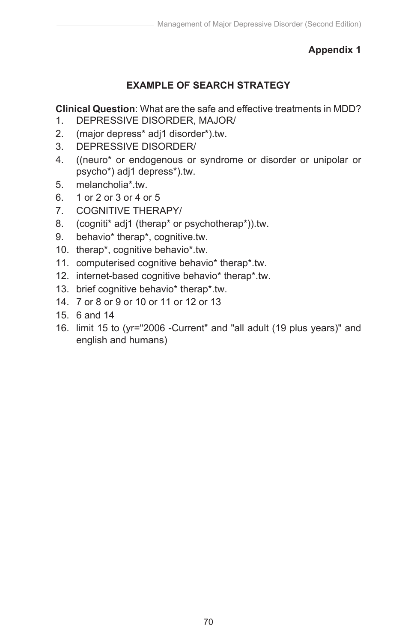# **EXAMPLE OF SEARCH STRATEGY**

**Clinical Question**: What are the safe and effective treatments in MDD?<br>1. DEPRESSIVE DISORDER, MAJOR/

- 1. DEPRESSIVE DISORDER, MAJOR/
- 2. (major depress\* adj1 disorder\*).tw.
- 3. DEPRESSIVE DISORDER/
- 4. ((neuro\* or endogenous or syndrome or disorder or unipolar or psycho\*) adj1 depress\*).tw.
- 5. melancholia\*.tw.
- 6. 1 or 2 or 3 or 4 or 5
- 7. COGNITIVE THERAPY/
- 8. (cogniti\* adj1 (therap\* or psychotherap\*)).tw.
- 9. behavio\* therap\*, cognitive.tw.
- 10. therap\*, cognitive behavio\*.tw.
- 11. computerised cognitive behavio\* therap\*.tw.
- 12. internet-based cognitive behavio\* therap\*.tw.
- 13. brief cognitive behavio\* therap\*.tw.
- 14. 7 or 8 or 9 or 10 or 11 or 12 or 13
- 15. 6 and 14
- 16. limit 15 to (yr="2006 -Current" and "all adult (19 plus years)" and english and humans)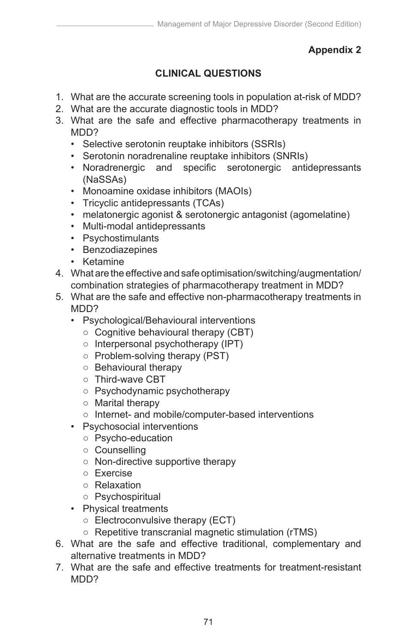# **CLINICAL QUESTIONS**

- 1. What are the accurate screening tools in population at-risk of MDD?
- 2. What are the accurate diagnostic tools in MDD?
- 3. What are the safe and effective pharmacotherapy treatments in MDD<sub>2</sub>
	- Selective serotonin reuptake inhibitors (SSRIs)
	- Serotonin noradrenaline reuptake inhibitors (SNRIs)
	- Noradrenergic and specific serotonergic antidepressants (NaSSAs)
	- Monoamine oxidase inhibitors (MAOIs)
	- Tricyclic antidepressants (TCAs)
	- melatonergic agonist & serotonergic antagonist (agomelatine)
	- Multi-modal antidepressants
	- Psychostimulants
	- Benzodiazepines
	- Ketamine
- 4. What are the effective and safe optimisation/switching/augmentation/ combination strategies of pharmacotherapy treatment in MDD?
- 5. What are the safe and effective non-pharmacotherapy treatments in MDD?
	- Psychological/Behavioural interventions
		- Cognitive behavioural therapy (CBT)
		- Interpersonal psychotherapy (IPT)
		- Problem-solving therapy (PST)
		- Behavioural therapy
		- Third-wave CBT
		- Psychodynamic psychotherapy
		- Marital therapy
		- Internet- and mobile/computer-based interventions
	- Psychosocial interventions
		- Psycho-education
			- Counselling
			- Non-directive supportive therapy
			- Exercise
			- Relaxation
			- Psychospiritual
	- Physical treatments
		- Electroconvulsive therapy (ECT)
		- Repetitive transcranial magnetic stimulation (rTMS)
- 6. What are the safe and effective traditional, complementary and alternative treatments in MDD?
- 7. What are the safe and effective treatments for treatment-resistant MDD<sub>2</sub>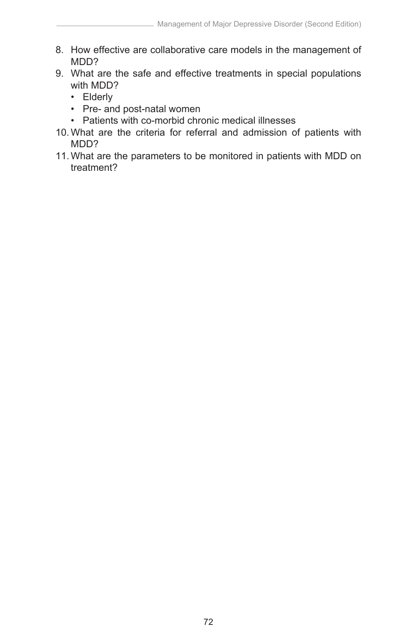- 8. How effective are collaborative care models in the management of MDD?
- 9. What are the safe and effective treatments in special populations with MDD?
	- Elderly
	- Pre- and post-natal women
	- Patients with co-morbid chronic medical illnesses
- 10. What are the criteria for referral and admission of patients with MDD?
- 11. What are the parameters to be monitored in patients with MDD on treatment?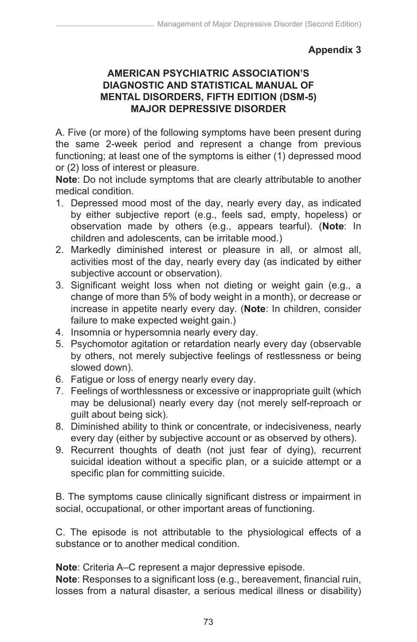#### **AMERICAN PSYCHIATRIC ASSOCIATION'S DIAGNOSTIC AND STATISTICAL MANUAL OF MENTAL DISORDERS, FIFTH EDITION (DSM-5) MAJOR DEPRESSIVE DISORDER**

A. Five (or more) of the following symptoms have been present during the same 2-week period and represent a change from previous functioning; at least one of the symptoms is either (1) depressed mood or (2) loss of interest or pleasure.

**Note**: Do not include symptoms that are clearly attributable to another medical condition.

- 1. Depressed mood most of the day, nearly every day, as indicated by either subjective report (e.g., feels sad, empty, hopeless) or observation made by others (e.g., appears tearful). (**Note**: In children and adolescents, can be irritable mood.)
- 2. Markedly diminished interest or pleasure in all, or almost all, activities most of the day, nearly every day (as indicated by either subjective account or observation).
- 3. Significant weight loss when not dieting or weight gain (e.g., a change of more than 5% of body weight in a month), or decrease or increase in appetite nearly every day. (**Note**: In children, consider failure to make expected weight gain.)
- 4. Insomnia or hypersomnia nearly every day.
- 5. Psychomotor agitation or retardation nearly every day (observable by others, not merely subjective feelings of restlessness or being slowed down).
- 6. Fatigue or loss of energy nearly every day.
- 7. Feelings of worthlessness or excessive or inappropriate guilt (which may be delusional) nearly every day (not merely self-reproach or guilt about being sick).
- 8. Diminished ability to think or concentrate, or indecisiveness, nearly every day (either by subjective account or as observed by others).
- 9. Recurrent thoughts of death (not just fear of dying), recurrent suicidal ideation without a specific plan, or a suicide attempt or a specific plan for committing suicide.

B. The symptoms cause clinically significant distress or impairment in social, occupational, or other important areas of functioning.

C. The episode is not attributable to the physiological effects of a substance or to another medical condition.

**Note**: Criteria A–C represent a major depressive episode.

**Note**: Responses to a significant loss (e.g., bereavement, financial ruin, losses from a natural disaster, a serious medical illness or disability)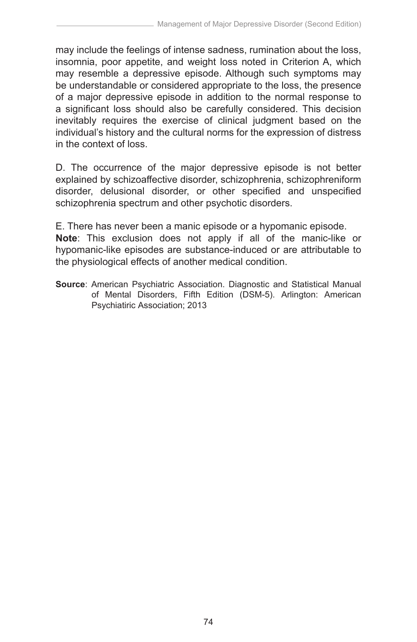may include the feelings of intense sadness, rumination about the loss, insomnia, poor appetite, and weight loss noted in Criterion A, which may resemble a depressive episode. Although such symptoms may be understandable or considered appropriate to the loss, the presence of a major depressive episode in addition to the normal response to a significant loss should also be carefully considered. This decision inevitably requires the exercise of clinical judgment based on the individual's history and the cultural norms for the expression of distress in the context of loss.

D. The occurrence of the major depressive episode is not better explained by schizoaffective disorder, schizophrenia, schizophreniform disorder, delusional disorder, or other specified and unspecified schizophrenia spectrum and other psychotic disorders.

E. There has never been a manic episode or a hypomanic episode. **Note**: This exclusion does not apply if all of the manic-like or hypomanic-like episodes are substance-induced or are attributable to the physiological effects of another medical condition.

**Source**: American Psychiatric Association. Diagnostic and Statistical Manual of Mental Disorders, Fifth Edition (DSM-5). Arlington: American Psychiatiric Association; 2013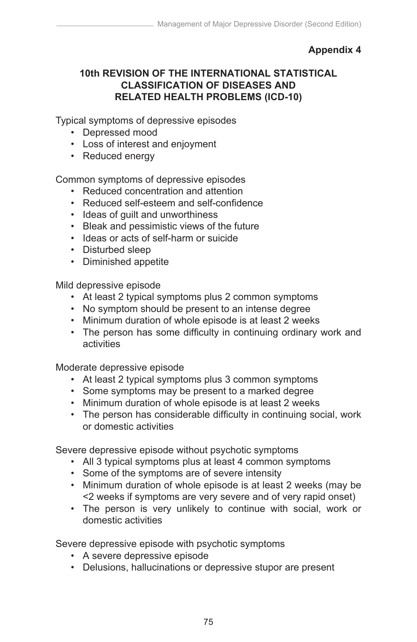#### **10th REVISION OF THE INTERNATIONAL STATISTICAL CLASSIFICATION OF DISEASES AND RELATED HEALTH PROBLEMS (ICD-10)**

Typical symptoms of depressive episodes

- Depressed mood
- Loss of interest and enjoyment
- Reduced energy

Common symptoms of depressive episodes

- Reduced concentration and attention
- Reduced self-esteem and self-confidence
- Ideas of guilt and unworthiness
- Bleak and pessimistic views of the future
- Ideas or acts of self-harm or suicide
- Disturbed sleep
- Diminished appetite

Mild depressive episode

- At least 2 typical symptoms plus 2 common symptoms
- No symptom should be present to an intense degree
- Minimum duration of whole episode is at least 2 weeks
- The person has some difficulty in continuing ordinary work and activities

Moderate depressive episode

- At least 2 typical symptoms plus 3 common symptoms
- Some symptoms may be present to a marked degree
- Minimum duration of whole episode is at least 2 weeks
- The person has considerable difficulty in continuing social, work or domestic activities

Severe depressive episode without psychotic symptoms

- All 3 typical symptoms plus at least 4 common symptoms
- Some of the symptoms are of severe intensity
- Minimum duration of whole episode is at least 2 weeks (may be <2 weeks if symptoms are very severe and of very rapid onset)
- The person is very unlikely to continue with social, work or domestic activities

Severe depressive episode with psychotic symptoms

- A severe depressive episode
- Delusions, hallucinations or depressive stupor are present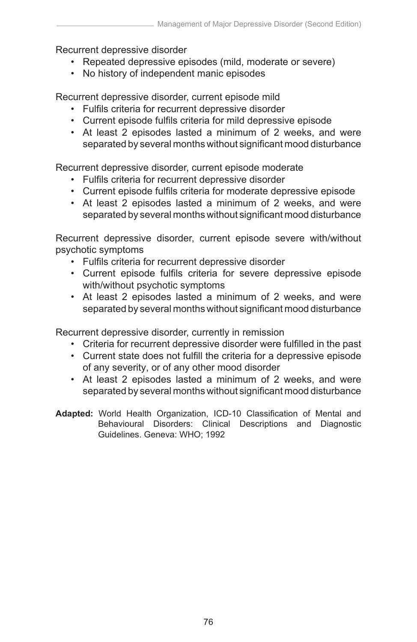Recurrent depressive disorder

- Repeated depressive episodes (mild, moderate or severe)
- No history of independent manic episodes

Recurrent depressive disorder, current episode mild

- Fulfils criteria for recurrent depressive disorder
- Current episode fulfils criteria for mild depressive episode
- At least 2 episodes lasted a minimum of 2 weeks, and were separated by several months without significant mood disturbance

Recurrent depressive disorder, current episode moderate

- Fulfils criteria for recurrent depressive disorder
- Current episode fulfils criteria for moderate depressive episode
- At least 2 episodes lasted a minimum of 2 weeks, and were separated by several months without significant mood disturbance

Recurrent depressive disorder, current episode severe with/without psychotic symptoms

- Fulfils criteria for recurrent depressive disorder
- Current episode fulfils criteria for severe depressive episode with/without psychotic symptoms
- At least 2 episodes lasted a minimum of 2 weeks, and were separated by several months without significant mood disturbance

Recurrent depressive disorder, currently in remission

- Criteria for recurrent depressive disorder were fulfilled in the past
- Current state does not fulfill the criteria for a depressive episode of any severity, or of any other mood disorder
- At least 2 episodes lasted a minimum of 2 weeks, and were separated by several months without significant mood disturbance
- **Adapted:** World Health Organization, ICD-10 Classification of Mental and Behavioural Disorders: Clinical Descriptions and Diagnostic Guidelines. Geneva: WHO; 1992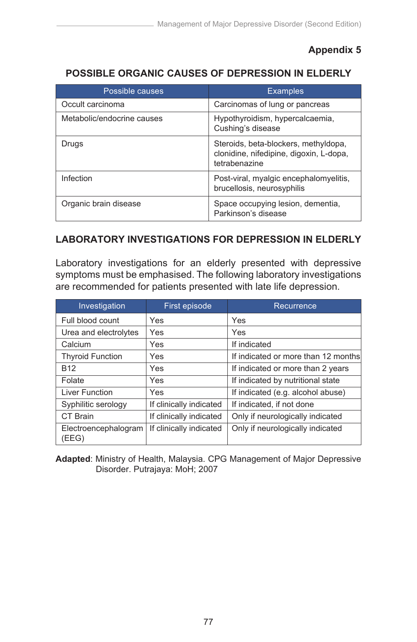Post-viral, myalgic encephalomyelitis,

# **Appendix 5**

# **POSSIBLE ORGANIC CAUSES OF DEPRESSION IN ELDERLY**

| Possible causes            | <b>Examples</b>                                                                                  |
|----------------------------|--------------------------------------------------------------------------------------------------|
| Occult carcinoma           | Carcinomas of lung or pancreas                                                                   |
| Metabolic/endocrine causes | Hypothyroidism, hypercalcaemia,<br>Cushing's disease                                             |
| Drugs                      | Steroids, beta-blockers, methyldopa,<br>clonidine, nifedipine, digoxin, L-dopa,<br>tetrabenazine |
| Infection                  | Post-viral, myalgic encephalomyelitis,<br>brucellosis, neurosyphilis                             |
| Organic brain disease      | Space occupying lesion, dementia,<br>Parkinson's disease                                         |

# **LABORATORY INVESTIGATIONS FOR DEPRESSION IN ELDERLY** brucellosis, neurosyphilis

Infection

Laboratory investigations for an elderly presented with depressive symptoms must be emphasised. The following laboratory investigations are recommended for patients presented with late life depression.

| Investigation                 | First episode           | Recurrence                          |
|-------------------------------|-------------------------|-------------------------------------|
| Full blood count              | Yes                     | Yes                                 |
| Urea and electrolytes         | Yes                     | Yes                                 |
| Calcium                       | Yes                     | If indicated                        |
| <b>Thyroid Function</b>       | Yes                     | If indicated or more than 12 months |
| <b>B12</b>                    | Yes                     | If indicated or more than 2 years   |
| Folate                        | Yes                     | If indicated by nutritional state   |
| Liver Function                | Yes                     | If indicated (e.g. alcohol abuse)   |
| Syphilitic serology           | If clinically indicated | If indicated, if not done           |
| CT Brain                      | If clinically indicated | Only if neurologically indicated    |
| Electroencephalogram<br>(EEG) | If clinically indicated | Only if neurologically indicated    |

**Adapted**: Ministry of Health, Malaysia. CPG Management of Major Depressive Disorder. Putrajaya: MoH; 2007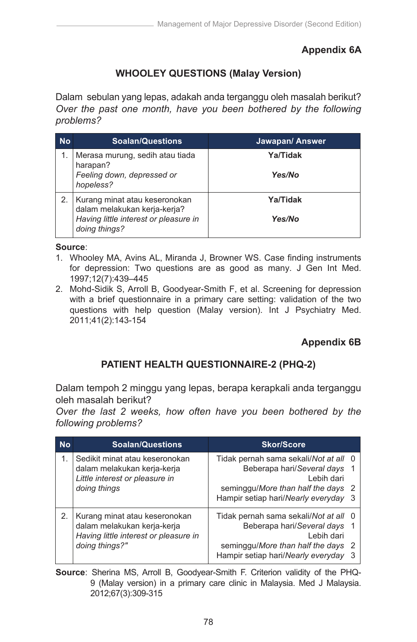# **Appendix 6A**

# **WHOOLEY QUESTIONS (Malay Version)**

Dalam sebulan yang lepas, adakah anda terganggu oleh masalah berikut? *Over the past one month, have you been bothered by the following problems?*

| <b>No</b> | <b>Soalan/Questions</b>                                                                                                 | Jawapan/ Answer           |
|-----------|-------------------------------------------------------------------------------------------------------------------------|---------------------------|
|           | Merasa murung, sedih atau tiada<br>harapan?<br>Feeling down, depressed or<br>hopeless?                                  | Ya/Tidak<br><b>Yes/No</b> |
|           | Kurang minat atau keseronokan<br>dalam melakukan kerja-kerja?<br>Having little interest or pleasure in<br>doing things? | Ya/Tidak<br><b>Yes/No</b> |

**Source**:

- 1. Whooley MA, Avins AL, Miranda J, Browner WS. Case finding instruments for depression: Two questions are as good as many. J Gen Int Med. 1997;12(7):439–445
- 2. Mohd-Sidik S, Arroll B, Goodyear-Smith F, et al. Screening for depression with a brief questionnaire in a primary care setting: validation of the two questions with help question (Malay version). Int J Psychiatry Med. 2011;41(2):143-154 **No Soalan/Questions Jawapan/ Answer** Hampir setiap hari/*Nearly everyday* 3

#### **Appendix 6B** Beberapa hari/*Several days* 1

# **PATIENT HEALTH QUESTIONNAIRE-2 (PHQ-2)** seminggu/*More than half the days* 2 *doing things?" hopeless?* 1.<br>Kurang minat atau keseronokan<br>Kurang minat atau keseronokan

Dalam tempoh 2 minggu yang lepas, berapa kerapkali anda terganggu oleh masalah berikut? *Having little interest or pleasure in*  **Ya/Tidak** 2.

Over the last 2 weeks, how often have you been bothered by the *following problems?*

| <b>No</b> | <b>Soalan/Questions</b>                                                                                                 | <b>Skor/Score</b>                                                                                                                                                 |  |
|-----------|-------------------------------------------------------------------------------------------------------------------------|-------------------------------------------------------------------------------------------------------------------------------------------------------------------|--|
| 1.        | Sedikit minat atau keseronokan<br>dalam melakukan kerja-kerja                                                           | Tidak pernah sama sekali/Not at all 0<br>Beberapa hari/Several days 1                                                                                             |  |
|           | Little interest or pleasure in<br>doing things                                                                          | Lebih dari<br>seminggu/More than half the days 2<br>Hampir setiap hari/Nearly everyday 3                                                                          |  |
| 2.        | Kurang minat atau keseronokan<br>dalam melakukan kerja-kerja<br>Having little interest or pleasure in<br>doing things?" | Tidak pernah sama sekali/Not at all 0<br>Beberapa hari/Several days 1<br>Lebih dari<br>seminggu/More than half the days 2<br>Hampir setiap hari/Nearly everyday 3 |  |

**Source**: Sherina MS, Arroll B, Goodyear-Smith F. Criterion validity of the PHQ-9 (Malay version) in a primary care clinic in Malaysia. Med J Malaysia. 2012;67(3):309-315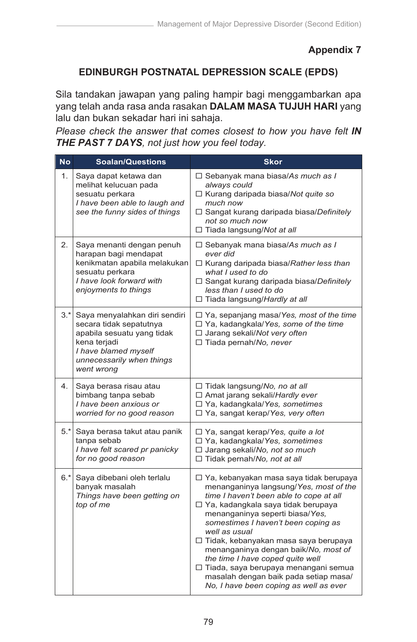# **EDINBURGH POSTNATAL DEPRESSION SCALE (EPDS)**

Sila tandakan jawapan yang paling hampir bagi menggambarkan apa yang telah anda rasa anda rasakan **DALAM MASA TUJUH HARI** yang lalu dan bukan sekadar hari ini sahaja.

*Please check the answer that comes closest to how you have felt IN THE PAST 7 DAYS, not just how you feel today.*

| <b>No</b> | <b>Soalan/Questions</b>                                                                                                                                                       | <b>Skor</b>                                                                                                                                                                                                                                                                                                                                                                                                                                                                                                          |
|-----------|-------------------------------------------------------------------------------------------------------------------------------------------------------------------------------|----------------------------------------------------------------------------------------------------------------------------------------------------------------------------------------------------------------------------------------------------------------------------------------------------------------------------------------------------------------------------------------------------------------------------------------------------------------------------------------------------------------------|
| 1.        | Saya dapat ketawa dan<br>melihat kelucuan pada<br>sesuatu perkara<br>I have been able to laugh and<br>see the funny sides of things                                           | □ Sebanyak mana biasa/As much as I<br>always could<br>$\Box$ Kurang daripada biasa/Not quite so<br>much now<br>□ Sangat kurang daripada biasa/Definitely<br>not so much now<br>□ Tiada langsung/Not at all                                                                                                                                                                                                                                                                                                           |
| 2.        | Saya menanti dengan penuh<br>harapan bagi mendapat<br>kenikmatan apabila melakukan<br>sesuatu perkara<br>I have look forward with<br>enjoyments to things                     | $\Box$ Sebanyak mana biasa/As much as I<br>ever did<br>$\Box$ Kurang daripada biasa/Rather less than<br>what I used to do<br>□ Sangat kurang daripada biasa/Definitely<br>less than I used to do<br>□ Tiada langsung/Hardly at all                                                                                                                                                                                                                                                                                   |
|           | 3.* Saya menyalahkan diri sendiri<br>secara tidak sepatutnya<br>apabila sesuatu yang tidak<br>kena terjadi<br>I have blamed myself<br>unnecessarily when things<br>went wrong | $\Box$ Ya, sepanjang masa/Yes, most of the time<br>□ Ya, kadangkala/Yes, some of the time<br>□ Jarang sekali/Not very often<br>□ Tiada pernah/No, never                                                                                                                                                                                                                                                                                                                                                              |
| 4.        | Saya berasa risau atau<br>bimbang tanpa sebab<br>I have been anxious or<br>worried for no good reason                                                                         | $\Box$ Tidak langsung/No, no at all<br>□ Amat jarang sekali/Hardly ever<br>□ Ya, kadangkala/Yes, sometimes<br>□ Ya, sangat kerap/Yes, very often                                                                                                                                                                                                                                                                                                                                                                     |
|           | 5.* Saya berasa takut atau panik<br>tanpa sebab<br>I have felt scared pr panicky<br>for no good reason                                                                        | □ Ya, sangat kerap/Yes, quite a lot<br>□ Ya, kadangkala/Yes, sometimes<br>□ Jarang sekali/No, not so much<br>□ Tidak pernah/No, not at all                                                                                                                                                                                                                                                                                                                                                                           |
|           | 6.* Saya dibebani oleh terlalu<br>banyak masalah<br>Things have been getting on<br>top of me                                                                                  | □ Ya, kebanyakan masa saya tidak berupaya<br>menanganinya langsung/Yes, most of the<br>time I haven't been able to cope at all<br>□ Ya, kadangkala saya tidak berupaya<br>menanganinya seperti biasa/Yes,<br>somestimes I haven't been coping as<br>well as usual<br>□ Tidak, kebanyakan masa saya berupaya<br>menanganinya dengan baik/No, most of<br>the time I have coped quite well<br>□ Tiada, saya berupaya menangani semua<br>masalah dengan baik pada setiap masa/<br>No, I have been coping as well as ever |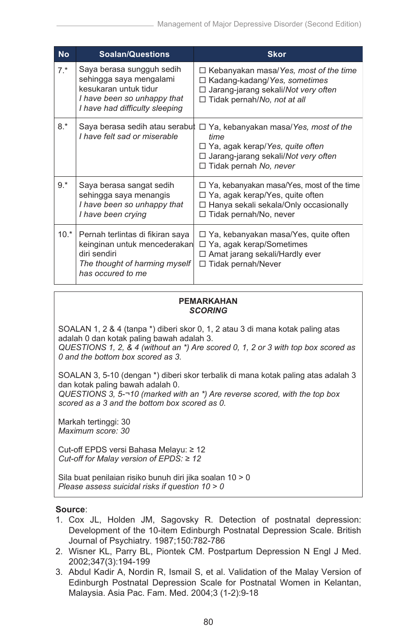| <b>No</b> | <b>Soalan/Questions</b>                                                                                                                        | <b>Skor</b>                                                                                                                                                                  |
|-----------|------------------------------------------------------------------------------------------------------------------------------------------------|------------------------------------------------------------------------------------------------------------------------------------------------------------------------------|
| $7.*$     | Saya berasa sungguh sedih<br>sehingga saya mengalami<br>kesukaran untuk tidur<br>I have been so unhappy that<br>I have had difficulty sleeping | $\Box$ Kebanyakan masa/Yes, most of the time<br>□ Kadang-kadang/Yes, sometimes<br>Jarang-jarang sekali/Not very often<br>$\Box$ Tidak pernah/No, not at all                  |
| $8.*$     | Saya berasa sedih atau serabut<br>I have felt sad or miserable                                                                                 | $\Box$ Ya, kebanyakan masa/Yes, most of the<br>time<br>$\Box$ Ya, agak kerap/Yes, quite often<br>$\Box$ Jarang-jarang sekali/Not very often<br>$\Box$ Tidak pernah No, never |
| $9.*$     | Saya berasa sangat sedih<br>sehingga saya menangis<br>I have been so unhappy that<br>I have been crying                                        | $\Box$ Ya, kebanyakan masa/Yes, most of the time<br>$\Box$ Ya, agak kerap/Yes, quite often<br>$\Box$ Hanya sekali sekala/Only occasionally<br>$\Box$ Tidak pernah/No, never  |
| $10.*$    | Pernah terlintas di fikiran saya<br>keinginan untuk mencederakan<br>diri sendiri<br>The thought of harming myself<br>has occured to me         | $\Box$ Ya, kebanyakan masa/Yes, quite often<br>$\Box$ Ya, agak kerap/Sometimes<br>□ Amat jarang sekali/Hardly ever<br>Tidak pernah/Never<br>□                                |

#### **PEMARKAHAN** *SCORING*

SOALAN 1, 2 & 4 (tanpa \*) diberi skor 0, 1, 2 atau 3 di mana kotak paling atas adalah 0 dan kotak paling bawah adalah 3. *QUESTIONS 1, 2, & 4 (without an \*) Are scored 0, 1, 2 or 3 with top box scored as 0 and the bottom box scored as 3.* 

SOALAN 3, 5-10 (dengan \*) diberi skor terbalik di mana kotak paling atas adalah 3 dan kotak paling bawah adalah 0.

*QUESTIONS 3, 5-¬10 (marked with an \*) Are reverse scored, with the top box scored as a 3 and the bottom box scored as 0.* 

Markah tertinggi: 30 *Maximum score: 30*

Cut-off EPDS versi Bahasa Melayu: ≥ 12 *Cut-off for Malay version of EPDS: ≥ 12*

Sila buat penilaian risiko bunuh diri jika soalan 10 > 0 *Please assess suicidal risks if question 10 > 0*

#### **Source**:

- 1. Cox JL, Holden JM, Sagovsky R. Detection of postnatal depression: Development of the 10-item Edinburgh Postnatal Depression Scale. British Journal of Psychiatry. 1987;150:782-786
- 2. Wisner KL, Parry BL, Piontek CM. Postpartum Depression N Engl J Med. 2002;347(3):194-199
- 3. Abdul Kadir A, Nordin R, Ismail S, et al. Validation of the Malay Version of Edinburgh Postnatal Depression Scale for Postnatal Women in Kelantan, Malaysia. Asia Pac. Fam. Med. 2004;3 (1-2):9-18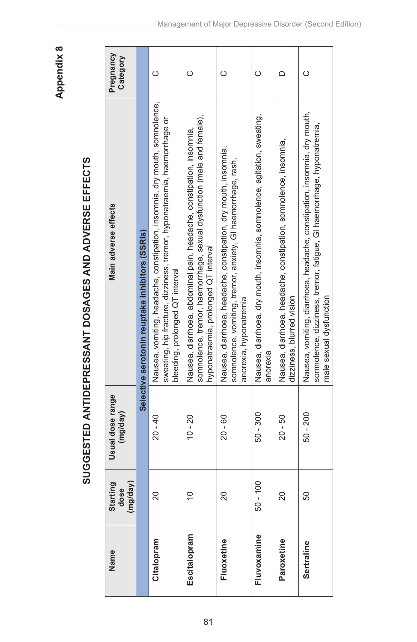Appendix 8 **Appendix 8**

# SUGGESTED ANTIDEPRESSANT DOSAGES AND ADVERSE EFFECTS **SUGGESTED ANTIDEPRESSANT DOSAGES AND ADVERSE EFFECTS**

| Name         | Starting<br>(mg/day)<br>dose | Usual dose range<br>(mg/day) | Main adverse effects                                                                                                                                                                      | Pregnancy<br>Category |
|--------------|------------------------------|------------------------------|-------------------------------------------------------------------------------------------------------------------------------------------------------------------------------------------|-----------------------|
|              |                              |                              | Selective serotonin reuptake inhibitors (SSRIs)                                                                                                                                           |                       |
| Citalopram   | 20                           | $20 - 40$                    | Nausea, vomiting, headache, constipation, insomnia, dry mouth, somnolence,<br>sweating, hip fracture, dizziness, tremor, hyponatraemia, haemorrhage or<br>bleeding, prolonged QT interval | $\circ$               |
| Escitalopram | $\overline{C}$               | $10 - 20$                    | somnolence, tremor, haemorrhage, sexual dysfunction (male and female),<br>Nausea, diarrhoea, abdominal pain, headache, constipation, insomnia,<br>hyponatraemia, prolonged QT interval    | $\circ$               |
| Fluoxetine   | 20                           | $20 - 60$                    | Nausea, diarrhoea, headache, constipation, dry mouth, insomnia,<br>somnolence, vomiting, tremor, anxiety, GI haemorrhage, rash<br>anorexia, hyponatremia                                  | $\circ$               |
| Fluvoxamine  | $50 - 100$                   | $50 - 300$                   | Nausea, diarrhoea, dry mouth, insomnia, somnolence, agitation, sweating,<br>anorexia                                                                                                      | $\circ$               |
| Paroxetine   | 20                           | $20 - 50$                    | Nausea, diarrhoea, headache, constipation, somnolence, insomnia,<br>dizziness, blurred vision                                                                                             | $\Box$                |
| Sertraline   | 50                           | $50 - 200$                   | Nausea, vomiting, diarrhoea, headache, constipation, insomnia, dry mouth,<br>somnolence, dizziness, tremor, fatigue, GI haemorrhage, hyponatremia,<br>male sexual dysfunction             | $\circ$               |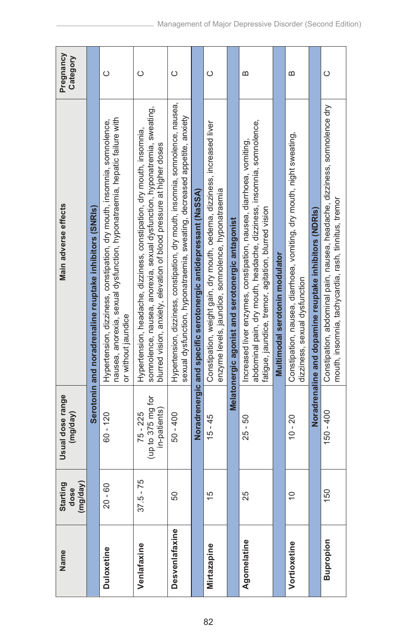| Name              | Starting<br>(mg/day)<br>dose | Usual dose range<br>(mg/day)                  | Main adverse effects                                                                                                                                                                                                       | Pregnancy<br>Category |
|-------------------|------------------------------|-----------------------------------------------|----------------------------------------------------------------------------------------------------------------------------------------------------------------------------------------------------------------------------|-----------------------|
|                   |                              |                                               | Serotonin and noradrenaline reuptake inhibitors (SNRIs)                                                                                                                                                                    |                       |
| <b>Duloxetine</b> | $20 - 60$                    | $60 - 120$                                    | nausea, anorexia, sexual dysfunction, hyponatraemia, hepatic failure with<br>Hypertension, dizziness, constipation, dry mouth, insomnia, somnolence,<br>or without jaundice                                                | $\circ$               |
| Venlafaxine       | $37.5 - 75$                  | (up to 375 mg for<br>in-patients)<br>75 - 225 | somnolence, nausea, anorexia, sexual dysfunction, hyponatremia, sweating,<br>Hypertension, headache, dizziness, constipation, dry mouth, insomnia,<br>blurred vision, anxiety, elevation of blood pressure at higher doses | $\circ$               |
| Desvenlafaxine    | 50                           | $50 - 400$                                    | Hypertension, dizziness, constipation, dry mouth, insomnia, somnolence, nausea,<br>sexual dysfunction, hyponatraemia, sweating, decreased appetite, anxiety                                                                | $\circ$               |
|                   |                              |                                               | Noradrenergic and specific serotonergic antidepressant (NaSSA)                                                                                                                                                             |                       |
| Mirtazapine       | 15                           | $15 - 45$                                     | Constipation, weight gain, dry mouth, oedema, dizziness, increased liver<br>enzyme levels, jaundice, somnolence, hyponatraemia                                                                                             | $\circ$               |
|                   |                              |                                               | Melatonergic agonist and serotonergic antagonist                                                                                                                                                                           |                       |
| Agomelatine       | 25                           | $25 - 50$                                     | abdominal pain, dry mouth, headache, dizziness, insomnia, somnolence,<br>Increased liver enzymes, constipation, nausea, diarrhoea, vomiting,<br>fatigue, jaundice, tremor, agitation, blurred vision                       | $\omega$              |
|                   |                              |                                               | Multimodal serotonin modulator                                                                                                                                                                                             |                       |
| Vortioxetine      | $\frac{1}{2}$                | $10 - 20$                                     | Constipation, nausea, diarrhoea, vomiting, dry mouth, night sweating,<br>dizziness, sexual dysfunction                                                                                                                     | $\omega$              |
|                   |                              |                                               | Noradrenaline and dopamine reuptake inhibitors (NDRIs)                                                                                                                                                                     |                       |
| <b>Bupropion</b>  | 150                          | 150 - 400                                     | Constipation, abdominal pain, nausea, headache, dizziness, somnolence dry<br>mouth, insomnia, tachycardia, rash, tinnitus, tremor                                                                                          | $\circ$               |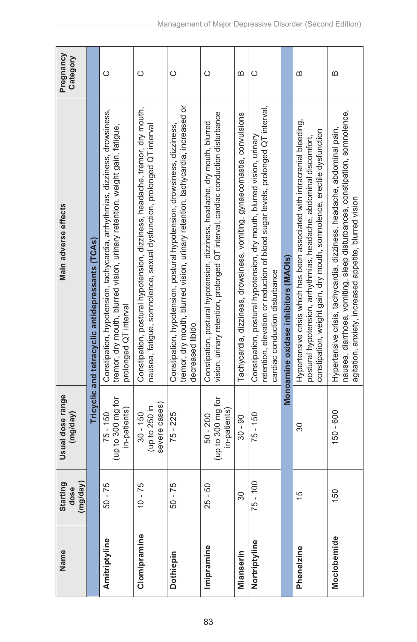|                                                                                                                                                           | tremor, dry mouth, blurred vision, urinary retention, tachycardia, increased or<br>Constipation, postural hypotension, dizziness, headache, tremor, dry mouth,<br>vision, urinary retention, prolonged QT interval, cardiac conduction disturbance<br>Constipation, postural hypotension, dizziness, headache, dry mouth, blurred<br>nausea, fatigue, somnolence, sexual dysfunction, prolonged QT interval<br>Constipation, hypotension, postural hypotension, drowsiness, dizziness, |
|-----------------------------------------------------------------------------------------------------------------------------------------------------------|----------------------------------------------------------------------------------------------------------------------------------------------------------------------------------------------------------------------------------------------------------------------------------------------------------------------------------------------------------------------------------------------------------------------------------------------------------------------------------------|
| Monoamine oxidase inhibitors (MAOIs)<br>cardiac conduction disturbance<br>decreased libido                                                                |                                                                                                                                                                                                                                                                                                                                                                                                                                                                                        |
|                                                                                                                                                           |                                                                                                                                                                                                                                                                                                                                                                                                                                                                                        |
| Tachycardia, dizziness, drowsiness, vomiting, gynaecomastia, convulsions                                                                                  |                                                                                                                                                                                                                                                                                                                                                                                                                                                                                        |
| retention, elevation or reduction of blood sugar levels, prolonged QT interval,<br>Constipation, postural hypotension, dry mouth, blurred vision, urinary |                                                                                                                                                                                                                                                                                                                                                                                                                                                                                        |
|                                                                                                                                                           |                                                                                                                                                                                                                                                                                                                                                                                                                                                                                        |
|                                                                                                                                                           | Hypertensive crisis which has been associated with intracranial bleeding,<br>constipation, weight gain, dry mouth, somnolence, erectile dysfunction<br>postural hypotension, arrhythmias, headache, abdominal discomfort,                                                                                                                                                                                                                                                              |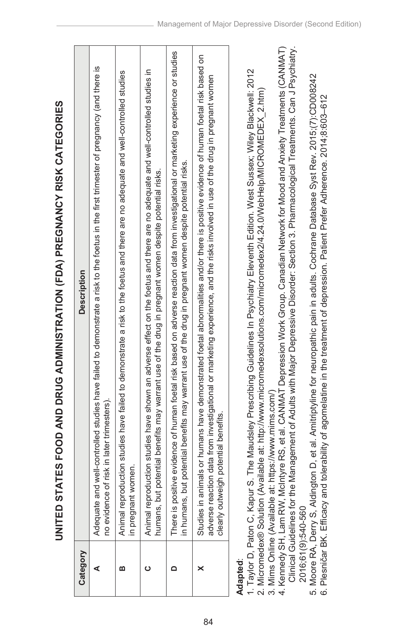| i                                                                     |  |
|-----------------------------------------------------------------------|--|
|                                                                       |  |
|                                                                       |  |
|                                                                       |  |
|                                                                       |  |
|                                                                       |  |
|                                                                       |  |
|                                                                       |  |
|                                                                       |  |
|                                                                       |  |
|                                                                       |  |
|                                                                       |  |
|                                                                       |  |
|                                                                       |  |
|                                                                       |  |
|                                                                       |  |
|                                                                       |  |
|                                                                       |  |
|                                                                       |  |
|                                                                       |  |
|                                                                       |  |
|                                                                       |  |
|                                                                       |  |
|                                                                       |  |
|                                                                       |  |
|                                                                       |  |
|                                                                       |  |
|                                                                       |  |
|                                                                       |  |
|                                                                       |  |
|                                                                       |  |
|                                                                       |  |
|                                                                       |  |
|                                                                       |  |
|                                                                       |  |
|                                                                       |  |
|                                                                       |  |
|                                                                       |  |
|                                                                       |  |
|                                                                       |  |
|                                                                       |  |
|                                                                       |  |
|                                                                       |  |
|                                                                       |  |
|                                                                       |  |
|                                                                       |  |
|                                                                       |  |
|                                                                       |  |
|                                                                       |  |
|                                                                       |  |
|                                                                       |  |
|                                                                       |  |
|                                                                       |  |
|                                                                       |  |
|                                                                       |  |
|                                                                       |  |
|                                                                       |  |
|                                                                       |  |
|                                                                       |  |
| <b>Contract Contract Contract Contract Contract Contract Contract</b> |  |
|                                                                       |  |
|                                                                       |  |
| ì                                                                     |  |
|                                                                       |  |
|                                                                       |  |
|                                                                       |  |
|                                                                       |  |
|                                                                       |  |

| Category | <b>Description</b>                                                                                                                                                                                                                                                                                                                                                                                                                                            |
|----------|---------------------------------------------------------------------------------------------------------------------------------------------------------------------------------------------------------------------------------------------------------------------------------------------------------------------------------------------------------------------------------------------------------------------------------------------------------------|
|          | Adequate and well-controlled studies have failed to demonstrate a risk to the foetus in the first trimester of pregnancy (and there is<br>no evidence of risk in later trimesters)                                                                                                                                                                                                                                                                            |
|          | Animal reproduction studies have failed to demonstrate a risk to the foetus and there are no adequate and well-controlled studies<br>in pregnant women.                                                                                                                                                                                                                                                                                                       |
|          | Animal reproduction studies have shown an adverse effect on the foetus and there are no adequate and well-controlled studies in<br>humans, but potential benefits may warrant use of the drug in pregnant women despite potential risks                                                                                                                                                                                                                       |
|          | There is positive evidence of human foetal risk based on adverse reaction data from investigational or marketing experience or studies<br>in humans, but potential benefits may warrant use of the drug in pregnant women despite potential risks.                                                                                                                                                                                                            |
|          | Studies in animals or humans have demonstrated foetal abnormalities and/or there is positive evidence of human foetal risk based on<br>adverse reaction data from investigational or marketing experience, and the risks involved in use of the drug in pregnant women<br>clearly outweigh potential benefits.                                                                                                                                                |
| Adapted  | 4. Kennedy SH, Lam RW, McIntyre RS, et al. CANMAT Depression Work Group. Canadian Network for Mood and Anxiety Treatments (CANMAT)<br>1. Taylor D. Paton C. Kapur S. The Maudsley Prescribing Guidelines In Psychiatry Eleventh Edition. West Sussex: Wiley Blackwell: 2012<br>2. Micromedex® Solution (Available at: http://www.micromedexsolutions.com/micromedex2/4.24.0/WebHelp/MICROMEDEX_2.htm)<br>3. Mims Online (Available at: https://www.mims.com/) |

4. Kennedy SH, Lam RW, McIntyre RS, et al. CANMAT Depression Work Group. Canadian Network for Mood and Anxiety Treatments (CANMAT) Clinical Guidelines for the Management of Adults with Major Depressive Disorder: Section 3. Pharmacological Treatments. Can J Psychiatry. Clinical Guidelines for the Management of Adults with Major Depressive Disorder: Section 3. Pharmacological Treatments. Can J Psychiatry. 2016;61(9):540-560 2016;61(9):540-560

5. Moore RA, Derry S, Aldington D, et al. Amitriptyline for neuropathic pain in adults. Cochrane Database Syst Rev. 2015;(7):CD008242<br>6. Plesničar BK. Efficacy and tolerability of agomelatine in the treatment of depression 5. Moore RA, Derry S, Aldington D, et al. Amitriptyline for neuropathic pain in adults. Cochrane Database Syst Rev. 2015;(7):CD008242

6. Plesničar BK. Efficacy and tolerability of agomelatine in the treatment of depression. Patient Prefer Adherence. 2014;8:603–612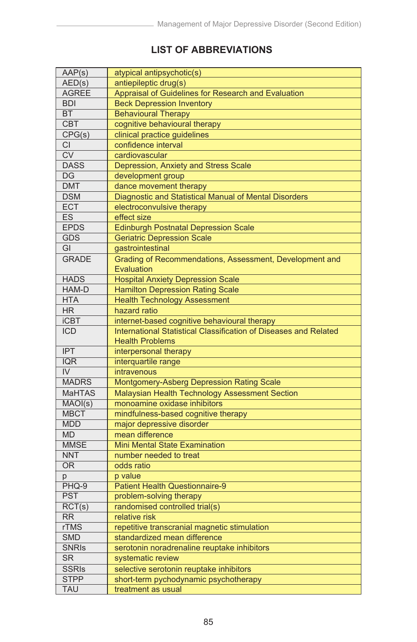# **LIST OF ABBREVIATIONS**

| AAP(s)                 | atypical antipsychotic(s)                                        |
|------------------------|------------------------------------------------------------------|
| AED(s)                 | antiepileptic drug(s)                                            |
| <b>AGREE</b>           | Appraisal of Guidelines for Research and Evaluation              |
| <b>BDI</b>             | <b>Beck Depression Inventory</b>                                 |
| <b>BT</b>              | <b>Behavioural Therapy</b>                                       |
| <b>CBT</b>             | cognitive behavioural therapy                                    |
| CPG(s)                 | clinical practice guidelines                                     |
| <b>CI</b>              | confidence interval                                              |
| $\overline{\text{cv}}$ | cardiovascular                                                   |
| <b>DASS</b>            | Depression, Anxiety and Stress Scale                             |
| DG                     | development group                                                |
| <b>DMT</b>             | dance movement therapy                                           |
| <b>DSM</b>             | Diagnostic and Statistical Manual of Mental Disorders            |
| <b>ECT</b>             | electroconvulsive therapy                                        |
| ES                     | effect size                                                      |
| <b>EPDS</b>            | <b>Edinburgh Postnatal Depression Scale</b>                      |
| <b>GDS</b>             | <b>Geriatric Depression Scale</b>                                |
| GI                     | gastrointestinal                                                 |
| <b>GRADE</b>           | Grading of Recommendations, Assessment, Development and          |
|                        | Evaluation                                                       |
| <b>HADS</b>            | <b>Hospital Anxiety Depression Scale</b>                         |
| HAM-D                  | <b>Hamilton Depression Rating Scale</b>                          |
| <b>HTA</b>             | <b>Health Technology Assessment</b>                              |
| <b>HR</b>              | hazard ratio                                                     |
| <b>iCBT</b>            | internet-based cognitive behavioural therapy                     |
| <b>ICD</b>             | International Statistical Classification of Diseases and Related |
|                        | <b>Health Problems</b>                                           |
| <b>IPT</b>             | interpersonal therapy                                            |
| <b>IQR</b>             | interquartile range                                              |
| IV                     | intravenous                                                      |
| <b>MADRS</b>           |                                                                  |
|                        | Montgomery-Asberg Depression Rating Scale                        |
| <b>MaHTAS</b>          | <b>Malaysian Health Technology Assessment Section</b>            |
| MAOI(s)                | monoamine oxidase inhibitors                                     |
| <b>MBCT</b>            | mindfulness-based cognitive therapy                              |
| <b>MDD</b>             | major depressive disorder                                        |
| <b>MD</b>              | mean difference                                                  |
| <b>MMSE</b>            | <b>Mini Mental State Examination</b>                             |
| <b>NNT</b>             | number needed to treat                                           |
| <b>OR</b>              | odds ratio                                                       |
| p                      | p value                                                          |
| PHQ-9                  | <b>Patient Health Questionnaire-9</b>                            |
| <b>PST</b>             | problem-solving therapy                                          |
| RCT(s)                 | randomised controlled trial(s)                                   |
| <b>RR</b>              | relative risk                                                    |
| <b>rTMS</b>            | repetitive transcranial magnetic stimulation                     |
| <b>SMD</b>             | standardized mean difference                                     |
| <b>SNRIS</b>           | serotonin noradrenaline reuptake inhibitors                      |
| <b>SR</b>              | systematic review                                                |
| <b>SSRIs</b>           | selective serotonin reuptake inhibitors                          |
| <b>STPP</b>            | short-term pychodynamic psychotherapy                            |
| <b>TAU</b>             | treatment as usual                                               |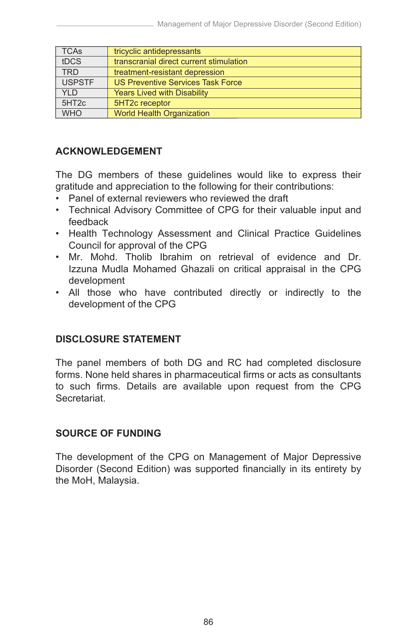| <b>TCAs</b>       | tricyclic antidepressants                |
|-------------------|------------------------------------------|
| tDCS              | transcranial direct current stimulation  |
| <b>TRD</b>        | treatment-resistant depression           |
| <b>USPSTF</b>     | <b>US Preventive Services Task Force</b> |
| YI D              | <b>Years Lived with Disability</b>       |
| 5HT <sub>2c</sub> | 5HT2c receptor                           |
| <b>WHO</b>        | <b>World Health Organization</b>         |

#### **ACKNOWLEDGEMENT**

The DG members of these guidelines would like to express their gratitude and appreciation to the following for their contributions:

- Panel of external reviewers who reviewed the draft
- Technical Advisory Committee of CPG for their valuable input and feedback
- Health Technology Assessment and Clinical Practice Guidelines Council for approval of the CPG
- Mr. Mohd. Tholib Ibrahim on retrieval of evidence and Dr. Izzuna Mudla Mohamed Ghazali on critical appraisal in the CPG development
- All those who have contributed directly or indirectly to the development of the CPG

# **DISCLOSURE STATEMENT**

The panel members of both DG and RC had completed disclosure forms. None held shares in pharmaceutical firms or acts as consultants to such firms. Details are available upon request from the CPG **Secretariat** 

#### **SOURCE OF FUNDING**

The development of the CPG on Management of Major Depressive Disorder (Second Edition) was supported financially in its entirety by the MoH, Malaysia.